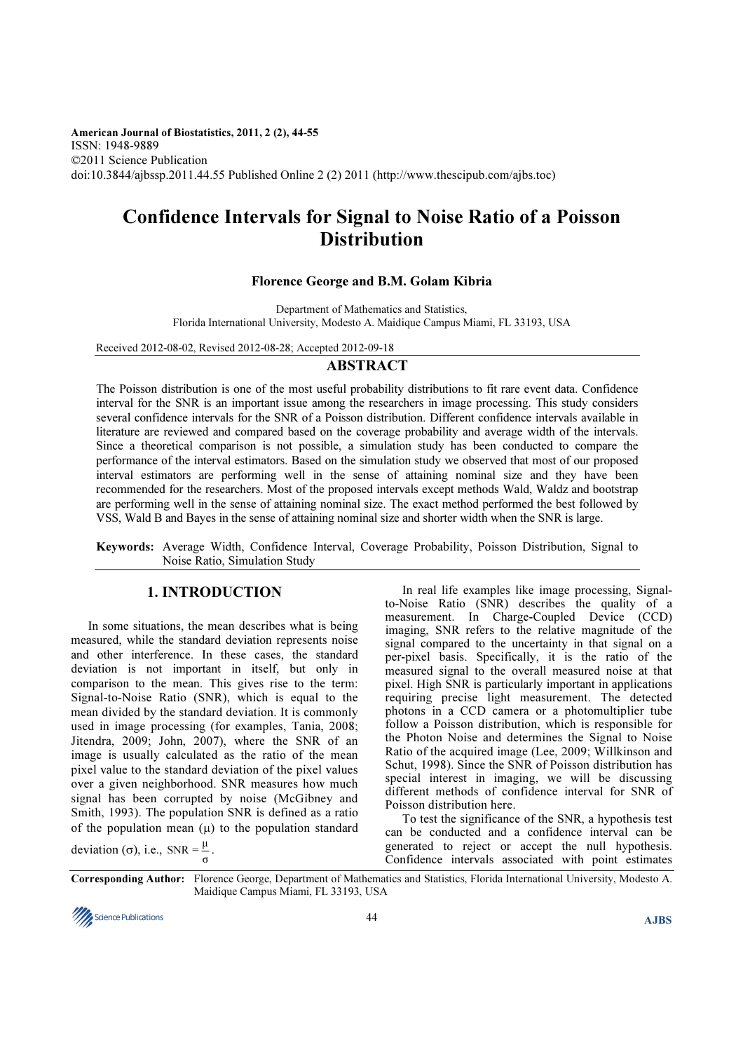American Journal of Biostatistics, 2011, 2 (2), 44-55 ISSN: 1948-9889 ©2011 Science Publication doi:10.3844/ajbssp.2011.44.55 Published Online 2 (2) 2011 (http://www.thescipub.com/ajbs.toc)

# Confidence Intervals for Signal to Noise Ratio of a Poisson **Distribution**

# Florence George and B.M. Golam Kibria

Department of Mathematics and Statistics, Florida International University, Modesto A. Maidique Campus Miami, FL 33193, USA

Received 2012-08-02, Revised 2012-08-28; Accepted 2012-09-18

# ABSTRACT

The Poisson distribution is one of the most useful probability distributions to fit rare event data. Confidence interval for the SNR is an important issue among the researchers in image processing. This study considers several confidence intervals for the SNR of a Poisson distribution. Different confidence intervals available in literature are reviewed and compared based on the coverage probability and average width of the intervals. Since a theoretical comparison is not possible, a simulation study has been conducted to compare the performance of the interval estimators. Based on the simulation study we observed that most of our proposed interval estimators are performing well in the sense of attaining nominal size and they have been recommended for the researchers. Most of the proposed intervals except methods Wald, Waldz and bootstrap are performing well in the sense of attaining nominal size. The exact method performed the best followed by VSS, Wald B and Bayes in the sense of attaining nominal size and shorter width when the SNR is large.

Keywords: Average Width, Confidence Interval, Coverage Probability, Poisson Distribution, Signal to Noise Ratio, Simulation Study

# 1. INTRODUCTION

In some situations, the mean describes what is being measured, while the standard deviation represents noise and other interference. In these cases, the standard deviation is not important in itself, but only in comparison to the mean. This gives rise to the term: Signal-to-Noise Ratio (SNR), which is equal to the mean divided by the standard deviation. It is commonly used in image processing (for examples, Tania, 2008; Jitendra, 2009; John, 2007), where the SNR of an image is usually calculated as the ratio of the mean pixel value to the standard deviation of the pixel values over a given neighborhood. SNR measures how much signal has been corrupted by noise (McGibney and Smith, 1993). The population SNR is defined as a ratio of the population mean  $(\mu)$  to the population standard

deviation (σ), i.e., SNR =  $\frac{\mu}{\sigma}$ .

In real life examples like image processing, Signalto-Noise Ratio (SNR) describes the quality of a measurement. In Charge-Coupled Device (CCD) imaging, SNR refers to the relative magnitude of the signal compared to the uncertainty in that signal on a per-pixel basis. Specifically, it is the ratio of the measured signal to the overall measured noise at that pixel. High SNR is particularly important in applications requiring precise light measurement. The detected photons in a CCD camera or a photomultiplier tube follow a Poisson distribution, which is responsible for the Photon Noise and determines the Signal to Noise Ratio of the acquired image (Lee, 2009; Willkinson and Schut, 1998). Since the SNR of Poisson distribution has special interest in imaging, we will be discussing different methods of confidence interval for SNR of Poisson distribution here.

To test the significance of the SNR, a hypothesis test can be conducted and a confidence interval can be generated to reject or accept the null hypothesis. Confidence intervals associated with point estimates

Corresponding Author: Florence George, Department of Mathematics and Statistics, Florida International University, Modesto A. Maidique Campus Miami, FL 33193, USA

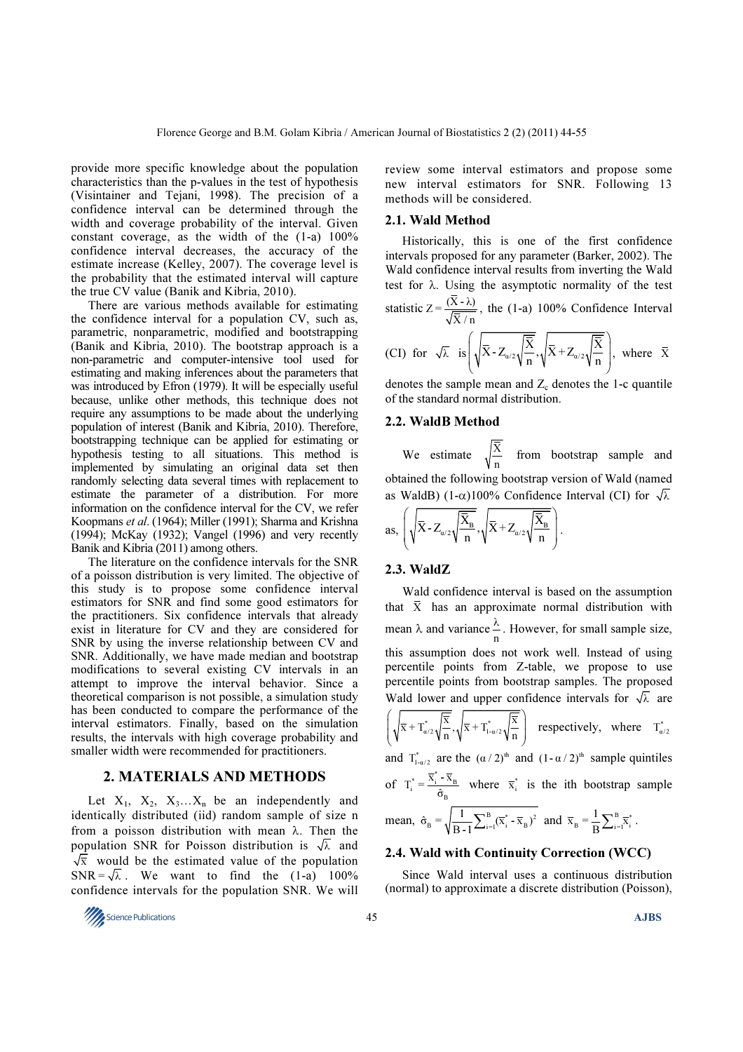provide more specific knowledge about the population characteristics than the p-values in the test of hypothesis (Visintainer and Tejani, 1998). The precision of a confidence interval can be determined through the width and coverage probability of the interval. Given constant coverage, as the width of the (1-a) 100% confidence interval decreases, the accuracy of the estimate increase (Kelley, 2007). The coverage level is the probability that the estimated interval will capture the true CV value (Banik and Kibria, 2010).

There are various methods available for estimating the confidence interval for a population CV, such as, parametric, nonparametric, modified and bootstrapping (Banik and Kibria, 2010). The bootstrap approach is a non-parametric and computer-intensive tool used for estimating and making inferences about the parameters that was introduced by Efron (1979). It will be especially useful because, unlike other methods, this technique does not require any assumptions to be made about the underlying population of interest (Banik and Kibria, 2010). Therefore, bootstrapping technique can be applied for estimating or hypothesis testing to all situations. This method is implemented by simulating an original data set then randomly selecting data several times with replacement to estimate the parameter of a distribution. For more information on the confidence interval for the CV, we refer Koopmans et al. (1964); Miller (1991); Sharma and Krishna (1994); McKay (1932); Vangel (1996) and very recently Banik and Kibria (2011) among others.

The literature on the confidence intervals for the SNR of a poisson distribution is very limited. The objective of this study is to propose some confidence interval estimators for SNR and find some good estimators for the practitioners. Six confidence intervals that already exist in literature for CV and they are considered for SNR by using the inverse relationship between CV and SNR. Additionally, we have made median and bootstrap modifications to several existing CV intervals in an attempt to improve the interval behavior. Since a theoretical comparison is not possible, a simulation study has been conducted to compare the performance of the interval estimators. Finally, based on the simulation results, the intervals with high coverage probability and smaller width were recommended for practitioners.

#### 2. MATERIALS AND METHODS

Let  $X_1$ ,  $X_2$ ,  $X_3...X_n$  be an independently and identically distributed (iid) random sample of size n from a poisson distribution with mean  $\lambda$ . Then the population SNR for Poisson distribution is  $\sqrt{\lambda}$  and  $\sqrt{\overline{x}}$  would be the estimated value of the population SNR =  $\sqrt{\lambda}$ . We want to find the (1-a) 100% confidence intervals for the population SNR. We will

 $\frac{M}{2}$ Science Publications  $\overline{AJBS}$ 

review some interval estimators and propose some new interval estimators for SNR. Following 13 methods will be considered.

#### 2.1. Wald Method

Historically, this is one of the first confidence intervals proposed for any parameter (Barker, 2002). The Wald confidence interval results from inverting the Wald test for  $\lambda$ . Using the asymptotic normality of the test statistic  $Z = \frac{(X - \lambda)}{Z}$  $X/n$ , the (1-a) 100% Confidence Interval (CI) for  $\sqrt{\lambda}$  is  $\sqrt{\overline{X}}$  -  $Z_{\alpha/2} \sqrt{\frac{\overline{X}}{N}}$ ,  $\sqrt{\overline{X}}$  +  $Z_{\alpha/2} \sqrt{\frac{\overline{X}}{N}}$ , where  $\bar{X}$ 

$$
(CI) for \sqrt{\lambda} \text{ is } \sqrt{\lambda^2 - \frac{Z_{\alpha/2}}{n}} \sqrt{\frac{\lambda^2 + Z_{\alpha/2}}{n}}, \text{ where } X
$$
\ndenotes the sample mean and Z denotes the 1-c quantile

denotes the sample mean and  $Z_c$  denotes the 1-c quantile of the standard normal distribution.

# 2.2. WaldB Method

We estimate  $\sqrt{\frac{\overline{X}}{n}}$  from bootstrap sample and obtained the following bootstrap version of Wald (named as WaldB) (1- $\alpha$ )100% Confidence Interval (CI) for  $\sqrt{\lambda}$ 

as, 
$$
\left(\sqrt{\bar{X}} - Z_{\alpha/2} \sqrt{\frac{\bar{X}_B}{n}}, \sqrt{\bar{X}} + Z_{\alpha/2} \sqrt{\frac{\bar{X}_B}{n}}\right)
$$
.

# 2.3. WaldZ

Wald confidence interval is based on the assumption that  $\bar{X}$  has an approximate normal distribution with mean  $\lambda$  and variance  $\frac{\lambda}{n}$ . However, for small sample size, this assumption does not work well. Instead of using percentile points from Z-table, we propose to use percentile points from bootstrap samples. The proposed Wald lower and upper confidence intervals for  $\sqrt{\lambda}$  are  $\overline{\mathbf{x}}$  +  $\mathrm{T}_{\alpha/2}^* \sqrt{\frac{\overline{\mathbf{x}}}{n}}$  ,  $\sqrt{\overline{\mathbf{x}}}$  +  $\mathrm{T}_{1-\alpha/2}^* \sqrt{\frac{\overline{\mathbf{x}}}{n}}$  $\left(\sqrt{\overline{x}+\overline{T}^*\sqrt{\overline{X}}},\sqrt{\overline{x}+\overline{T}^*\sqrt{\overline{X}}}\right)$  $\left( \begin{array}{ccc} \mathbf{V} & \mathbf{V} & \mathbf{H} & \mathbf{V} \end{array} \right)$ respectively, where  $T_{\alpha/2}^*$ and  $T_{1-\alpha/2}^*$  are the  $(\alpha / 2)^{th}$  and  $(1-\alpha / 2)^{th}$  sample quintiles of  $T_i^* = \frac{\overline{x}_i^* - \overline{x}_B}{\hat{\sigma}_B}$  where  $\overline{x}_i^*$  is the ith bootstrap sample mean,  $\hat{\sigma}_{B} = \sqrt{\frac{1}{B-1} \sum_{i=1}^{B} (\overline{x}_{i}^{*} - \overline{x}_{B})^{2}}$  and  $\overline{x}_{B} = \frac{1}{B} \sum_{i=1}^{B} \overline{x}_{i}^{*}$  $\overline{x}_{B} = \frac{1}{B} \sum_{i=1}^{B} \overline{x}_{i}^{*}$ .

# 2.4. Wald with Continuity Correction (WCC)

Since Wald interval uses a continuous distribution (normal) to approximate a discrete distribution (Poisson),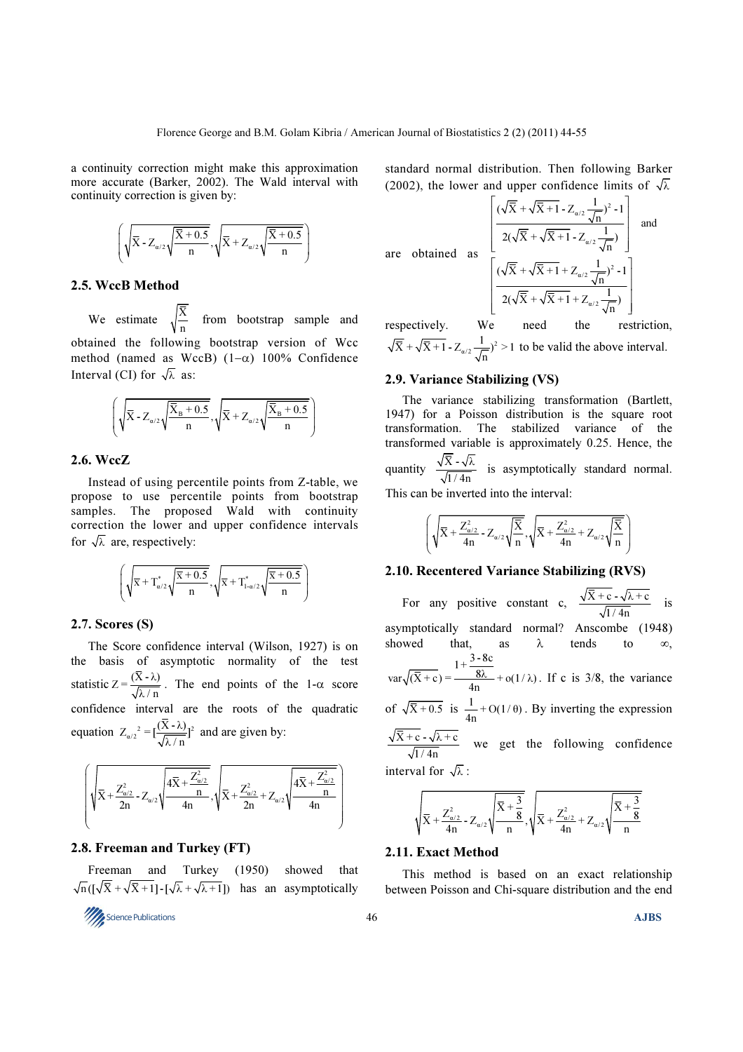a continuity correction might make this approximation more accurate (Barker, 2002). The Wald interval with continuity correction is given by:

$$
\left(\sqrt{\overline{X}} - Z_{\alpha/2}\sqrt{\frac{\overline{X} + 0.5}{n}}, \sqrt{\overline{X} + Z_{\alpha/2}\sqrt{\frac{\overline{X} + 0.5}{n}}}\right)
$$

# 2.5. WccB Method

We estimate  $\sqrt{\frac{\overline{X}}{n}}$  from bootstrap sample and obtained the following bootstrap version of Wcc method (named as WccB) (1−α) 100% Confidence Interval (CI) for  $\sqrt{\lambda}$  as:

$$
\left(\sqrt{\bar{X}} - Z_{\alpha/2}\sqrt{\frac{\bar{X}_B + 0.5}{n}}, \sqrt{\bar{X}} + Z_{\alpha/2}\sqrt{\frac{\bar{X}_B + 0.5}{n}}\right)
$$

# 2.6. WccZ

Instead of using percentile points from Z-table, we propose to use percentile points from bootstrap samples. The proposed Wald with continuity correction the lower and upper confidence intervals for  $\sqrt{\lambda}$  are, respectively:

$$
\left(\sqrt{\overline{\mathbf{x}}+\mathbf{T}_{\alpha/2}^*\sqrt{\frac{\overline{\mathbf{x}}+0.5}{n}}},\sqrt{\overline{\mathbf{x}}+\mathbf{T}_{1\cdot\alpha/2}^*\sqrt{\frac{\overline{\mathbf{x}}+0.5}{n}}}\right)
$$

#### 2.7. Scores (S)

The Score confidence interval (Wilson, 1927) is on the basis of asymptotic normality of the test statistic  $Z = \frac{(X - \lambda)}{\sqrt{\lambda/n}}$ . The end points of the 1- $\alpha$  score confidence interval are the roots of the quadratic equation  $Z_{\alpha/2}^2 = [\frac{(X - \lambda)}{\sqrt{\lambda/n}}]^2$  and are given by:

$$
\left(\sqrt{\overline{X}+\frac{Z_{\alpha/2}^2}{2n}}\cdot Z_{\alpha/2}\sqrt{\frac{4\overline{X}+\frac{Z_{\alpha/2}^2}{n}}{4n}},\sqrt{\overline{X}+\frac{Z_{\alpha/2}^2}{2n}}+Z_{\alpha/2}\sqrt{\frac{4\overline{X}+\frac{Z_{\alpha/2}^2}{n}}{4n}}\right)
$$

#### 2.8. Freeman and Turkey (FT)

Freeman and Turkey (1950) showed that  $\sqrt{n}$  ( $\sqrt{\overline{X}} + \sqrt{\overline{X} + 1}$ ) -  $\sqrt{\lambda} + \sqrt{\lambda + 1}$ ) has an asymptotically

$$
\frac{1}{46}
$$
 Science Publications

standard normal distribution. Then following Barker (2002), the lower and upper confidence limits of  $\sqrt{\lambda}$ 

$$
are obtained as \begin{bmatrix} 1 & 1 & 1 \\ 1 & 1 & 1 \\ 1 & 1 & 1 \\ 1 & 1 & 1 \\ 1 & 1 & 1 \\ 1 & 1 & 1 \\ 1 & 1 & 1 \\ 1 & 1 & 1 \\ 1 & 1 & 1 \\ 1 & 1 & 1 \\ 1 & 1 & 1 \\ 1 & 1 & 1 \\ 1 & 1 & 1 \\ 1 & 1 & 1 \\ 1 & 1 & 1 \\ 1 & 1 & 1 \\ 1 & 1 & 1 \\ 1 & 1 & 1 \\ 1 & 1 & 1 \\ 1 & 1 & 1 \\ 1 & 1 & 1 \\ 1 & 1 & 1 \\ 1 & 1 & 1 \\ 1 & 1 & 1 \\ 1 & 1 & 1 \\ 1 & 1 & 1 \\ 1 & 1 & 1 \\ 1 & 1 & 1 \\ 1 & 1 & 1 \\ 1 & 1 & 1 \\ 1 & 1 & 1 \\ 1 & 1 & 1 \\ 1 & 1 & 1 \\ 1 & 1 & 1 \\ 1 & 1 & 1 \\ 1 & 1 & 1 \\ 1 & 1 & 1 \\ 1 & 1 & 1 \\ 1 & 1 & 1 \\ 1 & 1 & 1 \\ 1 & 1 & 1 \\ 1 & 1 & 1 \\ 1 & 1 & 1 \\ 1 & 1 & 1 \\ 1 & 1 & 1 \\ 1 & 1 & 1 \\ 1 & 1 & 1 \\ 1 & 1 & 1 \\ 1 & 1 & 1 \\ 1 & 1 & 1 \\ 1 & 1 & 1 \\ 1 & 1 & 1 \\ 1 & 1 & 1 \\ 1 & 1 & 1 \\ 1 & 1 & 1 \\ 1 & 1 & 1 \\ 1 & 1 & 1 \\ 1 & 1 & 1 \\ 1 & 1 & 1 \\ 1 & 1 & 1 \\ 1 & 1 & 1 \\ 1 & 1 & 1 \\ 1 & 1 & 1 \\ 1 & 1 & 1 \\ 1 & 1 & 1 \\ 1 & 1 & 1 \\ 1 & 1 & 1 \\ 1 & 1 & 1 \\ 1 & 1 & 1 \\ 1 & 1 & 1 \\ 1 & 1 & 1 \\ 1 & 1 & 1 \\ 1 & 1 & 1 \\ 1 & 1 & 1 \\ 1 & 1 & 1 \\ 1 & 1 & 1 \\ 1 & 1 & 1 \\ 1 & 1 & 1 \\ 1 & 1 & 1 \\ 1 & 1 & 1 \\ 1 & 1 & 1 \\ 1 & 1 & 1 \\ 1 & 1 & 1 \\ 1 &
$$

$$
\left[\frac{(\sqrt{\overline{X}} + \sqrt{\overline{X} + 1} - Z_{\alpha/2} \frac{1}{\sqrt{n}})^2 - 1}{2(\sqrt{\overline{X}} + \sqrt{\overline{X} + 1} - Z_{\alpha/2} \frac{1}{\sqrt{n}})}\right] \text{ and}
$$

$$
\left[\frac{(\sqrt{\overline{X}} + \sqrt{\overline{X} + 1} + Z_{\alpha/2} \frac{1}{\sqrt{n}})^2 - 1}{2(\sqrt{\overline{X}} + \sqrt{\overline{X} + 1} + Z_{\alpha/2} \frac{1}{\sqrt{n}})}\right]
$$

respectively. We need the restriction,  $\overline{\overline{X}} + \sqrt{\overline{X} + 1} - Z_{\alpha/2} \frac{1}{\sqrt{n}}$ <sup>2</sup> > 1 to be valid the above interval.

#### 2.9. Variance Stabilizing (VS)

The variance stabilizing transformation (Bartlett, 1947) for a Poisson distribution is the square root transformation. The stabilized variance of the transformed variable is approximately 0.25. Hence, the quantity  $\frac{\sqrt{\overline{X}} - \sqrt{\lambda}}{\sqrt{1/4n}}$  is asymptotically standard normal.

This can be inverted into the interval:

$$
\left(\sqrt{\overline{X}} + \frac{Z_{\alpha/2}^2}{4n} - Z_{\alpha/2}\sqrt{\frac{\overline{X}}{n}}, \sqrt{\overline{X}} + \frac{Z_{\alpha/2}^2}{4n} + Z_{\alpha/2}\sqrt{\frac{\overline{X}}{n}}\right)
$$

# 2.10. Recentered Variance Stabilizing (RVS)

For any positive constant c,  $\frac{\sqrt{X} + c - \sqrt{\lambda + c}}{\sqrt{1/4n}}$  is asymptotically standard normal? Anscombe (1948) showed that, as  $\lambda$  tends to  $\infty$ ,  $1 + \frac{3 - 8c}{2}$  $var\sqrt{(\bar{X}+c)} = \frac{8\lambda}{4n} + o(1/\lambda)$ . If c is 3/8, the variance of  $\sqrt{\overline{X} + 0.5}$  is  $\frac{1}{4n} + O(1/\theta)$ . By inverting the expression  $\overline{X}$  + c -  $\sqrt{\lambda + c}$  $\frac{1}{\sqrt{1/4n}}$  we get the following confidence interval for  $\sqrt{\lambda}$ :

$$
\sqrt{\overline{X} + \frac{Z_{\alpha/2}^2}{4n} - Z_{\alpha/2}} \sqrt{\frac{\overline{X} + \frac{3}{8}}{n}}, \sqrt{\overline{X} + \frac{Z_{\alpha/2}^2}{4n} + Z_{\alpha/2}} \sqrt{\frac{\overline{X} + \frac{3}{8}}{n}}
$$

# 2.11. Exact Method

This method is based on an exact relationship between Poisson and Chi-square distribution and the end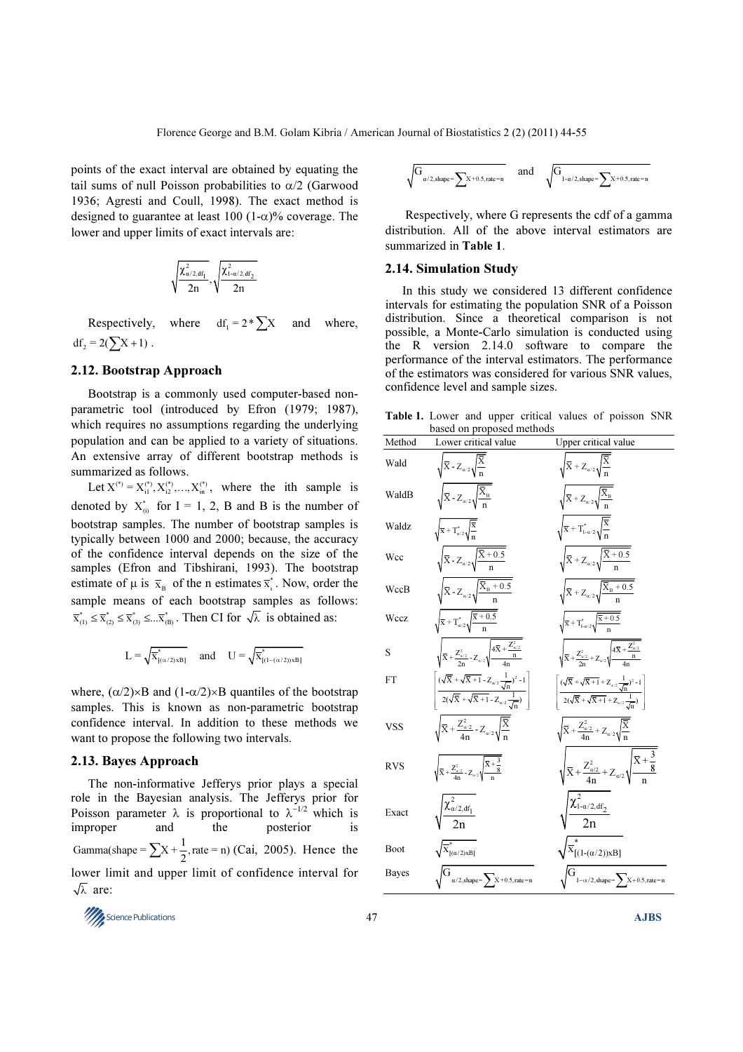points of the exact interval are obtained by equating the tail sums of null Poisson probabilities to  $\alpha/2$  (Garwood 1936; Agresti and Coull, 1998). The exact method is designed to guarantee at least 100 (1- $\alpha$ )% coverage. The lower and upper limits of exact intervals are:

$$
\sqrt{\frac{\chi^2_{\alpha/2, df_1}}{2n}}, \sqrt{\frac{\chi^2_{1-\alpha/2, df_2}}{2n}}
$$

Respectively, where  $df_1 = 2 * \sum X$  and where,  $df_2 = 2(\sum X + 1)$ .

#### 2.12. Bootstrap Approach

Bootstrap is a commonly used computer-based nonparametric tool (introduced by Efron (1979; 1987), which requires no assumptions regarding the underlying population and can be applied to a variety of situations. An extensive array of different bootstrap methods is summarized as follows.

Let  $X^{(*)} = X_{i1}^{(*)}, X_{i2}^{(*)}, \ldots, X_{in}^{(*)}$ , where the ith sample is denoted by  $X_{(i)}^*$  for I = 1, 2, B and B is the number of bootstrap samples. The number of bootstrap samples is typically between 1000 and 2000; because, the accuracy of the confidence interval depends on the size of the samples (Efron and Tibshirani, 1993). The bootstrap estimate of  $\mu$  is  $\bar{x}_B$  of the n estimates  $\bar{x}_i^*$ . Now, order the sample means of each bootstrap samples as follows:  $\overline{x}_{(1)}^* \leq \overline{x}_{(2)}^* \leq \overline{x}_{(3)}^* \leq ... \overline{x}_{(B)}^*$ . Then CI for  $\sqrt{\lambda}$  is obtained as:

$$
L=\sqrt{\overline{x}^*_{[(\alpha/2)xB]}}\quad \text{ and }\quad U=\sqrt{\overline{x}^*_{[(1-(\alpha/2))xB]}}
$$

where,  $(\alpha/2) \times B$  and  $(1-\alpha/2) \times B$  quantiles of the bootstrap samples. This is known as non-parametric bootstrap confidence interval. In addition to these methods we want to propose the following two intervals.

#### 2.13. Bayes Approach

The non-informative Jefferys prior plays a special role in the Bayesian analysis. The Jefferys prior for Poisson parameter  $\lambda$  is proportional to  $\lambda^{-1/2}$  which is improper and the posterior is Gamma(shape =  $\sum X + \frac{1}{2}$ , rate = n) (Cai, 2005). Hence the lower limit and upper limit of confidence interval for  $\sqrt{\lambda}$  are:

$$
\sqrt{G_{\alpha/2,\text{shape}}}\hspace{-0.03cm}-\hspace{-0.03cm}\sum_{x\text{+0.5},\text{rate}=\text{n}} \quad \text{ and } \quad \sqrt{G_{1-\alpha/2,\text{shape}}\hspace{-0.03cm}-\hspace{-0.03cm}\sum_{x\text{+0.5},\text{rate}=\text{n}}}
$$

 Respectively, where G represents the cdf of a gamma distribution. All of the above interval estimators are summarized in Table 1.

#### 2.14. Simulation Study

In this study we considered 13 different confidence intervals for estimating the population SNR of a Poisson distribution. Since a theoretical comparison is not possible, a Monte-Carlo simulation is conducted using the R version 2.14.0 software to compare the performance of the interval estimators. The performance of the estimators was considered for various SNR values, confidence level and sample sizes.

Table 1. Lower and upper critical values of poisson SNR based on proposed methods

|              | based on proposed memods                                                                                                                                                          |                                                                                                                                                                                                               |
|--------------|-----------------------------------------------------------------------------------------------------------------------------------------------------------------------------------|---------------------------------------------------------------------------------------------------------------------------------------------------------------------------------------------------------------|
| Method       | Lower critical value                                                                                                                                                              | <b>Upper critical value</b>                                                                                                                                                                                   |
| Wald         | $\sqrt{\overline{X}}$ - $Z_{\alpha/2}\sqrt{\frac{\overline{X}}{\overline{X}}}$                                                                                                    | $\sqrt{\overline{X}} + Z_{\alpha/2} \sqrt{\frac{\overline{X}}{n}}$                                                                                                                                            |
| WaldB        | $\sqrt{\overline{X}}$ - $Z_{\alpha/2}\sqrt{\frac{\overline{X}_{B}}{n}}$                                                                                                           | $\sqrt{\overline{X}} + Z_{\alpha/2} \sqrt{\frac{\overline{X}_{B}}{n}}$                                                                                                                                        |
| Waldz        | $\sqrt{\overline{\mathbf{x}}} + \mathbf{T}_{\alpha/2}^* \sqrt{\frac{\overline{\mathbf{x}}}{n}}$                                                                                   | $\sqrt{\overline{x}} + T^*_{1-\alpha/2} \sqrt{\frac{\overline{x}}{n}}$                                                                                                                                        |
| Wcc          | $\sqrt{\overline{X}}$ - $Z_{\alpha/2}\sqrt{\frac{\overline{X}+0.5}{n}}$                                                                                                           | $\sqrt{\overline{X}} + Z_{\alpha/2} \sqrt{\frac{\overline{X} + 0.5}{n}}$                                                                                                                                      |
| WccB         | $\sqrt{\overline{X}}$ - $Z_{\alpha/2}\sqrt{\frac{\overline{X}_{B}+0.5}{n}}$                                                                                                       | $\sqrt{\overline{X}} + Z_{\alpha/2} \sqrt{\frac{\overline{X}_{B} + 0.5}{n}}$                                                                                                                                  |
| Wccz         | $\sqrt{\overline{x}} + T_{\alpha/2}^* \sqrt{\frac{\overline{x} + 0.5}{n}}$                                                                                                        | $\sqrt{\overline{x}} + T^*_{1\text{-}a/2} \sqrt{\frac{\overline{x} + 0.5}{n}}$                                                                                                                                |
| S            | $\sqrt{\overline{X} + \frac{Z_{\alpha/2}^2}{2}} - Z_{\alpha/2} \sqrt{\frac{4\overline{X} + \frac{Z_{\alpha/2}^2}{n}}{4\pi}}$                                                      | $\sqrt{\overline{X}} + \frac{Z_{\alpha/2}^2}{2n} + Z_{\alpha/2} \sqrt{\frac{4\overline{X} + \frac{Z_{\alpha/2}^2}{n}}{4n}}$                                                                                   |
| FT           | $\left[\frac{(\sqrt{\overline{X}}+\sqrt{\overline{X}+1}-Z_{\alpha/2}\frac{1}{\sqrt{n}})^2-1}{2(\sqrt{\overline{X}}+\sqrt{\overline{X}+1}-Z_{\alpha/2}\frac{1}{\sqrt{n}})}\right]$ | $\left\lceil \frac{(\sqrt{\overline{X}} + \sqrt{\overline{X} + 1} + Z_{\alpha/2} \frac{1}{\sqrt{n}})^2 - 1}{2(\sqrt{\overline{X}} + \sqrt{\overline{X} + 1} + Z_{\alpha/2} \frac{1}{\sqrt{n}})} \right\rceil$ |
| VSS          | $\sqrt{\overline{X}} + \frac{Z_{\alpha/2}^2}{4n} - Z_{\alpha/2} \sqrt{\frac{\overline{X}}{n}}$                                                                                    | $\sqrt{\overline{X}} + \frac{Z_{\alpha/2}^2}{4n} + Z_{\alpha/2} \sqrt{\frac{\overline{X}}{n}}$                                                                                                                |
| <b>RVS</b>   | $\sqrt{\bar{X} + \frac{Z_{\alpha/2}^2}{4n} - Z_{\alpha/2}\sqrt{\frac{\bar{X} + \frac{3}{8}}{n}}}$                                                                                 | $\sqrt{\bar{{\rm X}}+\frac{Z_{\alpha/2}^2}{4n}+Z_{\alpha/2}}\sqrt{\frac{\bar{{\rm X}}+\frac{3}{8}}{n}}$                                                                                                       |
| Exact        | $\frac{\chi^2_{\alpha/2, df_1}}{2n}$                                                                                                                                              | $\frac{\chi^2_{1-\alpha/2,df_2}}{2n}$                                                                                                                                                                         |
| Boot         | $\sqrt{\overline{X}}^*_{[(\alpha/2) \times B]}$                                                                                                                                   | $\overline{\overline{x}}^*_{[(1-(\alpha/2))xB]}$                                                                                                                                                              |
| <b>Bayes</b> | $\int_{\alpha/2,\text{shape}}^{\alpha} = \sum_{x} x + 0.5, \text{rate} = n$                                                                                                       | $\int_{1-\alpha/2,\text{shape}}^{\mathbf{j}}$ = $\sum_{x}$ X + 0.5, rate = n                                                                                                                                  |

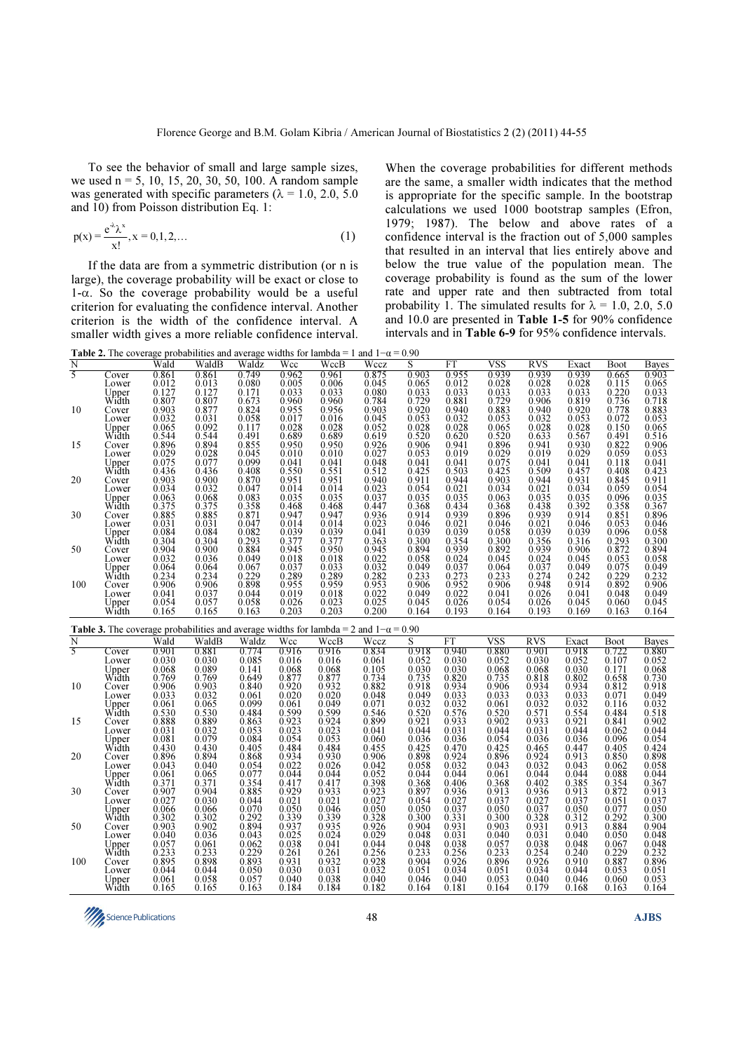To see the behavior of small and large sample sizes, we used n = 5, 10, 15, 20, 30, 50, 100. A random sample was generated with specific parameters ( $\lambda = 1.0, 2.0, 5.0$ and 10) from Poisson distribution Eq. 1:

$$
p(x) = \frac{e^{-\lambda} \lambda^{x}}{x!}, x = 0, 1, 2, ...
$$
 (1)

If the data are from a symmetric distribution (or n is large), the coverage probability will be exact or close to  $1-\alpha$ . So the coverage probability would be a useful criterion for evaluating the confidence interval. Another criterion is the width of the confidence interval. A smaller width gives a more reliable confidence interval.

When the coverage probabilities for different methods are the same, a smaller width indicates that the method is appropriate for the specific sample. In the bootstrap calculations we used 1000 bootstrap samples (Efron, 1979; 1987). The below and above rates of a confidence interval is the fraction out of 5,000 samples that resulted in an interval that lies entirely above and below the true value of the population mean. The coverage probability is found as the sum of the lower rate and upper rate and then subtracted from total probability 1. The simulated results for  $\lambda = 1.0, 2.0, 5.0$ and 10.0 are presented in Table 1-5 for 90% confidence intervals and in Table 6-9 for 95% confidence intervals.

|     |                |                                                                 | <b>Table 2.</b> The coverage probabilities and average widths for lambda = 1 and $1-\alpha = 0.90$                    |                                                        |                                                        |                                                        |                                                                               |                                                                               |                                                        |                                                                                                                                                           |                                                                          |                                                                                                                                                                                                      |                                                             |                                                                                                                                                                                                                                                                                      |
|-----|----------------|-----------------------------------------------------------------|-----------------------------------------------------------------------------------------------------------------------|--------------------------------------------------------|--------------------------------------------------------|--------------------------------------------------------|-------------------------------------------------------------------------------|-------------------------------------------------------------------------------|--------------------------------------------------------|-----------------------------------------------------------------------------------------------------------------------------------------------------------|--------------------------------------------------------------------------|------------------------------------------------------------------------------------------------------------------------------------------------------------------------------------------------------|-------------------------------------------------------------|--------------------------------------------------------------------------------------------------------------------------------------------------------------------------------------------------------------------------------------------------------------------------------------|
| N   |                | Wald                                                            | WaldB                                                                                                                 | Waldz                                                  | Wcc                                                    | WccB                                                   | Wccz                                                                          | S                                                                             | FT                                                     | VSS                                                                                                                                                       | <b>RVS</b>                                                               | Exact                                                                                                                                                                                                | <b>Boot</b>                                                 | <b>Bayes</b>                                                                                                                                                                                                                                                                         |
| 5   | Cover          | $\begin{array}{c} 0.861 \\ 0.012 \end{array}$                   | $\begin{array}{c} 0.861 \\ 0.013 \end{array}$                                                                         | $\begin{array}{c} 0.749 \\ 0.080 \end{array}$          | $\begin{array}{c} 0.962 \\ 0.005 \end{array}$          | 0.961<br>0.006                                         | $\begin{array}{c} 0.875 \\ 0.045 \end{array}$                                 | 0.903                                                                         | $\begin{array}{c} 0.955 \\ 0.012 \end{array}$          | 0.939<br>0.028                                                                                                                                            | 0.939                                                                    | $0.939$<br>0.028<br>0.033<br>0.819<br>0.053<br>0.028<br>0.028<br>0.029<br>0.044<br>0.035<br>0.035<br>0.034<br>0.039<br>0.044<br>0.044<br>0.044<br>0.044<br>0.044<br>0.044<br>0.044<br>0.044<br>0.044 | 0.665                                                       | $\frac{0.903}{0.0033}$<br>$\frac{0.065}{0.053}$<br>$\frac{0.053}{0.055}$<br>$\frac{0.055}{0.065}$<br>$\frac{0.051}{0.054}$<br>$\frac{0.0423}{0.0367}$<br>$\frac{0.036}{0.049}$<br>$\frac{0.04232}{0.049}$<br>$\frac{0.049}{0.049}$<br>$\frac{0.049}{0.049}$<br>$\frac{0.049}{0.049}$ |
|     | Lower          |                                                                 |                                                                                                                       |                                                        | 0.033                                                  | 0.033                                                  |                                                                               | 0.065<br>0.033                                                                | 0.033                                                  |                                                                                                                                                           | 0.028<br>0.033                                                           |                                                                                                                                                                                                      | 0.115<br>0.220                                              |                                                                                                                                                                                                                                                                                      |
|     | Upper<br>Width |                                                                 |                                                                                                                       | 0.171                                                  | 0.960                                                  | 0.960                                                  | 0.080                                                                         |                                                                               | 0.881                                                  |                                                                                                                                                           | 0.906                                                                    |                                                                                                                                                                                                      | 0.736                                                       |                                                                                                                                                                                                                                                                                      |
| 10  | Cover          | $0.127$<br>$0.807$<br>$0.903$<br>$0.032$                        | $\begin{array}{c} 0.127 \\ 0.807 \\ 0.877 \\ 0.031 \\ 0.092 \\ 0.544 \\ 0.894 \\ 0.028 \\ 0.077 \\ 0.436 \end{array}$ | $\frac{0.673}{0.824}$                                  |                                                        |                                                        | $\begin{array}{c} 0.784 \\ 0.903 \\ 0.045 \end{array}$                        | $0.729$<br>0.920<br>0.053                                                     |                                                        | $0.033$<br>0.729<br>0.883<br>0.053                                                                                                                        |                                                                          |                                                                                                                                                                                                      |                                                             |                                                                                                                                                                                                                                                                                      |
|     | Lower          |                                                                 |                                                                                                                       | 0.058                                                  | $\begin{array}{c} 0.955 \\ 0.017 \end{array}$          | $\overline{0.956}$<br>0.016                            |                                                                               |                                                                               | $0.940$<br>$0.032$                                     |                                                                                                                                                           | $0.940$<br>$0.032$                                                       |                                                                                                                                                                                                      | $0.778$<br>$0.072$                                          |                                                                                                                                                                                                                                                                                      |
|     | Upper<br>Width | 0.065                                                           |                                                                                                                       | 0.117                                                  | 0.028                                                  | 0.028                                                  | 0.052                                                                         | $0.028$<br>0.520<br>0.906                                                     | 0.028                                                  | $0.065$<br>0.520<br>0.896<br>0.029<br>0.075<br>0.425                                                                                                      | 0.028                                                                    |                                                                                                                                                                                                      | 0.150                                                       |                                                                                                                                                                                                                                                                                      |
|     |                | $0.544$<br>$0.896$<br>$0.029$<br>$0.075$<br>$0.436$             |                                                                                                                       | 0.491                                                  | 0.689<br>0.950                                         | $\frac{0.689}{0.950}$                                  | $0.619$<br>0.926<br>0.927                                                     |                                                                               | $0.620$<br>$0.941$                                     |                                                                                                                                                           | $\frac{0.633}{0.941}$                                                    |                                                                                                                                                                                                      | $0.491$<br>$0.822$<br>$0.059$                               |                                                                                                                                                                                                                                                                                      |
| 15  | Cover          |                                                                 |                                                                                                                       | 0.855                                                  |                                                        |                                                        |                                                                               |                                                                               |                                                        |                                                                                                                                                           |                                                                          |                                                                                                                                                                                                      |                                                             |                                                                                                                                                                                                                                                                                      |
|     | Lower          |                                                                 |                                                                                                                       | 0.045<br>0.099                                         | 0.010                                                  | 0.010                                                  |                                                                               | 0.053                                                                         | 0.019                                                  |                                                                                                                                                           | 0.019<br>0.041                                                           |                                                                                                                                                                                                      |                                                             |                                                                                                                                                                                                                                                                                      |
|     | Upper<br>Width |                                                                 |                                                                                                                       | 0.408                                                  | $\begin{array}{c} 0.041 \\ 0.550 \end{array}$          | $\begin{array}{c} 0.041 \\ 0.551 \end{array}$          | $0.048$<br>$0.512$                                                            | $0.041$<br>$0.425$                                                            | $\begin{array}{c} 0.041 \\ 0.503 \end{array}$          |                                                                                                                                                           | 0.509                                                                    |                                                                                                                                                                                                      | $\begin{array}{c} 0.118 \\ 0.408 \end{array}$               |                                                                                                                                                                                                                                                                                      |
| 20  | Cover          | 0.903                                                           |                                                                                                                       | 0.870                                                  | 0.951                                                  | 0.951                                                  | 0.940                                                                         | 0.911                                                                         | 0.944                                                  | 0.903                                                                                                                                                     | 0.944                                                                    |                                                                                                                                                                                                      |                                                             |                                                                                                                                                                                                                                                                                      |
|     | Lower          | $0.034$<br>$0.063$                                              |                                                                                                                       | 0.047                                                  | 0.014                                                  | 0.014                                                  | $0.023$<br>$0.037$                                                            |                                                                               |                                                        |                                                                                                                                                           |                                                                          |                                                                                                                                                                                                      | $0.845$<br>$0.059$                                          |                                                                                                                                                                                                                                                                                      |
|     | Upper<br>Width |                                                                 |                                                                                                                       | 0.083                                                  | 0.035                                                  | 0.035                                                  |                                                                               | $\begin{array}{c} 0.054 \\ 0.035 \end{array}$                                 | $\begin{array}{c} 0.021 \\ 0.035 \end{array}$          |                                                                                                                                                           | $\begin{array}{c} 0.021 \\ 0.035 \end{array}$                            |                                                                                                                                                                                                      | 0.096                                                       |                                                                                                                                                                                                                                                                                      |
|     |                |                                                                 |                                                                                                                       | 0.358                                                  |                                                        | 0.468                                                  | $0.447$<br>$0.936$                                                            |                                                                               | 0.434                                                  |                                                                                                                                                           | $0.438$<br>0.939                                                         |                                                                                                                                                                                                      |                                                             |                                                                                                                                                                                                                                                                                      |
| 30  | Cover          | $\begin{array}{c} 0.375 \\ 0.885 \\ 0.031 \end{array}$          |                                                                                                                       | 0.871                                                  | $0.468$<br>$0.947$<br>$0.014$                          | $\begin{array}{c} 0.947 \\ 0.014 \end{array}$          |                                                                               | $\begin{array}{c} 0.368 \\ 0.914 \\ 0.046 \end{array}$                        | 0.939                                                  |                                                                                                                                                           |                                                                          |                                                                                                                                                                                                      | $\begin{array}{c} 0.358 \\ 0.851 \\ 0.053 \end{array}$      |                                                                                                                                                                                                                                                                                      |
|     | Lower          |                                                                 |                                                                                                                       | 0.047                                                  |                                                        |                                                        | 0.023<br>0.041                                                                |                                                                               | 0.021<br>0.039                                         |                                                                                                                                                           | 0.021<br>0.039                                                           |                                                                                                                                                                                                      |                                                             |                                                                                                                                                                                                                                                                                      |
|     | Upper<br>Width | 0.084                                                           |                                                                                                                       | 0.082<br>0.293                                         | 0.039                                                  | 0.039                                                  |                                                                               | 0.039                                                                         |                                                        |                                                                                                                                                           |                                                                          | 0.316                                                                                                                                                                                                | 0.096                                                       |                                                                                                                                                                                                                                                                                      |
| 50  | Cover          | $\begin{array}{c} 0.304 \\ 0.904 \end{array}$                   |                                                                                                                       | 0.884                                                  | $\overline{0.377}$<br>0.945                            | $\overline{0.377}$<br>0.950                            | $\overline{0.363}$<br>0.945                                                   |                                                                               | $\overline{0.354}$<br>0.939                            |                                                                                                                                                           | $\overline{0.356}$<br>0.939                                              |                                                                                                                                                                                                      |                                                             |                                                                                                                                                                                                                                                                                      |
|     | Lower          | 0.032                                                           | $0.900$<br>0.032<br>0.068<br>0.375<br>0.885<br>0.031<br>0.084<br>0.084<br>0.000<br>0.000<br>0.036                     | 0.049                                                  | 0.018                                                  | 0.018                                                  | 0.022                                                                         |                                                                               | 0.024                                                  | $\begin{array}{c} 0.034 \\ 0.063 \\ 0.368 \\ 0.896 \\ 0.046 \\ 0.058 \\ 0.300 \\ 0.892 \\ 0.045 \\ 0.064 \\ 0.233 \\ 0.906 \end{array}$                   | 0.024                                                                    | $0.906$<br>$0.045$<br>$0.049$<br>$0.242$<br>$0.914$                                                                                                                                                  | 0.090<br>0.293<br>0.872<br>0.053<br>0.075<br>0.229<br>0.892 |                                                                                                                                                                                                                                                                                      |
|     |                | 0.064                                                           |                                                                                                                       | 0.067                                                  | $\begin{array}{c} 0.037 \\ 0.289 \\ 0.955 \end{array}$ |                                                        |                                                                               |                                                                               | 0.037                                                  |                                                                                                                                                           | 0.037                                                                    |                                                                                                                                                                                                      |                                                             |                                                                                                                                                                                                                                                                                      |
|     | Upper<br>Width | $0.234$<br>0.906                                                |                                                                                                                       | 0.229                                                  |                                                        | $\begin{array}{c} 0.033 \\ 0.289 \end{array}$          |                                                                               |                                                                               | 0.273                                                  |                                                                                                                                                           | 0.274                                                                    |                                                                                                                                                                                                      |                                                             |                                                                                                                                                                                                                                                                                      |
| 100 | Cover          |                                                                 |                                                                                                                       | 0.898                                                  |                                                        | 0.959                                                  |                                                                               |                                                                               | 0.952                                                  |                                                                                                                                                           | 0.948                                                                    |                                                                                                                                                                                                      |                                                             |                                                                                                                                                                                                                                                                                      |
|     | Lower          | $\begin{array}{c} 0.041 \\ 0.054 \end{array}$                   | $0.064$<br>$0.234$<br>$0.906$<br>$0.037$<br>$0.057$                                                                   | 0.044                                                  | $0.019$<br>0.026                                       | 0.018                                                  | $0.032$<br>0.282<br>0.282<br>0.953<br>0.022<br>0.025                          | 0.039<br>0.300<br>0.894<br>0.058<br>0.049<br>0.233<br>0.906<br>0.049<br>0.045 | $0.022$<br>$0.026$                                     | $\begin{array}{c} 0.041 \\ 0.054 \end{array}$                                                                                                             | 0.026                                                                    |                                                                                                                                                                                                      | $\begin{array}{c} 0.048 \\ 0.060 \end{array}$               |                                                                                                                                                                                                                                                                                      |
|     | Upper<br>Width | 0.165                                                           | 0.165                                                                                                                 | 0.058<br>0.163                                         | 0.203                                                  | 0.023<br>0.203                                         | 0.200                                                                         | 0.164                                                                         | 0.193                                                  | 0.164                                                                                                                                                     | 0.026<br>0.193                                                           | $\begin{array}{c} 0.041 \\ 0.045 \\ 0.169 \end{array}$                                                                                                                                               | 0.163                                                       | 0.164                                                                                                                                                                                                                                                                                |
|     |                |                                                                 |                                                                                                                       |                                                        |                                                        |                                                        |                                                                               |                                                                               |                                                        |                                                                                                                                                           |                                                                          |                                                                                                                                                                                                      |                                                             |                                                                                                                                                                                                                                                                                      |
|     |                |                                                                 |                                                                                                                       |                                                        |                                                        |                                                        |                                                                               |                                                                               |                                                        |                                                                                                                                                           |                                                                          |                                                                                                                                                                                                      |                                                             |                                                                                                                                                                                                                                                                                      |
|     |                |                                                                 | <b>Table 3.</b> The coverage probabilities and average widths for lambda = 2 and $1-\alpha$ = 0.90                    |                                                        |                                                        |                                                        |                                                                               |                                                                               |                                                        |                                                                                                                                                           |                                                                          |                                                                                                                                                                                                      |                                                             |                                                                                                                                                                                                                                                                                      |
| N   |                | Wald                                                            | WaldB                                                                                                                 | Waldz                                                  | Wcc                                                    | WccB                                                   | Wccz                                                                          | S                                                                             | FT                                                     | <b>VSS</b>                                                                                                                                                | <b>RVS</b>                                                               | Exact                                                                                                                                                                                                | Boot                                                        | <b>Bayes</b>                                                                                                                                                                                                                                                                         |
| 5   | Cover          | 0.901                                                           | 0.881                                                                                                                 | 0.774                                                  | 0.916                                                  | 0.916                                                  | 0.834                                                                         | 0.918                                                                         |                                                        | 0.880                                                                                                                                                     | 0.901                                                                    | 0.918                                                                                                                                                                                                |                                                             |                                                                                                                                                                                                                                                                                      |
|     | Lower          | 0.030                                                           |                                                                                                                       | 0.085                                                  | 0.016                                                  | 0.016                                                  |                                                                               | 0.052                                                                         | 0.940<br>0.030                                         |                                                                                                                                                           | 0.030                                                                    | 0.052                                                                                                                                                                                                | $\begin{array}{c} 0.722 \\ 0.107 \end{array}$               |                                                                                                                                                                                                                                                                                      |
|     |                | 0.068                                                           | $0.030$<br>$0.089$                                                                                                    | 0.141                                                  | 0.068                                                  | 0.068                                                  | $\begin{array}{c} 0.061 \\ 0.105 \end{array}$                                 | 0.030                                                                         | 0.030                                                  | $0.052$<br>$0.068$                                                                                                                                        | 0.068                                                                    | 0.030                                                                                                                                                                                                | 0.171                                                       |                                                                                                                                                                                                                                                                                      |
|     | Upper<br>Width |                                                                 |                                                                                                                       |                                                        |                                                        |                                                        |                                                                               |                                                                               |                                                        |                                                                                                                                                           |                                                                          |                                                                                                                                                                                                      |                                                             |                                                                                                                                                                                                                                                                                      |
| 10  | Cover          |                                                                 |                                                                                                                       | $0.649$<br>$0.840$                                     |                                                        |                                                        |                                                                               |                                                                               |                                                        |                                                                                                                                                           |                                                                          |                                                                                                                                                                                                      |                                                             |                                                                                                                                                                                                                                                                                      |
|     | Lower          | $\begin{array}{c} 0.008 \\ 0.769 \\ 0.906 \\ 0.033 \end{array}$ | $\begin{array}{c} 0.769 \\ 0.903 \\ 0.032 \end{array}$                                                                | 0.061                                                  | $\begin{array}{c} 0.877 \\ 0.920 \\ 0.020 \end{array}$ | $\begin{array}{c} 0.877 \\ 0.932 \\ 0.020 \end{array}$ |                                                                               |                                                                               | $\begin{array}{c} 0.820 \\ 0.934 \\ 0.033 \end{array}$ |                                                                                                                                                           |                                                                          |                                                                                                                                                                                                      | $0.658$<br>$0.812$<br>$0.071$<br>0.116                      |                                                                                                                                                                                                                                                                                      |
|     | Upper<br>Width | 0.061                                                           |                                                                                                                       |                                                        | 0.061<br>0.599                                         | 0.049<br>0.599                                         |                                                                               |                                                                               |                                                        |                                                                                                                                                           | $\begin{array}{c} 0.818 \\ 0.934 \\ 0.033 \\ 0.032 \end{array}$<br>0.571 |                                                                                                                                                                                                      |                                                             |                                                                                                                                                                                                                                                                                      |
| 15  | Cover          |                                                                 |                                                                                                                       | $0.099$<br>0.484<br>0.863                              |                                                        | 0.924                                                  |                                                                               |                                                                               | $\begin{array}{c} 0.032 \\ 0.576 \end{array}$          |                                                                                                                                                           |                                                                          |                                                                                                                                                                                                      | $0.484$<br>$0.841$                                          |                                                                                                                                                                                                                                                                                      |
|     | Lower          |                                                                 |                                                                                                                       |                                                        |                                                        |                                                        |                                                                               |                                                                               |                                                        |                                                                                                                                                           |                                                                          |                                                                                                                                                                                                      | 0.062                                                       |                                                                                                                                                                                                                                                                                      |
|     |                | $0.530$<br>$0.888$<br>$0.031$<br>$0.081$                        |                                                                                                                       | $\begin{array}{c} 0.053 \\ 0.084 \end{array}$          | $0.923$<br>0.023<br>0.054                              | $\begin{array}{c} 0.023 \\ 0.053 \end{array}$          | 0.103<br>0.734<br>0.882<br>0.048<br>0.071<br>0.546<br>0.899<br>0.041<br>0.060 | $0.735$<br>0.918<br>0.049<br>0.032<br>0.520<br>0.921<br>0.044<br>0.036        | $\begin{array}{c} 0.933 \\ 0.031 \\ 0.036 \end{array}$ |                                                                                                                                                           | $\begin{array}{c} 0.933 \\ 0.031 \\ 0.036 \end{array}$                   |                                                                                                                                                                                                      | 0.096                                                       |                                                                                                                                                                                                                                                                                      |
|     | Upper<br>Width | 0.430                                                           |                                                                                                                       | 0.405                                                  | 0.484                                                  | 0.484                                                  | 0.455                                                                         |                                                                               | 0.470                                                  |                                                                                                                                                           | 0.465                                                                    |                                                                                                                                                                                                      | 0.405                                                       |                                                                                                                                                                                                                                                                                      |
| 20  | Cover          |                                                                 |                                                                                                                       |                                                        |                                                        | 0.930                                                  |                                                                               |                                                                               |                                                        |                                                                                                                                                           |                                                                          |                                                                                                                                                                                                      |                                                             |                                                                                                                                                                                                                                                                                      |
|     | Lower          |                                                                 |                                                                                                                       |                                                        |                                                        | 0.026                                                  |                                                                               |                                                                               |                                                        |                                                                                                                                                           | $\begin{array}{c} 0.924 \\ 0.032 \end{array}$                            |                                                                                                                                                                                                      | $\overline{0.850}$<br>$0.062$<br>0.088                      |                                                                                                                                                                                                                                                                                      |
|     | Upper<br>Width | $\begin{array}{c} 0.896 \\ 0.043 \\ 0.061 \end{array}$          |                                                                                                                       |                                                        | $\begin{array}{c} 0.934 \\ 0.022 \\ 0.044 \end{array}$ | $0.044$<br>$0.417$                                     |                                                                               | $0.425$<br>$0.898$<br>$0.058$<br>$0.044$                                      | $0.924$<br>$0.032$<br>$0.044$<br>0.406                 |                                                                                                                                                           | $0.044$<br>$0.402$                                                       |                                                                                                                                                                                                      |                                                             |                                                                                                                                                                                                                                                                                      |
| 30  | Cover          | 0.371<br>0.907                                                  | 0.065<br>0.530<br>0.889<br>0.032<br>0.079<br>0.430<br>0.894<br>0.065<br>0.371<br>0.904                                | $0.868$<br>0.054<br>0.077<br>0.354<br>0.885            |                                                        | 0.933                                                  |                                                                               |                                                                               | 0.936                                                  | $\begin{array}{c} 0.735 \\ 0.906 \\ 0.033 \\ 0.061 \\ 0.520 \\ 0.902 \\ 0.044 \\ 0.054 \\ 0.425 \\ 0.896 \\ 0.043 \\ 0.061 \\ 0.368 \\ 0.913 \end{array}$ | 0.936                                                                    | $\begin{array}{c} 0.802 \\ 0.934 \\ 0.033 \\ 0.032 \\ 0.554 \\ 0.921 \\ 0.044 \\ 0.036 \\ 0.447 \\ 0.913 \\ 0.043 \\ 0.044 \\ 0.385 \\ 0.913 \end{array}$                                            | $\begin{array}{c} 0.354 \\ 0.872 \end{array}$               | $\begin{array}{c} 0.880\ 0.052\ 0.068\ 0.730\ 0.918\ 0.049\ 0.032\ 0.518\ 0.902\ 0.044\ 0.054\ 0.424\ 0.898\ 0.044\ 0.367\ 0.913\ \end{array}$                                                                                                                                       |
|     | Lower          | 0.027                                                           | 0.030                                                                                                                 | 0.044                                                  | $0.417$<br>$0.929$<br>$0.021$                          | 0.021                                                  | $0.906$<br>0.906<br>0.042<br>0.052<br>0.398<br>0.923<br>0.027                 | $0.368$<br>$0.897$<br>$0.054$                                                 | 0.027                                                  |                                                                                                                                                           | 0.027                                                                    |                                                                                                                                                                                                      | 0.051                                                       |                                                                                                                                                                                                                                                                                      |
|     |                |                                                                 |                                                                                                                       |                                                        |                                                        |                                                        |                                                                               |                                                                               |                                                        |                                                                                                                                                           |                                                                          |                                                                                                                                                                                                      |                                                             |                                                                                                                                                                                                                                                                                      |
|     | Upper<br>Width | $0.066$<br>$0.302$                                              |                                                                                                                       |                                                        |                                                        | $0.046$<br>$0.339$                                     |                                                                               |                                                                               |                                                        |                                                                                                                                                           |                                                                          |                                                                                                                                                                                                      | $0.077$<br>$0.292$                                          |                                                                                                                                                                                                                                                                                      |
| 50  | Cover          | 0.903                                                           | $\begin{array}{c} 0.066 \\ 0.302 \\ 0.902 \end{array}$                                                                | $\begin{array}{c} 0.070 \\ 0.292 \\ 0.894 \end{array}$ | $\begin{array}{c} 0.050 \\ 0.339 \\ 0.937 \end{array}$ | 0.935                                                  | $\begin{array}{c} 0.050 \\ 0.328 \\ 0.926 \end{array}$                        | $\begin{array}{c} 0.050 \\ 0.300 \\ 0.904 \end{array}$                        | $\begin{array}{c} 0.037 \\ 0.331 \\ 0.931 \end{array}$ | $\begin{array}{c} 0.037 \\ 0.050 \\ 0.300 \\ 0.903 \end{array}$                                                                                           | $\begin{array}{c} 0.037 \\ 0.328 \\ 0.931 \end{array}$                   | $\begin{array}{c} 0.037 \\ 0.050 \\ 0.312 \\ 0.913 \end{array}$                                                                                                                                      | 0.884                                                       |                                                                                                                                                                                                                                                                                      |
|     | Lower          |                                                                 |                                                                                                                       |                                                        |                                                        | 0.024<br>0.041                                         |                                                                               |                                                                               |                                                        |                                                                                                                                                           | 0.031                                                                    |                                                                                                                                                                                                      |                                                             |                                                                                                                                                                                                                                                                                      |
|     | Upper<br>Width | $0.040$<br>$0.057$                                              |                                                                                                                       | $\begin{array}{c} 0.043 \\ 0.062 \end{array}$          | $\begin{array}{c} 0.025 \\ 0.038 \end{array}$          |                                                        | $0.029$<br>0.044                                                              | 0.048                                                                         | $\begin{array}{c} 0.031 \\ 0.038 \end{array}$          |                                                                                                                                                           | 0.038                                                                    | $0.040$<br>$0.048$                                                                                                                                                                                   | $\begin{array}{c} 0.050 \\ 0.067 \end{array}$               |                                                                                                                                                                                                                                                                                      |
| 100 | Cover          |                                                                 |                                                                                                                       |                                                        |                                                        | 0.261                                                  |                                                                               | $\begin{array}{c} 0.233 \\ 0.904 \end{array}$                                 |                                                        |                                                                                                                                                           |                                                                          |                                                                                                                                                                                                      |                                                             |                                                                                                                                                                                                                                                                                      |
|     | Lower          | $0.233$<br>0.895<br>0.044                                       | $0.902$<br>0.036<br>0.061<br>0.233<br>0.898<br>0.044                                                                  | $0.229$<br>0.893<br>0.050                              | $\begin{array}{c} 0.261 \\ 0.931 \\ 0.030 \end{array}$ | $\begin{array}{c} 0.932 \\ 0.031 \end{array}$          | $\begin{array}{c} 0.256 \\ 0.928 \\ 0.032 \end{array}$                        | 0.051                                                                         | $\begin{array}{c} 0.256 \\ 0.926 \\ 0.034 \end{array}$ |                                                                                                                                                           | $0.254$<br>0.926<br>0.034                                                | $0.240$<br>$0.910$<br>$0.044$                                                                                                                                                                        | $0.229$<br>0.887<br>0.053                                   |                                                                                                                                                                                                                                                                                      |
|     | Upper<br>Width | 0.061<br>0.165                                                  | 0.058<br>0.165                                                                                                        | 0.057<br>0.163                                         | 0.040<br>0.184                                         | 0.038<br>0.184                                         | 0.040<br>0.182                                                                | 0.046<br>0.164                                                                | 0.040<br>0.181                                         | 0.903<br>0.040<br>0.057<br>0.233<br>0.896<br>0.051<br>0.053<br>0.164                                                                                      | 0.040<br>0.179                                                           | 0.046<br>0.168                                                                                                                                                                                       | 0.060<br>0.163                                              | $\begin{array}{c} 0.037 \\ 0.050 \\ 0.300 \\ 0.904 \\ 0.048 \\ 0.048 \\ 0.232 \\ 0.896 \\ 0.051 \\ 0.053 \end{array}$<br>0.164                                                                                                                                                       |

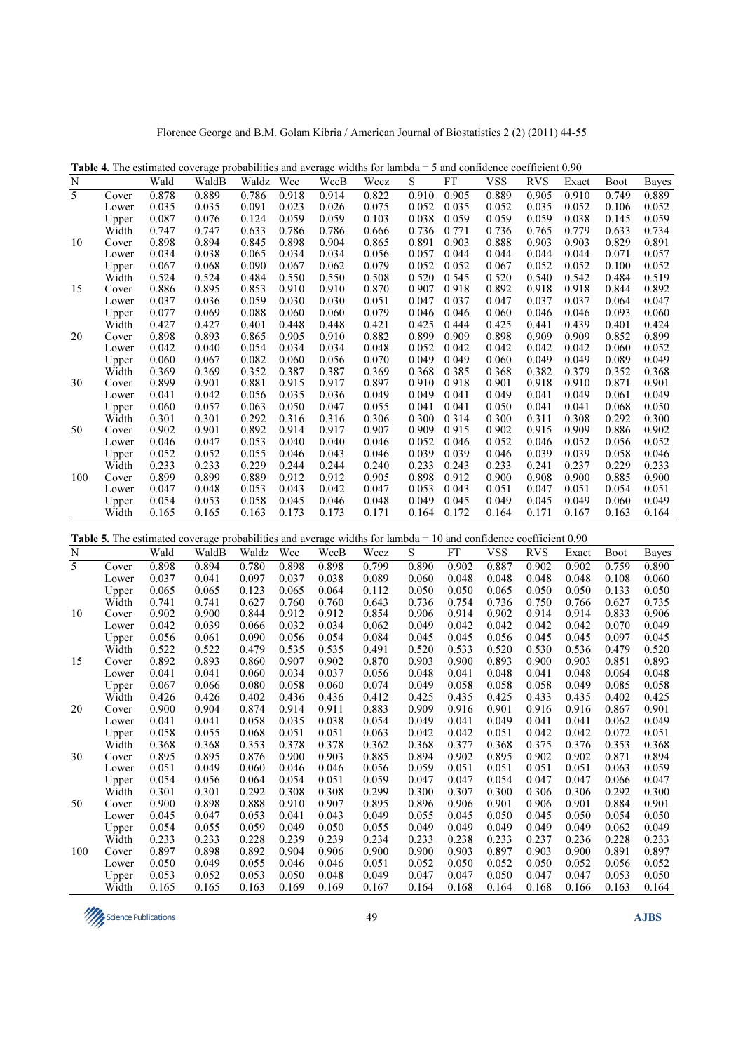Florence George and B.M. Golam Kibria / American Journal of Biostatistics 2 (2) (2011) 44-55

| N                        |                             | Wald  | WaldB                                                                                                              | Waldz | Wcc   | WccB  | Wccz  | S     | <b>FT</b> | <b>VSS</b> | <b>RVS</b> | Exact | <b>Boot</b> | Bayes        |
|--------------------------|-----------------------------|-------|--------------------------------------------------------------------------------------------------------------------|-------|-------|-------|-------|-------|-----------|------------|------------|-------|-------------|--------------|
| 5                        | Cover                       | 0.878 | 0.889                                                                                                              | 0.786 | 0.918 | 0.914 | 0.822 | 0.910 | 0.905     | 0.889      | 0.905      | 0.910 | 0.749       | 0.889        |
|                          | Lower                       | 0.035 | 0.035                                                                                                              | 0.091 | 0.023 | 0.026 | 0.075 | 0.052 | 0.035     | 0.052      | 0.035      | 0.052 | 0.106       | 0.052        |
|                          | Upper                       | 0.087 | 0.076                                                                                                              | 0.124 | 0.059 | 0.059 | 0.103 | 0.038 | 0.059     | 0.059      | 0.059      | 0.038 | 0.145       | 0.059        |
|                          | Width                       | 0.747 | 0.747                                                                                                              | 0.633 | 0.786 | 0.786 | 0.666 | 0.736 | 0.771     | 0.736      | 0.765      | 0.779 | 0.633       | 0.734        |
| 10                       | Cover                       | 0.898 | 0.894                                                                                                              | 0.845 | 0.898 | 0.904 | 0.865 | 0.891 | 0.903     | 0.888      | 0.903      | 0.903 | 0.829       | 0.891        |
|                          | Lower                       | 0.034 | 0.038                                                                                                              | 0.065 | 0.034 | 0.034 | 0.056 | 0.057 | 0.044     | 0.044      | 0.044      | 0.044 | 0.071       | 0.057        |
|                          | Upper                       | 0.067 | 0.068                                                                                                              | 0.090 | 0.067 | 0.062 | 0.079 | 0.052 | 0.052     | 0.067      | 0.052      | 0.052 | 0.100       | 0.052        |
|                          | Width                       | 0.524 | 0.524                                                                                                              | 0.484 | 0.550 | 0.550 | 0.508 | 0.520 | 0.545     | 0.520      | 0.540      | 0.542 | 0.484       | 0.519        |
| 15                       | Cover                       | 0.886 | 0.895                                                                                                              | 0.853 | 0.910 | 0.910 | 0.870 | 0.907 | 0.918     | 0.892      | 0.918      | 0.918 | 0.844       | 0.892        |
|                          | Lower                       | 0.037 | 0.036                                                                                                              | 0.059 | 0.030 | 0.030 | 0.051 | 0.047 | 0.037     | 0.047      | 0.037      | 0.037 | 0.064       | 0.047        |
|                          | Upper                       | 0.077 | 0.069                                                                                                              | 0.088 | 0.060 | 0.060 | 0.079 | 0.046 | 0.046     | 0.060      | 0.046      | 0.046 | 0.093       | 0.060        |
|                          | Width                       | 0.427 | 0.427                                                                                                              | 0.401 | 0.448 | 0.448 | 0.421 | 0.425 | 0.444     | 0.425      | 0.441      | 0.439 | 0.401       | 0.424        |
| 20                       | Cover                       | 0.898 | 0.893                                                                                                              | 0.865 | 0.905 | 0.910 | 0.882 | 0.899 | 0.909     | 0.898      | 0.909      | 0.909 | 0.852       | 0.899        |
|                          | Lower                       | 0.042 | 0.040                                                                                                              | 0.054 | 0.034 | 0.034 | 0.048 | 0.052 | 0.042     | 0.042      | 0.042      | 0.042 | 0.060       | 0.052        |
|                          | Upper                       | 0.060 | 0.067                                                                                                              | 0.082 | 0.060 | 0.056 | 0.070 | 0.049 | 0.049     | 0.060      | 0.049      | 0.049 | 0.089       | 0.049        |
|                          | Width                       | 0.369 | 0.369                                                                                                              | 0.352 | 0.387 | 0.387 | 0.369 | 0.368 | 0.385     | 0.368      | 0.382      | 0.379 | 0.352       | 0.368        |
| 30                       | Cover                       | 0.899 | 0.901                                                                                                              | 0.881 | 0.915 | 0.917 | 0.897 | 0.910 | 0.918     | 0.901      | 0.918      | 0.910 | 0.871       | 0.901        |
|                          | Lower                       | 0.041 | 0.042                                                                                                              | 0.056 | 0.035 | 0.036 | 0.049 | 0.049 | 0.041     | 0.049      | 0.041      | 0.049 | 0.061       | 0.049        |
|                          | Upper                       | 0.060 | 0.057                                                                                                              | 0.063 | 0.050 | 0.047 | 0.055 | 0.041 | 0.041     | 0.050      | 0.041      | 0.041 | 0.068       | 0.050        |
|                          | Width                       | 0.301 | 0.301                                                                                                              | 0.292 | 0.316 | 0.316 | 0.306 | 0.300 | 0.314     | 0.300      | 0.311      | 0.308 | 0.292       | 0.300        |
| 50                       | Cover                       | 0.902 | 0.901                                                                                                              | 0.892 | 0.914 | 0.917 | 0.907 | 0.909 | 0.915     | 0.902      | 0.915      | 0.909 | 0.886       | 0.902        |
|                          | Lower                       | 0.046 | 0.047                                                                                                              | 0.053 | 0.040 | 0.040 | 0.046 | 0.052 | 0.046     | 0.052      | 0.046      | 0.052 | 0.056       | 0.052        |
|                          | Upper                       | 0.052 | 0.052                                                                                                              | 0.055 | 0.046 | 0.043 | 0.046 | 0.039 | 0.039     | 0.046      | 0.039      | 0.039 | 0.058       | 0.046        |
|                          | Width                       | 0.233 | 0.233                                                                                                              | 0.229 | 0.244 | 0.244 | 0.240 | 0.233 | 0.243     | 0.233      | 0.241      | 0.237 | 0.229       | 0.233        |
| 100                      | Cover                       | 0.899 | 0.899                                                                                                              | 0.889 | 0.912 | 0.912 | 0.905 | 0.898 | 0.912     | 0.900      | 0.908      | 0.900 | 0.885       | 0.900        |
|                          | Lower                       | 0.047 | 0.048                                                                                                              | 0.053 | 0.043 | 0.042 | 0.047 | 0.053 | 0.043     | 0.051      | 0.047      | 0.051 | 0.054       | 0.051        |
|                          | Upper                       | 0.054 | 0.053                                                                                                              | 0.058 | 0.045 | 0.046 | 0.048 | 0.049 | 0.045     | 0.049      | 0.045      | 0.049 | 0.060       | 0.049        |
|                          | Width                       | 0.165 | 0.165                                                                                                              | 0.163 | 0.173 | 0.173 | 0.171 | 0.164 | 0.172     | 0.164      | 0.171      | 0.167 | 0.163       | 0.164        |
|                          |                             |       |                                                                                                                    |       |       |       |       |       |           |            |            |       |             |              |
|                          |                             |       | Table 5. The estimated coverage probabilities and average widths for lambda = 10 and confidence coefficient $0.90$ |       |       |       |       |       |           |            |            |       |             |              |
| N                        |                             | Wald  | WaldB                                                                                                              | Waldz | Wcc   | WccB  | Wccz  | S     | FT        | <b>VSS</b> | <b>RVS</b> | Exact | <b>Boot</b> | <b>Bayes</b> |
| $\overline{\phantom{a}}$ | $C_{\alpha \nu \alpha \nu}$ | 0.909 | 0.904                                                                                                              | 0.790 | 0.000 | 0.909 | 0.700 | 0.900 | 0.002     | 0.007      | 0.002      | 0.002 | 0.750       | 0.900        |

Table 4. The estimated coverage probabilities and average widths for lambda = 5 and confidence coefficient 0.90

|     |       |       | <b>Table 5.</b> The estimated coverage probabilities and average widths for lambda $= 10$ and confidence coefficient 0.90 |       |       |       |       |       |       |            |            |       |             |              |
|-----|-------|-------|---------------------------------------------------------------------------------------------------------------------------|-------|-------|-------|-------|-------|-------|------------|------------|-------|-------------|--------------|
| N   |       | Wald  | WaldB                                                                                                                     | Waldz | Wcc   | WccB  | Wccz  | S     | FT    | <b>VSS</b> | <b>RVS</b> | Exact | <b>Boot</b> | <b>Bayes</b> |
| 5   | Cover | 0.898 | 0.894                                                                                                                     | 0.780 | 0.898 | 0.898 | 0.799 | 0.890 | 0.902 | 0.887      | 0.902      | 0.902 | 0.759       | 0.890        |
|     | Lower | 0.037 | 0.041                                                                                                                     | 0.097 | 0.037 | 0.038 | 0.089 | 0.060 | 0.048 | 0.048      | 0.048      | 0.048 | 0.108       | 0.060        |
|     | Upper | 0.065 | 0.065                                                                                                                     | 0.123 | 0.065 | 0.064 | 0.112 | 0.050 | 0.050 | 0.065      | 0.050      | 0.050 | 0.133       | 0.050        |
|     | Width | 0.741 | 0.741                                                                                                                     | 0.627 | 0.760 | 0.760 | 0.643 | 0.736 | 0.754 | 0.736      | 0.750      | 0.766 | 0.627       | 0.735        |
| 10  | Cover | 0.902 | 0.900                                                                                                                     | 0.844 | 0.912 | 0.912 | 0.854 | 0.906 | 0.914 | 0.902      | 0.914      | 0.914 | 0.833       | 0.906        |
|     | Lower | 0.042 | 0.039                                                                                                                     | 0.066 | 0.032 | 0.034 | 0.062 | 0.049 | 0.042 | 0.042      | 0.042      | 0.042 | 0.070       | 0.049        |
|     | Upper | 0.056 | 0.061                                                                                                                     | 0.090 | 0.056 | 0.054 | 0.084 | 0.045 | 0.045 | 0.056      | 0.045      | 0.045 | 0.097       | 0.045        |
|     | Width | 0.522 | 0.522                                                                                                                     | 0.479 | 0.535 | 0.535 | 0.491 | 0.520 | 0.533 | 0.520      | 0.530      | 0.536 | 0.479       | 0.520        |
| 15  | Cover | 0.892 | 0.893                                                                                                                     | 0.860 | 0.907 | 0.902 | 0.870 | 0.903 | 0.900 | 0.893      | 0.900      | 0.903 | 0.851       | 0.893        |
|     | Lower | 0.041 | 0.041                                                                                                                     | 0.060 | 0.034 | 0.037 | 0.056 | 0.048 | 0.041 | 0.048      | 0.041      | 0.048 | 0.064       | 0.048        |
|     | Upper | 0.067 | 0.066                                                                                                                     | 0.080 | 0.058 | 0.060 | 0.074 | 0.049 | 0.058 | 0.058      | 0.058      | 0.049 | 0.085       | 0.058        |
|     | Width | 0.426 | 0.426                                                                                                                     | 0.402 | 0.436 | 0.436 | 0.412 | 0.425 | 0.435 | 0.425      | 0.433      | 0.435 | 0.402       | 0.425        |
| 20  | Cover | 0.900 | 0.904                                                                                                                     | 0.874 | 0.914 | 0.911 | 0.883 | 0.909 | 0.916 | 0.901      | 0.916      | 0.916 | 0.867       | 0.901        |
|     | Lower | 0.041 | 0.041                                                                                                                     | 0.058 | 0.035 | 0.038 | 0.054 | 0.049 | 0.041 | 0.049      | 0.041      | 0.041 | 0.062       | 0.049        |
|     | Upper | 0.058 | 0.055                                                                                                                     | 0.068 | 0.051 | 0.051 | 0.063 | 0.042 | 0.042 | 0.051      | 0.042      | 0.042 | 0.072       | 0.051        |
|     | Width | 0.368 | 0.368                                                                                                                     | 0.353 | 0.378 | 0.378 | 0.362 | 0.368 | 0.377 | 0.368      | 0.375      | 0.376 | 0.353       | 0.368        |
| 30  | Cover | 0.895 | 0.895                                                                                                                     | 0.876 | 0.900 | 0.903 | 0.885 | 0.894 | 0.902 | 0.895      | 0.902      | 0.902 | 0.871       | 0.894        |
|     | Lower | 0.051 | 0.049                                                                                                                     | 0.060 | 0.046 | 0.046 | 0.056 | 0.059 | 0.051 | 0.051      | 0.051      | 0.051 | 0.063       | 0.059        |
|     | Upper | 0.054 | 0.056                                                                                                                     | 0.064 | 0.054 | 0.051 | 0.059 | 0.047 | 0.047 | 0.054      | 0.047      | 0.047 | 0.066       | 0.047        |
|     | Width | 0.301 | 0.301                                                                                                                     | 0.292 | 0.308 | 0.308 | 0.299 | 0.300 | 0.307 | 0.300      | 0.306      | 0.306 | 0.292       | 0.300        |
| 50  | Cover | 0.900 | 0.898                                                                                                                     | 0.888 | 0.910 | 0.907 | 0.895 | 0.896 | 0.906 | 0.901      | 0.906      | 0.901 | 0.884       | 0.901        |
|     | Lower | 0.045 | 0.047                                                                                                                     | 0.053 | 0.041 | 0.043 | 0.049 | 0.055 | 0.045 | 0.050      | 0.045      | 0.050 | 0.054       | 0.050        |
|     | Upper | 0.054 | 0.055                                                                                                                     | 0.059 | 0.049 | 0.050 | 0.055 | 0.049 | 0.049 | 0.049      | 0.049      | 0.049 | 0.062       | 0.049        |
|     | Width | 0.233 | 0.233                                                                                                                     | 0.228 | 0.239 | 0.239 | 0.234 | 0.233 | 0.238 | 0.233      | 0.237      | 0.236 | 0.228       | 0.233        |
| 100 | Cover | 0.897 | 0.898                                                                                                                     | 0.892 | 0.904 | 0.906 | 0.900 | 0.900 | 0.903 | 0.897      | 0.903      | 0.900 | 0.891       | 0.897        |
|     | Lower | 0.050 | 0.049                                                                                                                     | 0.055 | 0.046 | 0.046 | 0.051 | 0.052 | 0.050 | 0.052      | 0.050      | 0.052 | 0.056       | 0.052        |
|     | Upper | 0.053 | 0.052                                                                                                                     | 0.053 | 0.050 | 0.048 | 0.049 | 0.047 | 0.047 | 0.050      | 0.047      | 0.047 | 0.053       | 0.050        |
|     | Width | 0.165 | 0.165                                                                                                                     | 0.163 | 0.169 | 0.169 | 0.167 | 0.164 | 0.168 | 0.164      | 0.168      | 0.166 | 0.163       | 0.164        |
|     |       |       |                                                                                                                           |       |       |       |       |       |       |            |            |       |             |              |

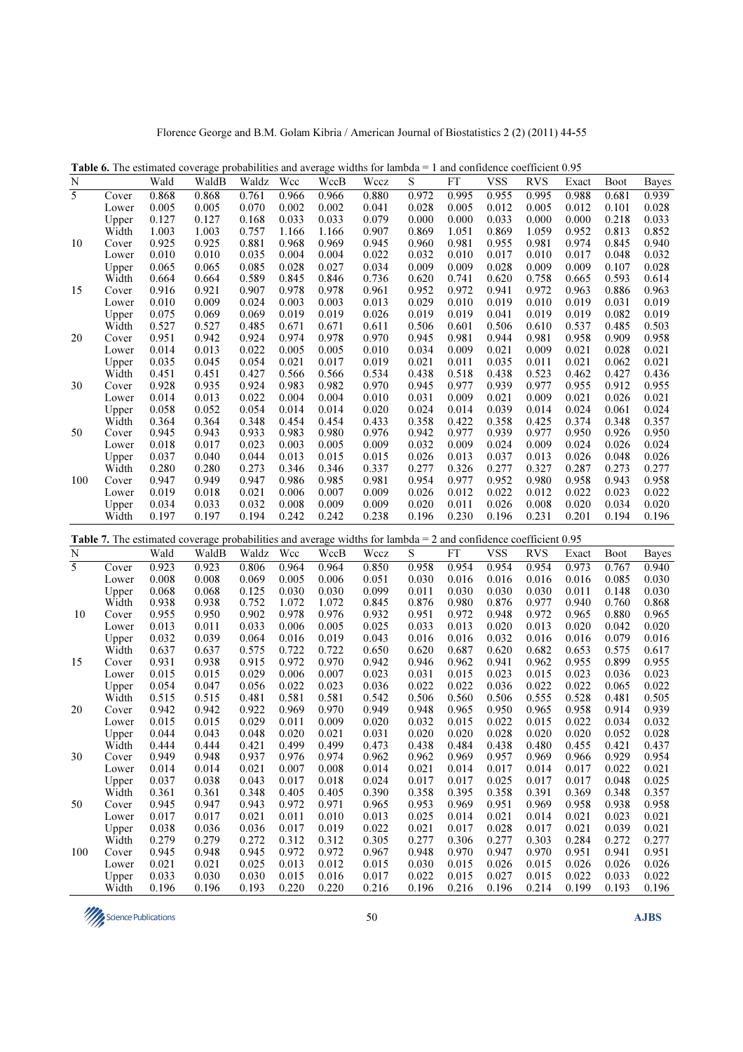|                | <b>Table 6.</b> The estimated coverage probabilities and average widths for lambda $= 1$ and confidence coefficient 0.95 |                |                                                                                                                          |                |                |                |                |                |                |                |                |                |                |                |
|----------------|--------------------------------------------------------------------------------------------------------------------------|----------------|--------------------------------------------------------------------------------------------------------------------------|----------------|----------------|----------------|----------------|----------------|----------------|----------------|----------------|----------------|----------------|----------------|
| $\mathbf N$    |                                                                                                                          | Wald           | WaldB                                                                                                                    | Waldz          | Wcc            | WccB           | Wccz           | S              | <b>FT</b>      | <b>VSS</b>     | <b>RVS</b>     | Exact          | <b>Boot</b>    | <b>Bayes</b>   |
| $\overline{5}$ | Cover                                                                                                                    | 0.868          | 0.868                                                                                                                    | 0.761          | 0.966          | 0.966          | 0.880          | 0.972          | 0.995          | 0.955          | 0.995          | 0.988          | 0.681          | 0.939          |
|                | Lower                                                                                                                    | 0.005          | 0.005                                                                                                                    | 0.070          | 0.002          | 0.002          | 0.041          | 0.028          | 0.005          | 0.012          | 0.005          | 0.012          | 0.101          | 0.028          |
|                | Upper                                                                                                                    | 0.127          | 0.127                                                                                                                    | 0.168          | 0.033          | 0.033          | 0.079          | 0.000          | 0.000          | 0.033          | 0.000          | 0.000          | 0.218          | 0.033          |
|                | Width                                                                                                                    | 1.003          | 1.003                                                                                                                    | 0.757          | 1.166          | 1.166          | 0.907          | 0.869          | 1.051          | 0.869          | 1.059          | 0.952          | 0.813          | 0.852          |
|                | Cover                                                                                                                    | 0.925          | 0.925                                                                                                                    | 0.881          | 0.968          | 0.969          | 0.945          | 0.960          | 0.981          | 0.955          | 0.981          | 0.974          | 0.845          | 0.940          |
| 10             |                                                                                                                          |                |                                                                                                                          |                |                |                |                |                |                |                |                |                |                |                |
|                | Lower                                                                                                                    | 0.010          | 0.010                                                                                                                    | 0.035          | 0.004          | 0.004          | 0.022          | 0.032          | 0.010          | 0.017          | 0.010          | 0.017          | 0.048          | 0.032          |
|                | Upper                                                                                                                    | 0.065          | 0.065                                                                                                                    | 0.085          | 0.028          | 0.027          | 0.034          | 0.009          | 0.009          | 0.028          | 0.009          | 0.009          | 0.107          | 0.028          |
|                | Width                                                                                                                    | 0.664          | 0.664                                                                                                                    | 0.589          | 0.845          | 0.846          | 0.736          | 0.620          | 0.741          | 0.620          | 0.758          | 0.665          | 0.593          | 0.614          |
| 15             | Cover                                                                                                                    | 0.916          | 0.921                                                                                                                    | 0.907          | 0.978          | 0.978          | 0.961          | 0.952          | 0.972          | 0.941          | 0.972          | 0.963          | 0.886          | 0.963          |
|                | Lower                                                                                                                    | 0.010          | 0.009                                                                                                                    | 0.024          | 0.003          | 0.003          | 0.013          | 0.029          | 0.010          | 0.019          | 0.010          | 0.019          | 0.031          | 0.019          |
|                | Upper                                                                                                                    | 0.075          | 0.069                                                                                                                    | 0.069          | 0.019          | 0.019          | 0.026          | 0.019          | 0.019          | 0.041          | 0.019          | 0.019          | 0.082          | 0.019          |
|                | Width                                                                                                                    | 0.527          | 0.527                                                                                                                    | 0.485          | 0.671          | 0.671          | 0.611          | 0.506          | 0.601          | 0.506          | 0.610          | 0.537          | 0.485          | 0.503          |
| 20             | Cover                                                                                                                    | 0.951          | 0.942                                                                                                                    | 0.924          | 0.974          | 0.978          | 0.970          | 0.945          | 0.981          | 0.944          | 0.981          | 0.958          | 0.909          | 0.958          |
|                | Lower                                                                                                                    | 0.014          | 0.013                                                                                                                    | 0.022          | 0.005          | 0.005          | 0.010          | 0.034          | 0.009          | 0.021          | 0.009          | 0.021          | 0.028          | 0.021          |
|                | Upper                                                                                                                    | 0.035          | 0.045                                                                                                                    | 0.054          | 0.021          | 0.017          | 0.019          | 0.021          | 0.011          | 0.035          | 0.011          | 0.021          | 0.062          | 0.021          |
|                | Width                                                                                                                    | 0.451          | 0.451                                                                                                                    | 0.427          | 0.566          | 0.566          | 0.534          | 0.438          | 0.518          | 0.438          | 0.523          | 0.462          | 0.427          | 0.436          |
| 30             | Cover                                                                                                                    | 0.928          | 0.935                                                                                                                    | 0.924          | 0.983          | 0.982          | 0.970          | 0.945          | 0.977          | 0.939          | 0.977          | 0.955          | 0.912          | 0.955          |
|                | Lower                                                                                                                    | 0.014          | 0.013                                                                                                                    | 0.022          | 0.004          | 0.004          | 0.010          | 0.031          | 0.009          | 0.021          | 0.009          | 0.021          | 0.026          | 0.021          |
|                | Upper                                                                                                                    | 0.058          | 0.052                                                                                                                    | 0.054          | 0.014          | 0.014          | 0.020          | 0.024          | 0.014          | 0.039          | 0.014          | 0.024          | 0.061          | 0.024          |
|                | Width                                                                                                                    | 0.364          | 0.364                                                                                                                    | 0.348          | 0.454          | 0.454          | 0.433          | 0.358          | 0.422          | 0.358          | 0.425          | 0.374          | 0.348          | 0.357          |
|                |                                                                                                                          | 0.945          | 0.943                                                                                                                    | 0.933          | 0.983          | 0.980          | 0.976          | 0.942          | 0.977          | 0.939          | 0.977          | 0.950          | 0.926          | 0.950          |
| 50             | Cover                                                                                                                    |                |                                                                                                                          |                |                |                |                |                |                |                |                |                |                |                |
|                | Lower                                                                                                                    | 0.018          | 0.017                                                                                                                    | 0.023          | 0.003          | 0.005          | 0.009          | 0.032          | 0.009          | 0.024          | 0.009          | 0.024          | 0.026          | 0.024          |
|                | Upper                                                                                                                    | 0.037          | 0.040                                                                                                                    | 0.044          | 0.013          | 0.015          | 0.015          | 0.026          | 0.013          | 0.037          | 0.013          | 0.026          | 0.048          | 0.026          |
|                | Width                                                                                                                    | 0.280          | 0.280                                                                                                                    | 0.273          | 0.346          | 0.346          | 0.337          | 0.277          | 0.326          | 0.277          | 0.327          | 0.287          | 0.273          | 0.277          |
| 100            | Cover                                                                                                                    | 0.947          | 0.949                                                                                                                    | 0.947          | 0.986          | 0.985          | 0.981          | 0.954          | 0.977          | 0.952          | 0.980          | 0.958          | 0.943          | 0.958          |
|                | Lower                                                                                                                    | 0.019          | 0.018                                                                                                                    | 0.021          | 0.006          | 0.007          | 0.009          | 0.026          | 0.012          | 0.022          | 0.012          | 0.022          | 0.023          | 0.022          |
|                | Upper                                                                                                                    | 0.034          | 0.033                                                                                                                    | 0.032          | 0.008          | 0.009          | 0.009          | 0.020          | 0.011          | 0.026          | 0.008          | 0.020          | 0.034          | 0.020          |
|                | Width                                                                                                                    | 0.197          | 0.197                                                                                                                    | 0.194          | 0.242          | 0.242          | 0.238          | 0.196          | 0.230          | 0.196          | 0.231          | 0.201          | 0.194          | 0.196          |
|                |                                                                                                                          |                |                                                                                                                          |                |                |                |                |                |                |                |                |                |                |                |
|                |                                                                                                                          |                |                                                                                                                          |                |                |                |                |                |                |                |                |                |                |                |
|                |                                                                                                                          |                | <b>Table 7.</b> The estimated coverage probabilities and average widths for lambda = 2 and confidence coefficient $0.95$ |                |                |                |                |                |                |                |                |                |                |                |
| N              |                                                                                                                          | Wald           | WaldB                                                                                                                    | Waldz          | Wcc            | WccB           | Wccz           | S              | <b>FT</b>      | <b>VSS</b>     | <b>RVS</b>     | Exact          | <b>Boot</b>    | <b>Bayes</b>   |
| 5              | Cover                                                                                                                    | 0.923          |                                                                                                                          | 0.806          | 0.964          | 0.964          |                | 0.958          |                | 0.954          | 0.954          | 0.973          | 0.767          | 0.940          |
|                |                                                                                                                          |                | 0.923                                                                                                                    |                |                |                | 0.850          |                | 0.954          |                |                |                |                |                |
|                | Lower                                                                                                                    | 0.008          | 0.008                                                                                                                    | 0.069          | 0.005          | 0.006          | 0.051          | 0.030          | 0.016          | 0.016          | 0.016          | 0.016          | 0.085          | 0.030          |
|                | Upper                                                                                                                    | 0.068          | 0.068                                                                                                                    | 0.125          | 0.030          | 0.030          | 0.099          | 0.011          | 0.030          | 0.030          | 0.030          | 0.011          | 0.148          | 0.030          |
|                | Width                                                                                                                    | 0.938          | 0.938                                                                                                                    | 0.752          | 1.072          | 1.072          | 0.845          | 0.876          | 0.980          | 0.876          | 0.977          | 0.940          | 0.760          | 0.868          |
| 10             | Cover                                                                                                                    | 0.955          | 0.950                                                                                                                    | 0.902          | 0.978          | 0.976          | 0.932          | 0.951          | 0.972          | 0.948          | 0.972          | 0.965          | 0.880          | 0.965          |
|                | Lower                                                                                                                    | 0.013          | 0.011                                                                                                                    | 0.033          | 0.006          | 0.005          | 0.025          | 0.033          | 0.013          | 0.020          | 0.013          | 0.020          | 0.042          | 0.020          |
|                | Upper                                                                                                                    | 0.032          | 0.039                                                                                                                    | 0.064          | 0.016          | 0.019          | 0.043          | 0.016          | 0.016          | 0.032          | 0.016          | 0.016          | 0.079          | 0.016          |
|                | Width                                                                                                                    | 0.637          | 0.637                                                                                                                    | 0.575          | 0.722          | 0.722          | 0.650          | 0.620          | 0.687          | 0.620          | 0.682          | 0.653          | 0.575          | 0.617          |
| 15             | Cover                                                                                                                    | 0.931          | 0.938                                                                                                                    | 0.915          | 0.972          | 0.970          | 0.942          | 0.946          | 0.962          | 0.941          | 0.962          | 0.955          | 0.899          | 0.955          |
|                | Lower                                                                                                                    | 0.015          | 0.015                                                                                                                    | 0.029          | 0.006          | 0.007          | 0.023          | 0.031          | 0.015          | 0.023          | 0.015          | 0.023          | 0.036          | 0.023          |
|                | Upper                                                                                                                    | 0.054          | 0.047                                                                                                                    | 0.056          | 0.022          | 0.023          | 0.036          | 0.022          | 0.022          | 0.036          | 0.022          | 0.022          | 0.065          | 0.022          |
|                | Width                                                                                                                    | 0.515          | 0.515                                                                                                                    | 0.481          | 0.581          | 0.581          | 0.542          | 0.506          | 0.560          | 0.506          | 0.555          | 0.528          | 0.481          | 0.505          |
| 20             | Cover                                                                                                                    | 0.942          | 0.942                                                                                                                    | 0.922          | 0.969          | 0.970          | 0.949          | 0.948          | 0.965          | 0.950          | 0.965          | 0.958          | 0.914          | 0.939          |
|                | Lower                                                                                                                    | 0.015          | 0.015                                                                                                                    | 0.029          | 0.011          | 0.009          | 0.020          | 0.032          | 0.015          | 0.022          | 0.015          | 0.022          | 0.034          | 0.032          |
|                | Upper                                                                                                                    | 0.044          | 0.043                                                                                                                    | 0.048          | 0.020          | 0.021          | 0.031          | 0.020          | 0.020          | 0.028          | 0.020          | 0.020          | 0.052          | 0.028          |
|                | Width                                                                                                                    | 0.444          | 0.444                                                                                                                    | 0.421          | 0.499          | 0.499          | 0.473          | 0.438          | 0.484          | 0.438          | 0.480          | 0.455          | 0.421          | 0.437          |
| 30             | Cover                                                                                                                    | 0.949          | 0.948                                                                                                                    | 0.937          | 0.976          | 0.974          | 0.962          | 0.962          | 0.969          | 0.957          | 0.969          | 0.966          | 0.929          | 0.954          |
|                | Lower                                                                                                                    | 0.014          | 0.014                                                                                                                    | 0.021          | 0.007          | 0.008          | 0.014          | 0.021          | 0.014          | 0.017          | 0.014          | 0.017          | 0.022          | 0.021          |
|                | Upper                                                                                                                    | 0.037          | 0.038                                                                                                                    | 0.043          | 0.017          | 0.018          | 0.024          | 0.017          | 0.017          | 0.025          | 0.017          | 0.017          | 0.048          | 0.025          |
|                | Width                                                                                                                    | 0.361          | 0.361                                                                                                                    | 0.348          | 0.405          | 0.405          | 0.390          | 0.358          | 0.395          | 0.358          | 0.391          | 0.369          | 0.348          | 0.357          |
|                |                                                                                                                          |                |                                                                                                                          |                |                |                |                |                |                |                |                |                |                |                |
| 50             | Cover                                                                                                                    | 0.945          | 0.947                                                                                                                    | 0.943          | 0.972          | 0.971          | 0.965          | 0.953          | 0.969          | 0.951          | 0.969          | 0.958          | 0.938          | 0.958          |
|                | Lower                                                                                                                    | 0.017          | 0.017                                                                                                                    | 0.021          | 0.011          | 0.010          | 0.013          | 0.025          | 0.014          | 0.021          | 0.014          | 0.021          | 0.023          | 0.021          |
|                | Upper                                                                                                                    | 0.038          | 0.036                                                                                                                    | 0.036          | 0.017          | 0.019          | 0.022          | 0.021          | 0.017          | 0.028          | 0.017          | 0.021          | 0.039          | 0.021          |
|                | Width                                                                                                                    | 0.279          | 0.279                                                                                                                    | 0.272          | 0.312          | 0.312          | 0.305          | 0.277          | 0.306          | 0.277          | 0.303          | 0.284          | 0.272          | 0.277          |
| 100            | Cover                                                                                                                    | 0.945          | 0.948                                                                                                                    | 0.945          | 0.972          | 0.972          | 0.967          | 0.948          | 0.970          | 0.947          | 0.970          | 0.951          | 0.941          | 0.951          |
|                | Lower                                                                                                                    | 0.021          | 0.021                                                                                                                    | 0.025          | 0.013          | 0.012          | 0.015          | 0.030          | 0.015          | 0.026          | 0.015          | 0.026          | 0.026          | 0.026          |
|                | Upper<br>Width                                                                                                           | 0.033<br>0.196 | 0.030<br>0.196                                                                                                           | 0.030<br>0.193 | 0.015<br>0.220 | 0.016<br>0.220 | 0.017<br>0.216 | 0.022<br>0.196 | 0.015<br>0.216 | 0.027<br>0.196 | 0.015<br>0.214 | 0.022<br>0.199 | 0.033<br>0.193 | 0.022<br>0.196 |

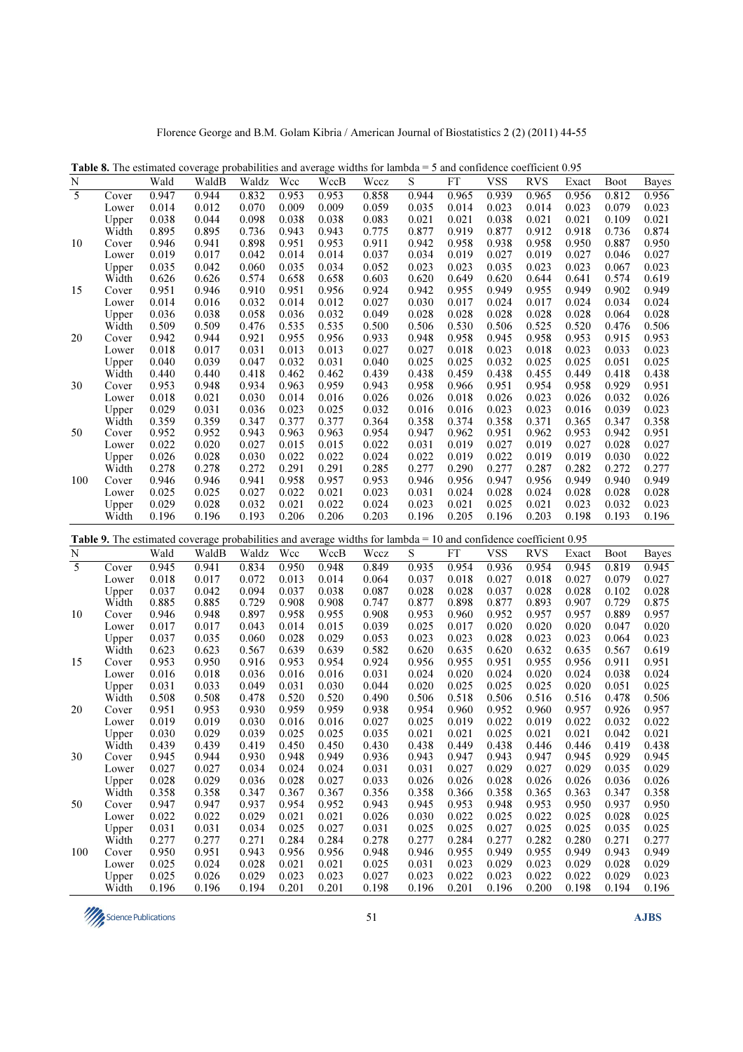Florence George and B.M. Golam Kibria / American Journal of Biostatistics 2 (2) (2011) 44-55

| N<br>Wald<br>WaldB<br>Waldz<br>Wcc<br>WccB<br>Wccz<br>S<br>FT<br>RVS<br>Exact<br><b>Boot</b><br><b>Bayes</b><br>5<br>0.947<br>0.944<br>0.832<br>0.953<br>0.953<br>0.858<br>0.944<br>0.965<br>0.939<br>0.965<br>0.956<br>0.812<br>0.956<br>Cover<br>0.014<br>0.012<br>0.070<br>0.009<br>0.009<br>0.059<br>0.023<br>0.023<br>0.079<br>0.023<br>0.035<br>0.014<br>0.014<br>Lower<br>0.021<br>0.038<br>0.044<br>0.098<br>0.038<br>0.038<br>0.083<br>0.021<br>0.021<br>0.038<br>0.021<br>0.021<br>0.109<br>Upper<br>Width<br>0.895<br>0.895<br>0.736<br>0.943<br>0.943<br>0.775<br>0.877<br>0.919<br>0.877<br>0.912<br>0.918<br>0.736<br>0.874<br>0.946<br>0.941<br>0.898<br>0.951<br>0.953<br>0.911<br>0.942<br>0.958<br>0.938<br>0.958<br>0.950<br>0.887<br>0.950<br>10<br>Cover<br>0.019<br>0.017<br>0.042<br>0.037<br>0.034<br>0.019<br>0.027<br>0.019<br>0.027<br>0.027<br>0.014<br>0.014<br>0.046<br>Lower<br>0.060<br>0.035<br>0.034<br>0.052<br>0.023<br>0.023<br>0.035<br>0.023<br>0.023<br>0.023<br>0.035<br>0.042<br>0.067<br>Upper<br>0.626<br>0.626<br>0.574<br>0.658<br>0.658<br>0.603<br>0.620<br>0.649<br>0.620<br>0.644<br>0.641<br>0.574<br>0.619<br>Width<br>0.902<br>0.951<br>0.946<br>0.910<br>0.951<br>0.956<br>0.924<br>0.942<br>0.955<br>0.949<br>0.955<br>0.949<br>0.949<br>15<br>Cover<br>0.014<br>0.032<br>0.014<br>0.012<br>0.027<br>0.030<br>0.017<br>0.024<br>0.017<br>0.024<br>0.034<br>0.024<br>Lower<br>0.016<br>0.036<br>0.058<br>0.036<br>0.032<br>0.049<br>0.028<br>0.028<br>0.028<br>0.028<br>0.028<br>0.064<br>0.028<br>0.038<br>Upper<br>0.509<br>0.535<br>0.535<br>0.506<br>0.530<br>0.525<br>0.506<br>Width<br>0.509<br>0.476<br>0.500<br>0.506<br>0.520<br>0.476<br>0.942<br>0.944<br>0.921<br>0.955<br>0.956<br>0.933<br>0.948<br>0.958<br>0.945<br>0.958<br>0.953<br>0.915<br>0.953<br>20<br>Cover<br>0.018<br>0.031<br>0.013<br>0.013<br>0.027<br>0.027<br>0.018<br>0.023<br>0.018<br>0.023<br>0.033<br>0.023<br>0.017<br>Lower<br>0.039<br>0.047<br>0.032<br>0.031<br>0.040<br>0.025<br>0.025<br>0.032<br>0.025<br>0.025<br>0.051<br>0.025<br>Upper<br>0.040<br>Width<br>0.440<br>0.440<br>0.418<br>0.462<br>0.462<br>0.439<br>0.438<br>0.459<br>0.438<br>0.455<br>0.449<br>0.418<br>0.438<br>0.953<br>0.934<br>0.963<br>0.959<br>0.943<br>0.958<br>0.966<br>0.951<br>0.954<br>0.958<br>0.929<br>0.951<br>30<br>0.948<br>Cover<br>0.021<br>0.030<br>0.014<br>0.016<br>0.026<br>0.026<br>0.018<br>0.026<br>0.023<br>0.026<br>0.032<br>0.026<br>Lower<br>0.018<br>0.029<br>0.036<br>0.023<br>0.025<br>0.032<br>0.016<br>0.023<br>0.023<br>0.039<br>0.023<br>0.031<br>0.016<br>0.016<br>Upper<br>Width<br>0.359<br>0.359<br>0.347<br>0.377<br>0.377<br>0.364<br>0.358<br>0.374<br>0.358<br>0.371<br>0.365<br>0.347<br>0.358<br>0.952<br>0.952<br>0.943<br>0.963<br>0.963<br>0.954<br>0.947<br>0.962<br>0.951<br>0.962<br>0.953<br>0.942<br>0.951<br>50<br>Cover<br>0.022<br>0.020<br>0.027<br>0.015<br>0.015<br>0.022<br>0.031<br>0.019<br>0.027<br>0.019<br>0.027<br>0.028<br>0.027<br>Lower<br>0.026<br>0.028<br>0.030<br>0.022<br>0.022<br>0.024<br>0.022<br>0.019<br>0.022<br>0.019<br>0.019<br>0.030<br>0.022<br>Upper<br>0.278<br>0.272<br>0.291<br>0.291<br>0.285<br>0.277<br>0.290<br>0.277<br>0.287<br>0.282<br>0.272<br>0.277<br>Width<br>0.278<br>0.946<br>0.946<br>0.941<br>0.958<br>0.957<br>0.953<br>0.946<br>0.956<br>0.947<br>0.956<br>0.949<br>0.940<br>0.949<br>100<br>Cover<br>0.025<br>0.025<br>0.027<br>0.022<br>0.021<br>0.023<br>0.031<br>0.024<br>0.028<br>0.024<br>0.028<br>0.028<br>0.028<br>Lower<br>0.024<br>0.029<br>0.028<br>0.032<br>0.021<br>0.022<br>0.023<br>0.021<br>0.025<br>0.021<br>0.023<br>0.032<br>0.023<br>Upper<br>Width<br>0.196<br>0.196<br>0.193<br>0.206<br>0.206<br>0.203<br>0.196<br>0.205<br>0.196<br>0.203<br>0.198<br>0.193<br>0.196<br>Table 9. The estimated coverage probabilities and average widths for lambda = 10 and confidence coefficient $0.95$<br><b>FT</b><br><b>VSS</b><br>N<br>Wald<br>WaldB<br>Waldz<br>Wcc<br>WccB<br>S<br><b>RVS</b><br>Wccz<br><b>Boot</b><br>Exact<br><b>Bayes</b><br>$\overline{5}$<br>0.945<br>0.834<br>0.950<br>0.935<br>0.954<br>0.936<br>0.954<br>0.941<br>0.948<br>0.849<br>0.945<br>0.819<br>0.945<br>Cover<br>0.027<br>0.018<br>0.017<br>0.072<br>0.013<br>0.014<br>0.064<br>0.037<br>0.018<br>0.027<br>0.018<br>0.027<br>0.079<br>Lower<br>0.037<br>0.042<br>0.094<br>0.037<br>0.038<br>0.087<br>0.028<br>0.028<br>0.037<br>0.028<br>0.028<br>0.102<br>0.028<br>Upper<br>0.885<br>0.885<br>0.729<br>0.908<br>0.908<br>0.747<br>0.877<br>0.898<br>0.877<br>0.893<br>0.907<br>0.729<br>0.875<br>Width<br>0.897<br>0.955<br>0.908<br>0.953<br>0.952<br>0.957<br>0.957<br>0.889<br>0.957<br>10<br>0.946<br>0.948<br>0.958<br>0.960<br>Cover<br>0.017<br>0.017<br>0.043<br>0.014<br>0.015<br>0.039<br>0.025<br>0.017<br>0.020<br>0.020<br>0.020<br>0.020<br>0.047<br>Lower<br>0.037<br>0.035<br>0.060<br>0.028<br>0.029<br>0.053<br>0.023<br>0.023<br>0.028<br>0.023<br>0.023<br>0.064<br>0.023<br>Upper<br>Width<br>0.623<br>0.623<br>0.639<br>0.639<br>0.582<br>0.620<br>0.635<br>0.620<br>0.632<br>0.635<br>0.567<br>0.619<br>0.567<br>0.953<br>0.950<br>0.916<br>0.953<br>0.954<br>0.924<br>0.956<br>0.955<br>0.951<br>0.955<br>0.956<br>0.951<br>15<br>0.911<br>Cover<br>0.018<br>0.036<br>0.016<br>0.031<br>0.024<br>0.020<br>0.024<br>0.020<br>0.024<br>0.038<br>0.024<br>0.016<br>0.016<br>Lower<br>0.025<br>0.031<br>0.033<br>0.049<br>0.031<br>0.030<br>0.044<br>0.020<br>0.025<br>0.025<br>0.025<br>0.020<br>0.051<br>Upper<br>0.508<br>0.508<br>0.478<br>0.520<br>0.520<br>0.490<br>0.506<br>0.518<br>0.506<br>0.516<br>0.516<br>0.478<br>0.506<br>Width<br>0.951<br>0.953<br>0.930<br>0.959<br>0.959<br>0.938<br>0.954<br>0.960<br>0.952<br>0.960<br>0.957<br>0.926<br>0.957<br>20<br>Cover<br>0.019<br>0.019<br>0.030<br>0.016<br>0.027<br>0.025<br>0.019<br>0.022<br>0.019<br>0.022<br>0.032<br>0.022<br>0.016<br>Lower<br>0.030<br>0.029<br>0.035<br>0.025<br>0.025<br>0.025<br>0.021<br>0.021<br>0.042<br>Upper<br>0.039<br>0.021<br>0.021<br>0.021<br>Width<br>0.439<br>0.439<br>0.419<br>0.450<br>0.450<br>0.430<br>0.438<br>0.449<br>0.438<br>0.446<br>0.446<br>0.419<br>0.438<br>0.944<br>0.930<br>0.949<br>0.936<br>0.943<br>0.929<br>0.945<br>30<br>Cover<br>0.945<br>0.948<br>0.947<br>0.943<br>0.947<br>0.945<br>0.024<br>0.029<br>0.029<br>Lower<br>0.027<br>0.027<br>0.034<br>0.024<br>0.031<br>0.031<br>0.027<br>0.027<br>0.029<br>0.035<br>0.028<br>0.029<br>0.036<br>0.028<br>0.027<br>0.033<br>0.026<br>0.026<br>0.028<br>0.026<br>0.026<br>0.036<br>0.026<br>Upper<br>Width<br>0.358<br>0.358<br>0.347<br>0.367<br>0.367<br>0.356<br>0.358<br>0.366<br>0.358<br>0.365<br>0.347<br>0.358<br>0.363<br>0.937<br>0.954<br>0.943<br>0.945<br>0.953<br>0.948<br>0.950<br>0.937<br>0.950<br>50<br>Cover<br>0.947<br>0.947<br>0.952<br>0.953<br>0.022<br>0.022<br>0.029<br>0.021<br>0.026<br>0.030<br>0.025<br>0.022<br>0.025<br>0.028<br>0.025<br>Lower<br>0.021<br>0.022<br>Upper<br>0.031<br>0.031<br>0.034<br>0.025<br>0.027<br>0.031<br>0.025<br>0.025<br>0.027<br>0.025<br>0.025<br>0.035<br>0.025<br>0.277<br>0.277<br>0.271<br>0.284<br>0.284<br>0.278<br>0.277<br>0.284<br>0.277<br>0.282<br>0.280<br>0.271<br>0.277<br>Width<br>0.950<br>0.951<br>0.943<br>0.956<br>0.956<br>0.948<br>0.946<br>0.955<br>0.949<br>0.955<br>0.949<br>0.943<br>0.949<br>100<br>Cover<br>0.025<br>0.024<br>0.021<br>0.025<br>0.029<br>0.023<br>0.029<br>0.028<br>0.029<br>Lower<br>0.028<br>0.021<br>0.031<br>0.023<br>0.025<br>0.026<br>0.029<br>0.023<br>0.023<br>0.027<br>0.023<br>0.022<br>0.023<br>0.022<br>0.022<br>0.029<br>0.023<br>Upper<br>Width<br>0.196<br>0.194<br>0.201<br>0.201<br>0.198<br>0.201<br>0.198<br>0.196<br>0.196<br>0.196<br>0.196<br>0.200<br>0.194 | <b>Table 8.</b> The estimated coverage probabilities and average widths for lambda $=$ 5 and confidence coefficient 0.95 |  |  |  |  |            |  |  |
|---------------------------------------------------------------------------------------------------------------------------------------------------------------------------------------------------------------------------------------------------------------------------------------------------------------------------------------------------------------------------------------------------------------------------------------------------------------------------------------------------------------------------------------------------------------------------------------------------------------------------------------------------------------------------------------------------------------------------------------------------------------------------------------------------------------------------------------------------------------------------------------------------------------------------------------------------------------------------------------------------------------------------------------------------------------------------------------------------------------------------------------------------------------------------------------------------------------------------------------------------------------------------------------------------------------------------------------------------------------------------------------------------------------------------------------------------------------------------------------------------------------------------------------------------------------------------------------------------------------------------------------------------------------------------------------------------------------------------------------------------------------------------------------------------------------------------------------------------------------------------------------------------------------------------------------------------------------------------------------------------------------------------------------------------------------------------------------------------------------------------------------------------------------------------------------------------------------------------------------------------------------------------------------------------------------------------------------------------------------------------------------------------------------------------------------------------------------------------------------------------------------------------------------------------------------------------------------------------------------------------------------------------------------------------------------------------------------------------------------------------------------------------------------------------------------------------------------------------------------------------------------------------------------------------------------------------------------------------------------------------------------------------------------------------------------------------------------------------------------------------------------------------------------------------------------------------------------------------------------------------------------------------------------------------------------------------------------------------------------------------------------------------------------------------------------------------------------------------------------------------------------------------------------------------------------------------------------------------------------------------------------------------------------------------------------------------------------------------------------------------------------------------------------------------------------------------------------------------------------------------------------------------------------------------------------------------------------------------------------------------------------------------------------------------------------------------------------------------------------------------------------------------------------------------------------------------------------------------------------------------------------------------------------------------------------------------------------------------------------------------------------------------------------------------------------------------------------------------------------------------------------------------------------------------------------------------------------------------------------------------------------------------------------------------------------------------------------------------------------------------------------------------------------------------------------------------------------------------------------------------------------------------------------------------------------------------------------------------------------------------------------------------------------------------------------------------------------------------------------------------------------------------------------------------------------------------------------------------------------------------------------------------------------------------------------------------------------------------------------------------------------------------------------------------------------------------------------------------------------------------------------------------------------------------------------------------------------------------------------------------------------------------------------------------------------------------------------------------------------------------------------------------------------------------------------------------------------------------------------------------------------------------------------------------------------------------------------------------------------------------------------------------------------------------------------------------------------------------------------------------------------------------------------------------------------------------------------------------------------------------------------------------------------------------------------------------------------------------------------------------------------------------------------------------------------------------------------------------------------------------------------------------------------------------------------------------------------------------------------------------------------------------------------------------------------------------------------------------------------------------------------------------------------------------------------------------------------------------------------------------------------------------------------------------------------------------------------------------------------------------------------------------------------------------------------------------------------------------------------------------------------------------------------------------------------------------------------------------------------------------------------------------------------------------------------------------------------------------------------------------------------------------------------------------------------------------------------------------------------------------------------------------------------------------------------------------------------------------------------------------------------------------------------------------------------------------------------------------------------------------------------------------------------------------------------------------------|--------------------------------------------------------------------------------------------------------------------------|--|--|--|--|------------|--|--|
|                                                                                                                                                                                                                                                                                                                                                                                                                                                                                                                                                                                                                                                                                                                                                                                                                                                                                                                                                                                                                                                                                                                                                                                                                                                                                                                                                                                                                                                                                                                                                                                                                                                                                                                                                                                                                                                                                                                                                                                                                                                                                                                                                                                                                                                                                                                                                                                                                                                                                                                                                                                                                                                                                                                                                                                                                                                                                                                                                                                                                                                                                                                                                                                                                                                                                                                                                                                                                                                                                                                                                                                                                                                                                                                                                                                                                                                                                                                                                                                                                                                                                                                                                                                                                                                                                                                                                                                                                                                                                                                                                                                                                                                                                                                                                                                                                                                                                                                                                                                                                                                                                                                                                                                                                                                                                                                                                                                                                                                                                                                                                                                                                                                                                                                                                                                                                                                                                                                                                                                                                                                                                                                                                                                                                                                                                                                                                                                                                                                                                                                                                                                                                                                                                                                                                                                                                                                                                                                                                                                                                                                                                                                                                                                                                                                                                                                                                                                                                                                                                                                                                                                                                                                                                                                                                                                                                                 |                                                                                                                          |  |  |  |  | <b>VSS</b> |  |  |
|                                                                                                                                                                                                                                                                                                                                                                                                                                                                                                                                                                                                                                                                                                                                                                                                                                                                                                                                                                                                                                                                                                                                                                                                                                                                                                                                                                                                                                                                                                                                                                                                                                                                                                                                                                                                                                                                                                                                                                                                                                                                                                                                                                                                                                                                                                                                                                                                                                                                                                                                                                                                                                                                                                                                                                                                                                                                                                                                                                                                                                                                                                                                                                                                                                                                                                                                                                                                                                                                                                                                                                                                                                                                                                                                                                                                                                                                                                                                                                                                                                                                                                                                                                                                                                                                                                                                                                                                                                                                                                                                                                                                                                                                                                                                                                                                                                                                                                                                                                                                                                                                                                                                                                                                                                                                                                                                                                                                                                                                                                                                                                                                                                                                                                                                                                                                                                                                                                                                                                                                                                                                                                                                                                                                                                                                                                                                                                                                                                                                                                                                                                                                                                                                                                                                                                                                                                                                                                                                                                                                                                                                                                                                                                                                                                                                                                                                                                                                                                                                                                                                                                                                                                                                                                                                                                                                                                 |                                                                                                                          |  |  |  |  |            |  |  |
|                                                                                                                                                                                                                                                                                                                                                                                                                                                                                                                                                                                                                                                                                                                                                                                                                                                                                                                                                                                                                                                                                                                                                                                                                                                                                                                                                                                                                                                                                                                                                                                                                                                                                                                                                                                                                                                                                                                                                                                                                                                                                                                                                                                                                                                                                                                                                                                                                                                                                                                                                                                                                                                                                                                                                                                                                                                                                                                                                                                                                                                                                                                                                                                                                                                                                                                                                                                                                                                                                                                                                                                                                                                                                                                                                                                                                                                                                                                                                                                                                                                                                                                                                                                                                                                                                                                                                                                                                                                                                                                                                                                                                                                                                                                                                                                                                                                                                                                                                                                                                                                                                                                                                                                                                                                                                                                                                                                                                                                                                                                                                                                                                                                                                                                                                                                                                                                                                                                                                                                                                                                                                                                                                                                                                                                                                                                                                                                                                                                                                                                                                                                                                                                                                                                                                                                                                                                                                                                                                                                                                                                                                                                                                                                                                                                                                                                                                                                                                                                                                                                                                                                                                                                                                                                                                                                                                                 |                                                                                                                          |  |  |  |  |            |  |  |
|                                                                                                                                                                                                                                                                                                                                                                                                                                                                                                                                                                                                                                                                                                                                                                                                                                                                                                                                                                                                                                                                                                                                                                                                                                                                                                                                                                                                                                                                                                                                                                                                                                                                                                                                                                                                                                                                                                                                                                                                                                                                                                                                                                                                                                                                                                                                                                                                                                                                                                                                                                                                                                                                                                                                                                                                                                                                                                                                                                                                                                                                                                                                                                                                                                                                                                                                                                                                                                                                                                                                                                                                                                                                                                                                                                                                                                                                                                                                                                                                                                                                                                                                                                                                                                                                                                                                                                                                                                                                                                                                                                                                                                                                                                                                                                                                                                                                                                                                                                                                                                                                                                                                                                                                                                                                                                                                                                                                                                                                                                                                                                                                                                                                                                                                                                                                                                                                                                                                                                                                                                                                                                                                                                                                                                                                                                                                                                                                                                                                                                                                                                                                                                                                                                                                                                                                                                                                                                                                                                                                                                                                                                                                                                                                                                                                                                                                                                                                                                                                                                                                                                                                                                                                                                                                                                                                                                 |                                                                                                                          |  |  |  |  |            |  |  |
|                                                                                                                                                                                                                                                                                                                                                                                                                                                                                                                                                                                                                                                                                                                                                                                                                                                                                                                                                                                                                                                                                                                                                                                                                                                                                                                                                                                                                                                                                                                                                                                                                                                                                                                                                                                                                                                                                                                                                                                                                                                                                                                                                                                                                                                                                                                                                                                                                                                                                                                                                                                                                                                                                                                                                                                                                                                                                                                                                                                                                                                                                                                                                                                                                                                                                                                                                                                                                                                                                                                                                                                                                                                                                                                                                                                                                                                                                                                                                                                                                                                                                                                                                                                                                                                                                                                                                                                                                                                                                                                                                                                                                                                                                                                                                                                                                                                                                                                                                                                                                                                                                                                                                                                                                                                                                                                                                                                                                                                                                                                                                                                                                                                                                                                                                                                                                                                                                                                                                                                                                                                                                                                                                                                                                                                                                                                                                                                                                                                                                                                                                                                                                                                                                                                                                                                                                                                                                                                                                                                                                                                                                                                                                                                                                                                                                                                                                                                                                                                                                                                                                                                                                                                                                                                                                                                                                                 |                                                                                                                          |  |  |  |  |            |  |  |
|                                                                                                                                                                                                                                                                                                                                                                                                                                                                                                                                                                                                                                                                                                                                                                                                                                                                                                                                                                                                                                                                                                                                                                                                                                                                                                                                                                                                                                                                                                                                                                                                                                                                                                                                                                                                                                                                                                                                                                                                                                                                                                                                                                                                                                                                                                                                                                                                                                                                                                                                                                                                                                                                                                                                                                                                                                                                                                                                                                                                                                                                                                                                                                                                                                                                                                                                                                                                                                                                                                                                                                                                                                                                                                                                                                                                                                                                                                                                                                                                                                                                                                                                                                                                                                                                                                                                                                                                                                                                                                                                                                                                                                                                                                                                                                                                                                                                                                                                                                                                                                                                                                                                                                                                                                                                                                                                                                                                                                                                                                                                                                                                                                                                                                                                                                                                                                                                                                                                                                                                                                                                                                                                                                                                                                                                                                                                                                                                                                                                                                                                                                                                                                                                                                                                                                                                                                                                                                                                                                                                                                                                                                                                                                                                                                                                                                                                                                                                                                                                                                                                                                                                                                                                                                                                                                                                                                 |                                                                                                                          |  |  |  |  |            |  |  |
|                                                                                                                                                                                                                                                                                                                                                                                                                                                                                                                                                                                                                                                                                                                                                                                                                                                                                                                                                                                                                                                                                                                                                                                                                                                                                                                                                                                                                                                                                                                                                                                                                                                                                                                                                                                                                                                                                                                                                                                                                                                                                                                                                                                                                                                                                                                                                                                                                                                                                                                                                                                                                                                                                                                                                                                                                                                                                                                                                                                                                                                                                                                                                                                                                                                                                                                                                                                                                                                                                                                                                                                                                                                                                                                                                                                                                                                                                                                                                                                                                                                                                                                                                                                                                                                                                                                                                                                                                                                                                                                                                                                                                                                                                                                                                                                                                                                                                                                                                                                                                                                                                                                                                                                                                                                                                                                                                                                                                                                                                                                                                                                                                                                                                                                                                                                                                                                                                                                                                                                                                                                                                                                                                                                                                                                                                                                                                                                                                                                                                                                                                                                                                                                                                                                                                                                                                                                                                                                                                                                                                                                                                                                                                                                                                                                                                                                                                                                                                                                                                                                                                                                                                                                                                                                                                                                                                                 |                                                                                                                          |  |  |  |  |            |  |  |
|                                                                                                                                                                                                                                                                                                                                                                                                                                                                                                                                                                                                                                                                                                                                                                                                                                                                                                                                                                                                                                                                                                                                                                                                                                                                                                                                                                                                                                                                                                                                                                                                                                                                                                                                                                                                                                                                                                                                                                                                                                                                                                                                                                                                                                                                                                                                                                                                                                                                                                                                                                                                                                                                                                                                                                                                                                                                                                                                                                                                                                                                                                                                                                                                                                                                                                                                                                                                                                                                                                                                                                                                                                                                                                                                                                                                                                                                                                                                                                                                                                                                                                                                                                                                                                                                                                                                                                                                                                                                                                                                                                                                                                                                                                                                                                                                                                                                                                                                                                                                                                                                                                                                                                                                                                                                                                                                                                                                                                                                                                                                                                                                                                                                                                                                                                                                                                                                                                                                                                                                                                                                                                                                                                                                                                                                                                                                                                                                                                                                                                                                                                                                                                                                                                                                                                                                                                                                                                                                                                                                                                                                                                                                                                                                                                                                                                                                                                                                                                                                                                                                                                                                                                                                                                                                                                                                                                 |                                                                                                                          |  |  |  |  |            |  |  |
|                                                                                                                                                                                                                                                                                                                                                                                                                                                                                                                                                                                                                                                                                                                                                                                                                                                                                                                                                                                                                                                                                                                                                                                                                                                                                                                                                                                                                                                                                                                                                                                                                                                                                                                                                                                                                                                                                                                                                                                                                                                                                                                                                                                                                                                                                                                                                                                                                                                                                                                                                                                                                                                                                                                                                                                                                                                                                                                                                                                                                                                                                                                                                                                                                                                                                                                                                                                                                                                                                                                                                                                                                                                                                                                                                                                                                                                                                                                                                                                                                                                                                                                                                                                                                                                                                                                                                                                                                                                                                                                                                                                                                                                                                                                                                                                                                                                                                                                                                                                                                                                                                                                                                                                                                                                                                                                                                                                                                                                                                                                                                                                                                                                                                                                                                                                                                                                                                                                                                                                                                                                                                                                                                                                                                                                                                                                                                                                                                                                                                                                                                                                                                                                                                                                                                                                                                                                                                                                                                                                                                                                                                                                                                                                                                                                                                                                                                                                                                                                                                                                                                                                                                                                                                                                                                                                                                                 |                                                                                                                          |  |  |  |  |            |  |  |
|                                                                                                                                                                                                                                                                                                                                                                                                                                                                                                                                                                                                                                                                                                                                                                                                                                                                                                                                                                                                                                                                                                                                                                                                                                                                                                                                                                                                                                                                                                                                                                                                                                                                                                                                                                                                                                                                                                                                                                                                                                                                                                                                                                                                                                                                                                                                                                                                                                                                                                                                                                                                                                                                                                                                                                                                                                                                                                                                                                                                                                                                                                                                                                                                                                                                                                                                                                                                                                                                                                                                                                                                                                                                                                                                                                                                                                                                                                                                                                                                                                                                                                                                                                                                                                                                                                                                                                                                                                                                                                                                                                                                                                                                                                                                                                                                                                                                                                                                                                                                                                                                                                                                                                                                                                                                                                                                                                                                                                                                                                                                                                                                                                                                                                                                                                                                                                                                                                                                                                                                                                                                                                                                                                                                                                                                                                                                                                                                                                                                                                                                                                                                                                                                                                                                                                                                                                                                                                                                                                                                                                                                                                                                                                                                                                                                                                                                                                                                                                                                                                                                                                                                                                                                                                                                                                                                                                 |                                                                                                                          |  |  |  |  |            |  |  |
|                                                                                                                                                                                                                                                                                                                                                                                                                                                                                                                                                                                                                                                                                                                                                                                                                                                                                                                                                                                                                                                                                                                                                                                                                                                                                                                                                                                                                                                                                                                                                                                                                                                                                                                                                                                                                                                                                                                                                                                                                                                                                                                                                                                                                                                                                                                                                                                                                                                                                                                                                                                                                                                                                                                                                                                                                                                                                                                                                                                                                                                                                                                                                                                                                                                                                                                                                                                                                                                                                                                                                                                                                                                                                                                                                                                                                                                                                                                                                                                                                                                                                                                                                                                                                                                                                                                                                                                                                                                                                                                                                                                                                                                                                                                                                                                                                                                                                                                                                                                                                                                                                                                                                                                                                                                                                                                                                                                                                                                                                                                                                                                                                                                                                                                                                                                                                                                                                                                                                                                                                                                                                                                                                                                                                                                                                                                                                                                                                                                                                                                                                                                                                                                                                                                                                                                                                                                                                                                                                                                                                                                                                                                                                                                                                                                                                                                                                                                                                                                                                                                                                                                                                                                                                                                                                                                                                                 |                                                                                                                          |  |  |  |  |            |  |  |
|                                                                                                                                                                                                                                                                                                                                                                                                                                                                                                                                                                                                                                                                                                                                                                                                                                                                                                                                                                                                                                                                                                                                                                                                                                                                                                                                                                                                                                                                                                                                                                                                                                                                                                                                                                                                                                                                                                                                                                                                                                                                                                                                                                                                                                                                                                                                                                                                                                                                                                                                                                                                                                                                                                                                                                                                                                                                                                                                                                                                                                                                                                                                                                                                                                                                                                                                                                                                                                                                                                                                                                                                                                                                                                                                                                                                                                                                                                                                                                                                                                                                                                                                                                                                                                                                                                                                                                                                                                                                                                                                                                                                                                                                                                                                                                                                                                                                                                                                                                                                                                                                                                                                                                                                                                                                                                                                                                                                                                                                                                                                                                                                                                                                                                                                                                                                                                                                                                                                                                                                                                                                                                                                                                                                                                                                                                                                                                                                                                                                                                                                                                                                                                                                                                                                                                                                                                                                                                                                                                                                                                                                                                                                                                                                                                                                                                                                                                                                                                                                                                                                                                                                                                                                                                                                                                                                                                 |                                                                                                                          |  |  |  |  |            |  |  |
|                                                                                                                                                                                                                                                                                                                                                                                                                                                                                                                                                                                                                                                                                                                                                                                                                                                                                                                                                                                                                                                                                                                                                                                                                                                                                                                                                                                                                                                                                                                                                                                                                                                                                                                                                                                                                                                                                                                                                                                                                                                                                                                                                                                                                                                                                                                                                                                                                                                                                                                                                                                                                                                                                                                                                                                                                                                                                                                                                                                                                                                                                                                                                                                                                                                                                                                                                                                                                                                                                                                                                                                                                                                                                                                                                                                                                                                                                                                                                                                                                                                                                                                                                                                                                                                                                                                                                                                                                                                                                                                                                                                                                                                                                                                                                                                                                                                                                                                                                                                                                                                                                                                                                                                                                                                                                                                                                                                                                                                                                                                                                                                                                                                                                                                                                                                                                                                                                                                                                                                                                                                                                                                                                                                                                                                                                                                                                                                                                                                                                                                                                                                                                                                                                                                                                                                                                                                                                                                                                                                                                                                                                                                                                                                                                                                                                                                                                                                                                                                                                                                                                                                                                                                                                                                                                                                                                                 |                                                                                                                          |  |  |  |  |            |  |  |
|                                                                                                                                                                                                                                                                                                                                                                                                                                                                                                                                                                                                                                                                                                                                                                                                                                                                                                                                                                                                                                                                                                                                                                                                                                                                                                                                                                                                                                                                                                                                                                                                                                                                                                                                                                                                                                                                                                                                                                                                                                                                                                                                                                                                                                                                                                                                                                                                                                                                                                                                                                                                                                                                                                                                                                                                                                                                                                                                                                                                                                                                                                                                                                                                                                                                                                                                                                                                                                                                                                                                                                                                                                                                                                                                                                                                                                                                                                                                                                                                                                                                                                                                                                                                                                                                                                                                                                                                                                                                                                                                                                                                                                                                                                                                                                                                                                                                                                                                                                                                                                                                                                                                                                                                                                                                                                                                                                                                                                                                                                                                                                                                                                                                                                                                                                                                                                                                                                                                                                                                                                                                                                                                                                                                                                                                                                                                                                                                                                                                                                                                                                                                                                                                                                                                                                                                                                                                                                                                                                                                                                                                                                                                                                                                                                                                                                                                                                                                                                                                                                                                                                                                                                                                                                                                                                                                                                 |                                                                                                                          |  |  |  |  |            |  |  |
|                                                                                                                                                                                                                                                                                                                                                                                                                                                                                                                                                                                                                                                                                                                                                                                                                                                                                                                                                                                                                                                                                                                                                                                                                                                                                                                                                                                                                                                                                                                                                                                                                                                                                                                                                                                                                                                                                                                                                                                                                                                                                                                                                                                                                                                                                                                                                                                                                                                                                                                                                                                                                                                                                                                                                                                                                                                                                                                                                                                                                                                                                                                                                                                                                                                                                                                                                                                                                                                                                                                                                                                                                                                                                                                                                                                                                                                                                                                                                                                                                                                                                                                                                                                                                                                                                                                                                                                                                                                                                                                                                                                                                                                                                                                                                                                                                                                                                                                                                                                                                                                                                                                                                                                                                                                                                                                                                                                                                                                                                                                                                                                                                                                                                                                                                                                                                                                                                                                                                                                                                                                                                                                                                                                                                                                                                                                                                                                                                                                                                                                                                                                                                                                                                                                                                                                                                                                                                                                                                                                                                                                                                                                                                                                                                                                                                                                                                                                                                                                                                                                                                                                                                                                                                                                                                                                                                                 |                                                                                                                          |  |  |  |  |            |  |  |
|                                                                                                                                                                                                                                                                                                                                                                                                                                                                                                                                                                                                                                                                                                                                                                                                                                                                                                                                                                                                                                                                                                                                                                                                                                                                                                                                                                                                                                                                                                                                                                                                                                                                                                                                                                                                                                                                                                                                                                                                                                                                                                                                                                                                                                                                                                                                                                                                                                                                                                                                                                                                                                                                                                                                                                                                                                                                                                                                                                                                                                                                                                                                                                                                                                                                                                                                                                                                                                                                                                                                                                                                                                                                                                                                                                                                                                                                                                                                                                                                                                                                                                                                                                                                                                                                                                                                                                                                                                                                                                                                                                                                                                                                                                                                                                                                                                                                                                                                                                                                                                                                                                                                                                                                                                                                                                                                                                                                                                                                                                                                                                                                                                                                                                                                                                                                                                                                                                                                                                                                                                                                                                                                                                                                                                                                                                                                                                                                                                                                                                                                                                                                                                                                                                                                                                                                                                                                                                                                                                                                                                                                                                                                                                                                                                                                                                                                                                                                                                                                                                                                                                                                                                                                                                                                                                                                                                 |                                                                                                                          |  |  |  |  |            |  |  |
|                                                                                                                                                                                                                                                                                                                                                                                                                                                                                                                                                                                                                                                                                                                                                                                                                                                                                                                                                                                                                                                                                                                                                                                                                                                                                                                                                                                                                                                                                                                                                                                                                                                                                                                                                                                                                                                                                                                                                                                                                                                                                                                                                                                                                                                                                                                                                                                                                                                                                                                                                                                                                                                                                                                                                                                                                                                                                                                                                                                                                                                                                                                                                                                                                                                                                                                                                                                                                                                                                                                                                                                                                                                                                                                                                                                                                                                                                                                                                                                                                                                                                                                                                                                                                                                                                                                                                                                                                                                                                                                                                                                                                                                                                                                                                                                                                                                                                                                                                                                                                                                                                                                                                                                                                                                                                                                                                                                                                                                                                                                                                                                                                                                                                                                                                                                                                                                                                                                                                                                                                                                                                                                                                                                                                                                                                                                                                                                                                                                                                                                                                                                                                                                                                                                                                                                                                                                                                                                                                                                                                                                                                                                                                                                                                                                                                                                                                                                                                                                                                                                                                                                                                                                                                                                                                                                                                                 |                                                                                                                          |  |  |  |  |            |  |  |
|                                                                                                                                                                                                                                                                                                                                                                                                                                                                                                                                                                                                                                                                                                                                                                                                                                                                                                                                                                                                                                                                                                                                                                                                                                                                                                                                                                                                                                                                                                                                                                                                                                                                                                                                                                                                                                                                                                                                                                                                                                                                                                                                                                                                                                                                                                                                                                                                                                                                                                                                                                                                                                                                                                                                                                                                                                                                                                                                                                                                                                                                                                                                                                                                                                                                                                                                                                                                                                                                                                                                                                                                                                                                                                                                                                                                                                                                                                                                                                                                                                                                                                                                                                                                                                                                                                                                                                                                                                                                                                                                                                                                                                                                                                                                                                                                                                                                                                                                                                                                                                                                                                                                                                                                                                                                                                                                                                                                                                                                                                                                                                                                                                                                                                                                                                                                                                                                                                                                                                                                                                                                                                                                                                                                                                                                                                                                                                                                                                                                                                                                                                                                                                                                                                                                                                                                                                                                                                                                                                                                                                                                                                                                                                                                                                                                                                                                                                                                                                                                                                                                                                                                                                                                                                                                                                                                                                 |                                                                                                                          |  |  |  |  |            |  |  |
|                                                                                                                                                                                                                                                                                                                                                                                                                                                                                                                                                                                                                                                                                                                                                                                                                                                                                                                                                                                                                                                                                                                                                                                                                                                                                                                                                                                                                                                                                                                                                                                                                                                                                                                                                                                                                                                                                                                                                                                                                                                                                                                                                                                                                                                                                                                                                                                                                                                                                                                                                                                                                                                                                                                                                                                                                                                                                                                                                                                                                                                                                                                                                                                                                                                                                                                                                                                                                                                                                                                                                                                                                                                                                                                                                                                                                                                                                                                                                                                                                                                                                                                                                                                                                                                                                                                                                                                                                                                                                                                                                                                                                                                                                                                                                                                                                                                                                                                                                                                                                                                                                                                                                                                                                                                                                                                                                                                                                                                                                                                                                                                                                                                                                                                                                                                                                                                                                                                                                                                                                                                                                                                                                                                                                                                                                                                                                                                                                                                                                                                                                                                                                                                                                                                                                                                                                                                                                                                                                                                                                                                                                                                                                                                                                                                                                                                                                                                                                                                                                                                                                                                                                                                                                                                                                                                                                                 |                                                                                                                          |  |  |  |  |            |  |  |
|                                                                                                                                                                                                                                                                                                                                                                                                                                                                                                                                                                                                                                                                                                                                                                                                                                                                                                                                                                                                                                                                                                                                                                                                                                                                                                                                                                                                                                                                                                                                                                                                                                                                                                                                                                                                                                                                                                                                                                                                                                                                                                                                                                                                                                                                                                                                                                                                                                                                                                                                                                                                                                                                                                                                                                                                                                                                                                                                                                                                                                                                                                                                                                                                                                                                                                                                                                                                                                                                                                                                                                                                                                                                                                                                                                                                                                                                                                                                                                                                                                                                                                                                                                                                                                                                                                                                                                                                                                                                                                                                                                                                                                                                                                                                                                                                                                                                                                                                                                                                                                                                                                                                                                                                                                                                                                                                                                                                                                                                                                                                                                                                                                                                                                                                                                                                                                                                                                                                                                                                                                                                                                                                                                                                                                                                                                                                                                                                                                                                                                                                                                                                                                                                                                                                                                                                                                                                                                                                                                                                                                                                                                                                                                                                                                                                                                                                                                                                                                                                                                                                                                                                                                                                                                                                                                                                                                 |                                                                                                                          |  |  |  |  |            |  |  |
|                                                                                                                                                                                                                                                                                                                                                                                                                                                                                                                                                                                                                                                                                                                                                                                                                                                                                                                                                                                                                                                                                                                                                                                                                                                                                                                                                                                                                                                                                                                                                                                                                                                                                                                                                                                                                                                                                                                                                                                                                                                                                                                                                                                                                                                                                                                                                                                                                                                                                                                                                                                                                                                                                                                                                                                                                                                                                                                                                                                                                                                                                                                                                                                                                                                                                                                                                                                                                                                                                                                                                                                                                                                                                                                                                                                                                                                                                                                                                                                                                                                                                                                                                                                                                                                                                                                                                                                                                                                                                                                                                                                                                                                                                                                                                                                                                                                                                                                                                                                                                                                                                                                                                                                                                                                                                                                                                                                                                                                                                                                                                                                                                                                                                                                                                                                                                                                                                                                                                                                                                                                                                                                                                                                                                                                                                                                                                                                                                                                                                                                                                                                                                                                                                                                                                                                                                                                                                                                                                                                                                                                                                                                                                                                                                                                                                                                                                                                                                                                                                                                                                                                                                                                                                                                                                                                                                                 |                                                                                                                          |  |  |  |  |            |  |  |
|                                                                                                                                                                                                                                                                                                                                                                                                                                                                                                                                                                                                                                                                                                                                                                                                                                                                                                                                                                                                                                                                                                                                                                                                                                                                                                                                                                                                                                                                                                                                                                                                                                                                                                                                                                                                                                                                                                                                                                                                                                                                                                                                                                                                                                                                                                                                                                                                                                                                                                                                                                                                                                                                                                                                                                                                                                                                                                                                                                                                                                                                                                                                                                                                                                                                                                                                                                                                                                                                                                                                                                                                                                                                                                                                                                                                                                                                                                                                                                                                                                                                                                                                                                                                                                                                                                                                                                                                                                                                                                                                                                                                                                                                                                                                                                                                                                                                                                                                                                                                                                                                                                                                                                                                                                                                                                                                                                                                                                                                                                                                                                                                                                                                                                                                                                                                                                                                                                                                                                                                                                                                                                                                                                                                                                                                                                                                                                                                                                                                                                                                                                                                                                                                                                                                                                                                                                                                                                                                                                                                                                                                                                                                                                                                                                                                                                                                                                                                                                                                                                                                                                                                                                                                                                                                                                                                                                 |                                                                                                                          |  |  |  |  |            |  |  |
|                                                                                                                                                                                                                                                                                                                                                                                                                                                                                                                                                                                                                                                                                                                                                                                                                                                                                                                                                                                                                                                                                                                                                                                                                                                                                                                                                                                                                                                                                                                                                                                                                                                                                                                                                                                                                                                                                                                                                                                                                                                                                                                                                                                                                                                                                                                                                                                                                                                                                                                                                                                                                                                                                                                                                                                                                                                                                                                                                                                                                                                                                                                                                                                                                                                                                                                                                                                                                                                                                                                                                                                                                                                                                                                                                                                                                                                                                                                                                                                                                                                                                                                                                                                                                                                                                                                                                                                                                                                                                                                                                                                                                                                                                                                                                                                                                                                                                                                                                                                                                                                                                                                                                                                                                                                                                                                                                                                                                                                                                                                                                                                                                                                                                                                                                                                                                                                                                                                                                                                                                                                                                                                                                                                                                                                                                                                                                                                                                                                                                                                                                                                                                                                                                                                                                                                                                                                                                                                                                                                                                                                                                                                                                                                                                                                                                                                                                                                                                                                                                                                                                                                                                                                                                                                                                                                                                                 |                                                                                                                          |  |  |  |  |            |  |  |
|                                                                                                                                                                                                                                                                                                                                                                                                                                                                                                                                                                                                                                                                                                                                                                                                                                                                                                                                                                                                                                                                                                                                                                                                                                                                                                                                                                                                                                                                                                                                                                                                                                                                                                                                                                                                                                                                                                                                                                                                                                                                                                                                                                                                                                                                                                                                                                                                                                                                                                                                                                                                                                                                                                                                                                                                                                                                                                                                                                                                                                                                                                                                                                                                                                                                                                                                                                                                                                                                                                                                                                                                                                                                                                                                                                                                                                                                                                                                                                                                                                                                                                                                                                                                                                                                                                                                                                                                                                                                                                                                                                                                                                                                                                                                                                                                                                                                                                                                                                                                                                                                                                                                                                                                                                                                                                                                                                                                                                                                                                                                                                                                                                                                                                                                                                                                                                                                                                                                                                                                                                                                                                                                                                                                                                                                                                                                                                                                                                                                                                                                                                                                                                                                                                                                                                                                                                                                                                                                                                                                                                                                                                                                                                                                                                                                                                                                                                                                                                                                                                                                                                                                                                                                                                                                                                                                                                 |                                                                                                                          |  |  |  |  |            |  |  |
|                                                                                                                                                                                                                                                                                                                                                                                                                                                                                                                                                                                                                                                                                                                                                                                                                                                                                                                                                                                                                                                                                                                                                                                                                                                                                                                                                                                                                                                                                                                                                                                                                                                                                                                                                                                                                                                                                                                                                                                                                                                                                                                                                                                                                                                                                                                                                                                                                                                                                                                                                                                                                                                                                                                                                                                                                                                                                                                                                                                                                                                                                                                                                                                                                                                                                                                                                                                                                                                                                                                                                                                                                                                                                                                                                                                                                                                                                                                                                                                                                                                                                                                                                                                                                                                                                                                                                                                                                                                                                                                                                                                                                                                                                                                                                                                                                                                                                                                                                                                                                                                                                                                                                                                                                                                                                                                                                                                                                                                                                                                                                                                                                                                                                                                                                                                                                                                                                                                                                                                                                                                                                                                                                                                                                                                                                                                                                                                                                                                                                                                                                                                                                                                                                                                                                                                                                                                                                                                                                                                                                                                                                                                                                                                                                                                                                                                                                                                                                                                                                                                                                                                                                                                                                                                                                                                                                                 |                                                                                                                          |  |  |  |  |            |  |  |
|                                                                                                                                                                                                                                                                                                                                                                                                                                                                                                                                                                                                                                                                                                                                                                                                                                                                                                                                                                                                                                                                                                                                                                                                                                                                                                                                                                                                                                                                                                                                                                                                                                                                                                                                                                                                                                                                                                                                                                                                                                                                                                                                                                                                                                                                                                                                                                                                                                                                                                                                                                                                                                                                                                                                                                                                                                                                                                                                                                                                                                                                                                                                                                                                                                                                                                                                                                                                                                                                                                                                                                                                                                                                                                                                                                                                                                                                                                                                                                                                                                                                                                                                                                                                                                                                                                                                                                                                                                                                                                                                                                                                                                                                                                                                                                                                                                                                                                                                                                                                                                                                                                                                                                                                                                                                                                                                                                                                                                                                                                                                                                                                                                                                                                                                                                                                                                                                                                                                                                                                                                                                                                                                                                                                                                                                                                                                                                                                                                                                                                                                                                                                                                                                                                                                                                                                                                                                                                                                                                                                                                                                                                                                                                                                                                                                                                                                                                                                                                                                                                                                                                                                                                                                                                                                                                                                                                 |                                                                                                                          |  |  |  |  |            |  |  |
|                                                                                                                                                                                                                                                                                                                                                                                                                                                                                                                                                                                                                                                                                                                                                                                                                                                                                                                                                                                                                                                                                                                                                                                                                                                                                                                                                                                                                                                                                                                                                                                                                                                                                                                                                                                                                                                                                                                                                                                                                                                                                                                                                                                                                                                                                                                                                                                                                                                                                                                                                                                                                                                                                                                                                                                                                                                                                                                                                                                                                                                                                                                                                                                                                                                                                                                                                                                                                                                                                                                                                                                                                                                                                                                                                                                                                                                                                                                                                                                                                                                                                                                                                                                                                                                                                                                                                                                                                                                                                                                                                                                                                                                                                                                                                                                                                                                                                                                                                                                                                                                                                                                                                                                                                                                                                                                                                                                                                                                                                                                                                                                                                                                                                                                                                                                                                                                                                                                                                                                                                                                                                                                                                                                                                                                                                                                                                                                                                                                                                                                                                                                                                                                                                                                                                                                                                                                                                                                                                                                                                                                                                                                                                                                                                                                                                                                                                                                                                                                                                                                                                                                                                                                                                                                                                                                                                                 |                                                                                                                          |  |  |  |  |            |  |  |
|                                                                                                                                                                                                                                                                                                                                                                                                                                                                                                                                                                                                                                                                                                                                                                                                                                                                                                                                                                                                                                                                                                                                                                                                                                                                                                                                                                                                                                                                                                                                                                                                                                                                                                                                                                                                                                                                                                                                                                                                                                                                                                                                                                                                                                                                                                                                                                                                                                                                                                                                                                                                                                                                                                                                                                                                                                                                                                                                                                                                                                                                                                                                                                                                                                                                                                                                                                                                                                                                                                                                                                                                                                                                                                                                                                                                                                                                                                                                                                                                                                                                                                                                                                                                                                                                                                                                                                                                                                                                                                                                                                                                                                                                                                                                                                                                                                                                                                                                                                                                                                                                                                                                                                                                                                                                                                                                                                                                                                                                                                                                                                                                                                                                                                                                                                                                                                                                                                                                                                                                                                                                                                                                                                                                                                                                                                                                                                                                                                                                                                                                                                                                                                                                                                                                                                                                                                                                                                                                                                                                                                                                                                                                                                                                                                                                                                                                                                                                                                                                                                                                                                                                                                                                                                                                                                                                                                 |                                                                                                                          |  |  |  |  |            |  |  |
|                                                                                                                                                                                                                                                                                                                                                                                                                                                                                                                                                                                                                                                                                                                                                                                                                                                                                                                                                                                                                                                                                                                                                                                                                                                                                                                                                                                                                                                                                                                                                                                                                                                                                                                                                                                                                                                                                                                                                                                                                                                                                                                                                                                                                                                                                                                                                                                                                                                                                                                                                                                                                                                                                                                                                                                                                                                                                                                                                                                                                                                                                                                                                                                                                                                                                                                                                                                                                                                                                                                                                                                                                                                                                                                                                                                                                                                                                                                                                                                                                                                                                                                                                                                                                                                                                                                                                                                                                                                                                                                                                                                                                                                                                                                                                                                                                                                                                                                                                                                                                                                                                                                                                                                                                                                                                                                                                                                                                                                                                                                                                                                                                                                                                                                                                                                                                                                                                                                                                                                                                                                                                                                                                                                                                                                                                                                                                                                                                                                                                                                                                                                                                                                                                                                                                                                                                                                                                                                                                                                                                                                                                                                                                                                                                                                                                                                                                                                                                                                                                                                                                                                                                                                                                                                                                                                                                                 |                                                                                                                          |  |  |  |  |            |  |  |
|                                                                                                                                                                                                                                                                                                                                                                                                                                                                                                                                                                                                                                                                                                                                                                                                                                                                                                                                                                                                                                                                                                                                                                                                                                                                                                                                                                                                                                                                                                                                                                                                                                                                                                                                                                                                                                                                                                                                                                                                                                                                                                                                                                                                                                                                                                                                                                                                                                                                                                                                                                                                                                                                                                                                                                                                                                                                                                                                                                                                                                                                                                                                                                                                                                                                                                                                                                                                                                                                                                                                                                                                                                                                                                                                                                                                                                                                                                                                                                                                                                                                                                                                                                                                                                                                                                                                                                                                                                                                                                                                                                                                                                                                                                                                                                                                                                                                                                                                                                                                                                                                                                                                                                                                                                                                                                                                                                                                                                                                                                                                                                                                                                                                                                                                                                                                                                                                                                                                                                                                                                                                                                                                                                                                                                                                                                                                                                                                                                                                                                                                                                                                                                                                                                                                                                                                                                                                                                                                                                                                                                                                                                                                                                                                                                                                                                                                                                                                                                                                                                                                                                                                                                                                                                                                                                                                                                 |                                                                                                                          |  |  |  |  |            |  |  |
|                                                                                                                                                                                                                                                                                                                                                                                                                                                                                                                                                                                                                                                                                                                                                                                                                                                                                                                                                                                                                                                                                                                                                                                                                                                                                                                                                                                                                                                                                                                                                                                                                                                                                                                                                                                                                                                                                                                                                                                                                                                                                                                                                                                                                                                                                                                                                                                                                                                                                                                                                                                                                                                                                                                                                                                                                                                                                                                                                                                                                                                                                                                                                                                                                                                                                                                                                                                                                                                                                                                                                                                                                                                                                                                                                                                                                                                                                                                                                                                                                                                                                                                                                                                                                                                                                                                                                                                                                                                                                                                                                                                                                                                                                                                                                                                                                                                                                                                                                                                                                                                                                                                                                                                                                                                                                                                                                                                                                                                                                                                                                                                                                                                                                                                                                                                                                                                                                                                                                                                                                                                                                                                                                                                                                                                                                                                                                                                                                                                                                                                                                                                                                                                                                                                                                                                                                                                                                                                                                                                                                                                                                                                                                                                                                                                                                                                                                                                                                                                                                                                                                                                                                                                                                                                                                                                                                                 |                                                                                                                          |  |  |  |  |            |  |  |
|                                                                                                                                                                                                                                                                                                                                                                                                                                                                                                                                                                                                                                                                                                                                                                                                                                                                                                                                                                                                                                                                                                                                                                                                                                                                                                                                                                                                                                                                                                                                                                                                                                                                                                                                                                                                                                                                                                                                                                                                                                                                                                                                                                                                                                                                                                                                                                                                                                                                                                                                                                                                                                                                                                                                                                                                                                                                                                                                                                                                                                                                                                                                                                                                                                                                                                                                                                                                                                                                                                                                                                                                                                                                                                                                                                                                                                                                                                                                                                                                                                                                                                                                                                                                                                                                                                                                                                                                                                                                                                                                                                                                                                                                                                                                                                                                                                                                                                                                                                                                                                                                                                                                                                                                                                                                                                                                                                                                                                                                                                                                                                                                                                                                                                                                                                                                                                                                                                                                                                                                                                                                                                                                                                                                                                                                                                                                                                                                                                                                                                                                                                                                                                                                                                                                                                                                                                                                                                                                                                                                                                                                                                                                                                                                                                                                                                                                                                                                                                                                                                                                                                                                                                                                                                                                                                                                                                 |                                                                                                                          |  |  |  |  |            |  |  |
|                                                                                                                                                                                                                                                                                                                                                                                                                                                                                                                                                                                                                                                                                                                                                                                                                                                                                                                                                                                                                                                                                                                                                                                                                                                                                                                                                                                                                                                                                                                                                                                                                                                                                                                                                                                                                                                                                                                                                                                                                                                                                                                                                                                                                                                                                                                                                                                                                                                                                                                                                                                                                                                                                                                                                                                                                                                                                                                                                                                                                                                                                                                                                                                                                                                                                                                                                                                                                                                                                                                                                                                                                                                                                                                                                                                                                                                                                                                                                                                                                                                                                                                                                                                                                                                                                                                                                                                                                                                                                                                                                                                                                                                                                                                                                                                                                                                                                                                                                                                                                                                                                                                                                                                                                                                                                                                                                                                                                                                                                                                                                                                                                                                                                                                                                                                                                                                                                                                                                                                                                                                                                                                                                                                                                                                                                                                                                                                                                                                                                                                                                                                                                                                                                                                                                                                                                                                                                                                                                                                                                                                                                                                                                                                                                                                                                                                                                                                                                                                                                                                                                                                                                                                                                                                                                                                                                                 |                                                                                                                          |  |  |  |  |            |  |  |
|                                                                                                                                                                                                                                                                                                                                                                                                                                                                                                                                                                                                                                                                                                                                                                                                                                                                                                                                                                                                                                                                                                                                                                                                                                                                                                                                                                                                                                                                                                                                                                                                                                                                                                                                                                                                                                                                                                                                                                                                                                                                                                                                                                                                                                                                                                                                                                                                                                                                                                                                                                                                                                                                                                                                                                                                                                                                                                                                                                                                                                                                                                                                                                                                                                                                                                                                                                                                                                                                                                                                                                                                                                                                                                                                                                                                                                                                                                                                                                                                                                                                                                                                                                                                                                                                                                                                                                                                                                                                                                                                                                                                                                                                                                                                                                                                                                                                                                                                                                                                                                                                                                                                                                                                                                                                                                                                                                                                                                                                                                                                                                                                                                                                                                                                                                                                                                                                                                                                                                                                                                                                                                                                                                                                                                                                                                                                                                                                                                                                                                                                                                                                                                                                                                                                                                                                                                                                                                                                                                                                                                                                                                                                                                                                                                                                                                                                                                                                                                                                                                                                                                                                                                                                                                                                                                                                                                 |                                                                                                                          |  |  |  |  |            |  |  |
|                                                                                                                                                                                                                                                                                                                                                                                                                                                                                                                                                                                                                                                                                                                                                                                                                                                                                                                                                                                                                                                                                                                                                                                                                                                                                                                                                                                                                                                                                                                                                                                                                                                                                                                                                                                                                                                                                                                                                                                                                                                                                                                                                                                                                                                                                                                                                                                                                                                                                                                                                                                                                                                                                                                                                                                                                                                                                                                                                                                                                                                                                                                                                                                                                                                                                                                                                                                                                                                                                                                                                                                                                                                                                                                                                                                                                                                                                                                                                                                                                                                                                                                                                                                                                                                                                                                                                                                                                                                                                                                                                                                                                                                                                                                                                                                                                                                                                                                                                                                                                                                                                                                                                                                                                                                                                                                                                                                                                                                                                                                                                                                                                                                                                                                                                                                                                                                                                                                                                                                                                                                                                                                                                                                                                                                                                                                                                                                                                                                                                                                                                                                                                                                                                                                                                                                                                                                                                                                                                                                                                                                                                                                                                                                                                                                                                                                                                                                                                                                                                                                                                                                                                                                                                                                                                                                                                                 |                                                                                                                          |  |  |  |  |            |  |  |
|                                                                                                                                                                                                                                                                                                                                                                                                                                                                                                                                                                                                                                                                                                                                                                                                                                                                                                                                                                                                                                                                                                                                                                                                                                                                                                                                                                                                                                                                                                                                                                                                                                                                                                                                                                                                                                                                                                                                                                                                                                                                                                                                                                                                                                                                                                                                                                                                                                                                                                                                                                                                                                                                                                                                                                                                                                                                                                                                                                                                                                                                                                                                                                                                                                                                                                                                                                                                                                                                                                                                                                                                                                                                                                                                                                                                                                                                                                                                                                                                                                                                                                                                                                                                                                                                                                                                                                                                                                                                                                                                                                                                                                                                                                                                                                                                                                                                                                                                                                                                                                                                                                                                                                                                                                                                                                                                                                                                                                                                                                                                                                                                                                                                                                                                                                                                                                                                                                                                                                                                                                                                                                                                                                                                                                                                                                                                                                                                                                                                                                                                                                                                                                                                                                                                                                                                                                                                                                                                                                                                                                                                                                                                                                                                                                                                                                                                                                                                                                                                                                                                                                                                                                                                                                                                                                                                                                 |                                                                                                                          |  |  |  |  |            |  |  |
|                                                                                                                                                                                                                                                                                                                                                                                                                                                                                                                                                                                                                                                                                                                                                                                                                                                                                                                                                                                                                                                                                                                                                                                                                                                                                                                                                                                                                                                                                                                                                                                                                                                                                                                                                                                                                                                                                                                                                                                                                                                                                                                                                                                                                                                                                                                                                                                                                                                                                                                                                                                                                                                                                                                                                                                                                                                                                                                                                                                                                                                                                                                                                                                                                                                                                                                                                                                                                                                                                                                                                                                                                                                                                                                                                                                                                                                                                                                                                                                                                                                                                                                                                                                                                                                                                                                                                                                                                                                                                                                                                                                                                                                                                                                                                                                                                                                                                                                                                                                                                                                                                                                                                                                                                                                                                                                                                                                                                                                                                                                                                                                                                                                                                                                                                                                                                                                                                                                                                                                                                                                                                                                                                                                                                                                                                                                                                                                                                                                                                                                                                                                                                                                                                                                                                                                                                                                                                                                                                                                                                                                                                                                                                                                                                                                                                                                                                                                                                                                                                                                                                                                                                                                                                                                                                                                                                                 |                                                                                                                          |  |  |  |  |            |  |  |
|                                                                                                                                                                                                                                                                                                                                                                                                                                                                                                                                                                                                                                                                                                                                                                                                                                                                                                                                                                                                                                                                                                                                                                                                                                                                                                                                                                                                                                                                                                                                                                                                                                                                                                                                                                                                                                                                                                                                                                                                                                                                                                                                                                                                                                                                                                                                                                                                                                                                                                                                                                                                                                                                                                                                                                                                                                                                                                                                                                                                                                                                                                                                                                                                                                                                                                                                                                                                                                                                                                                                                                                                                                                                                                                                                                                                                                                                                                                                                                                                                                                                                                                                                                                                                                                                                                                                                                                                                                                                                                                                                                                                                                                                                                                                                                                                                                                                                                                                                                                                                                                                                                                                                                                                                                                                                                                                                                                                                                                                                                                                                                                                                                                                                                                                                                                                                                                                                                                                                                                                                                                                                                                                                                                                                                                                                                                                                                                                                                                                                                                                                                                                                                                                                                                                                                                                                                                                                                                                                                                                                                                                                                                                                                                                                                                                                                                                                                                                                                                                                                                                                                                                                                                                                                                                                                                                                                 |                                                                                                                          |  |  |  |  |            |  |  |
|                                                                                                                                                                                                                                                                                                                                                                                                                                                                                                                                                                                                                                                                                                                                                                                                                                                                                                                                                                                                                                                                                                                                                                                                                                                                                                                                                                                                                                                                                                                                                                                                                                                                                                                                                                                                                                                                                                                                                                                                                                                                                                                                                                                                                                                                                                                                                                                                                                                                                                                                                                                                                                                                                                                                                                                                                                                                                                                                                                                                                                                                                                                                                                                                                                                                                                                                                                                                                                                                                                                                                                                                                                                                                                                                                                                                                                                                                                                                                                                                                                                                                                                                                                                                                                                                                                                                                                                                                                                                                                                                                                                                                                                                                                                                                                                                                                                                                                                                                                                                                                                                                                                                                                                                                                                                                                                                                                                                                                                                                                                                                                                                                                                                                                                                                                                                                                                                                                                                                                                                                                                                                                                                                                                                                                                                                                                                                                                                                                                                                                                                                                                                                                                                                                                                                                                                                                                                                                                                                                                                                                                                                                                                                                                                                                                                                                                                                                                                                                                                                                                                                                                                                                                                                                                                                                                                                                 |                                                                                                                          |  |  |  |  |            |  |  |
|                                                                                                                                                                                                                                                                                                                                                                                                                                                                                                                                                                                                                                                                                                                                                                                                                                                                                                                                                                                                                                                                                                                                                                                                                                                                                                                                                                                                                                                                                                                                                                                                                                                                                                                                                                                                                                                                                                                                                                                                                                                                                                                                                                                                                                                                                                                                                                                                                                                                                                                                                                                                                                                                                                                                                                                                                                                                                                                                                                                                                                                                                                                                                                                                                                                                                                                                                                                                                                                                                                                                                                                                                                                                                                                                                                                                                                                                                                                                                                                                                                                                                                                                                                                                                                                                                                                                                                                                                                                                                                                                                                                                                                                                                                                                                                                                                                                                                                                                                                                                                                                                                                                                                                                                                                                                                                                                                                                                                                                                                                                                                                                                                                                                                                                                                                                                                                                                                                                                                                                                                                                                                                                                                                                                                                                                                                                                                                                                                                                                                                                                                                                                                                                                                                                                                                                                                                                                                                                                                                                                                                                                                                                                                                                                                                                                                                                                                                                                                                                                                                                                                                                                                                                                                                                                                                                                                                 |                                                                                                                          |  |  |  |  |            |  |  |
|                                                                                                                                                                                                                                                                                                                                                                                                                                                                                                                                                                                                                                                                                                                                                                                                                                                                                                                                                                                                                                                                                                                                                                                                                                                                                                                                                                                                                                                                                                                                                                                                                                                                                                                                                                                                                                                                                                                                                                                                                                                                                                                                                                                                                                                                                                                                                                                                                                                                                                                                                                                                                                                                                                                                                                                                                                                                                                                                                                                                                                                                                                                                                                                                                                                                                                                                                                                                                                                                                                                                                                                                                                                                                                                                                                                                                                                                                                                                                                                                                                                                                                                                                                                                                                                                                                                                                                                                                                                                                                                                                                                                                                                                                                                                                                                                                                                                                                                                                                                                                                                                                                                                                                                                                                                                                                                                                                                                                                                                                                                                                                                                                                                                                                                                                                                                                                                                                                                                                                                                                                                                                                                                                                                                                                                                                                                                                                                                                                                                                                                                                                                                                                                                                                                                                                                                                                                                                                                                                                                                                                                                                                                                                                                                                                                                                                                                                                                                                                                                                                                                                                                                                                                                                                                                                                                                                                 |                                                                                                                          |  |  |  |  |            |  |  |
|                                                                                                                                                                                                                                                                                                                                                                                                                                                                                                                                                                                                                                                                                                                                                                                                                                                                                                                                                                                                                                                                                                                                                                                                                                                                                                                                                                                                                                                                                                                                                                                                                                                                                                                                                                                                                                                                                                                                                                                                                                                                                                                                                                                                                                                                                                                                                                                                                                                                                                                                                                                                                                                                                                                                                                                                                                                                                                                                                                                                                                                                                                                                                                                                                                                                                                                                                                                                                                                                                                                                                                                                                                                                                                                                                                                                                                                                                                                                                                                                                                                                                                                                                                                                                                                                                                                                                                                                                                                                                                                                                                                                                                                                                                                                                                                                                                                                                                                                                                                                                                                                                                                                                                                                                                                                                                                                                                                                                                                                                                                                                                                                                                                                                                                                                                                                                                                                                                                                                                                                                                                                                                                                                                                                                                                                                                                                                                                                                                                                                                                                                                                                                                                                                                                                                                                                                                                                                                                                                                                                                                                                                                                                                                                                                                                                                                                                                                                                                                                                                                                                                                                                                                                                                                                                                                                                                                 |                                                                                                                          |  |  |  |  |            |  |  |
|                                                                                                                                                                                                                                                                                                                                                                                                                                                                                                                                                                                                                                                                                                                                                                                                                                                                                                                                                                                                                                                                                                                                                                                                                                                                                                                                                                                                                                                                                                                                                                                                                                                                                                                                                                                                                                                                                                                                                                                                                                                                                                                                                                                                                                                                                                                                                                                                                                                                                                                                                                                                                                                                                                                                                                                                                                                                                                                                                                                                                                                                                                                                                                                                                                                                                                                                                                                                                                                                                                                                                                                                                                                                                                                                                                                                                                                                                                                                                                                                                                                                                                                                                                                                                                                                                                                                                                                                                                                                                                                                                                                                                                                                                                                                                                                                                                                                                                                                                                                                                                                                                                                                                                                                                                                                                                                                                                                                                                                                                                                                                                                                                                                                                                                                                                                                                                                                                                                                                                                                                                                                                                                                                                                                                                                                                                                                                                                                                                                                                                                                                                                                                                                                                                                                                                                                                                                                                                                                                                                                                                                                                                                                                                                                                                                                                                                                                                                                                                                                                                                                                                                                                                                                                                                                                                                                                                 |                                                                                                                          |  |  |  |  |            |  |  |
|                                                                                                                                                                                                                                                                                                                                                                                                                                                                                                                                                                                                                                                                                                                                                                                                                                                                                                                                                                                                                                                                                                                                                                                                                                                                                                                                                                                                                                                                                                                                                                                                                                                                                                                                                                                                                                                                                                                                                                                                                                                                                                                                                                                                                                                                                                                                                                                                                                                                                                                                                                                                                                                                                                                                                                                                                                                                                                                                                                                                                                                                                                                                                                                                                                                                                                                                                                                                                                                                                                                                                                                                                                                                                                                                                                                                                                                                                                                                                                                                                                                                                                                                                                                                                                                                                                                                                                                                                                                                                                                                                                                                                                                                                                                                                                                                                                                                                                                                                                                                                                                                                                                                                                                                                                                                                                                                                                                                                                                                                                                                                                                                                                                                                                                                                                                                                                                                                                                                                                                                                                                                                                                                                                                                                                                                                                                                                                                                                                                                                                                                                                                                                                                                                                                                                                                                                                                                                                                                                                                                                                                                                                                                                                                                                                                                                                                                                                                                                                                                                                                                                                                                                                                                                                                                                                                                                                 |                                                                                                                          |  |  |  |  |            |  |  |
|                                                                                                                                                                                                                                                                                                                                                                                                                                                                                                                                                                                                                                                                                                                                                                                                                                                                                                                                                                                                                                                                                                                                                                                                                                                                                                                                                                                                                                                                                                                                                                                                                                                                                                                                                                                                                                                                                                                                                                                                                                                                                                                                                                                                                                                                                                                                                                                                                                                                                                                                                                                                                                                                                                                                                                                                                                                                                                                                                                                                                                                                                                                                                                                                                                                                                                                                                                                                                                                                                                                                                                                                                                                                                                                                                                                                                                                                                                                                                                                                                                                                                                                                                                                                                                                                                                                                                                                                                                                                                                                                                                                                                                                                                                                                                                                                                                                                                                                                                                                                                                                                                                                                                                                                                                                                                                                                                                                                                                                                                                                                                                                                                                                                                                                                                                                                                                                                                                                                                                                                                                                                                                                                                                                                                                                                                                                                                                                                                                                                                                                                                                                                                                                                                                                                                                                                                                                                                                                                                                                                                                                                                                                                                                                                                                                                                                                                                                                                                                                                                                                                                                                                                                                                                                                                                                                                                                 |                                                                                                                          |  |  |  |  |            |  |  |
|                                                                                                                                                                                                                                                                                                                                                                                                                                                                                                                                                                                                                                                                                                                                                                                                                                                                                                                                                                                                                                                                                                                                                                                                                                                                                                                                                                                                                                                                                                                                                                                                                                                                                                                                                                                                                                                                                                                                                                                                                                                                                                                                                                                                                                                                                                                                                                                                                                                                                                                                                                                                                                                                                                                                                                                                                                                                                                                                                                                                                                                                                                                                                                                                                                                                                                                                                                                                                                                                                                                                                                                                                                                                                                                                                                                                                                                                                                                                                                                                                                                                                                                                                                                                                                                                                                                                                                                                                                                                                                                                                                                                                                                                                                                                                                                                                                                                                                                                                                                                                                                                                                                                                                                                                                                                                                                                                                                                                                                                                                                                                                                                                                                                                                                                                                                                                                                                                                                                                                                                                                                                                                                                                                                                                                                                                                                                                                                                                                                                                                                                                                                                                                                                                                                                                                                                                                                                                                                                                                                                                                                                                                                                                                                                                                                                                                                                                                                                                                                                                                                                                                                                                                                                                                                                                                                                                                 |                                                                                                                          |  |  |  |  |            |  |  |
|                                                                                                                                                                                                                                                                                                                                                                                                                                                                                                                                                                                                                                                                                                                                                                                                                                                                                                                                                                                                                                                                                                                                                                                                                                                                                                                                                                                                                                                                                                                                                                                                                                                                                                                                                                                                                                                                                                                                                                                                                                                                                                                                                                                                                                                                                                                                                                                                                                                                                                                                                                                                                                                                                                                                                                                                                                                                                                                                                                                                                                                                                                                                                                                                                                                                                                                                                                                                                                                                                                                                                                                                                                                                                                                                                                                                                                                                                                                                                                                                                                                                                                                                                                                                                                                                                                                                                                                                                                                                                                                                                                                                                                                                                                                                                                                                                                                                                                                                                                                                                                                                                                                                                                                                                                                                                                                                                                                                                                                                                                                                                                                                                                                                                                                                                                                                                                                                                                                                                                                                                                                                                                                                                                                                                                                                                                                                                                                                                                                                                                                                                                                                                                                                                                                                                                                                                                                                                                                                                                                                                                                                                                                                                                                                                                                                                                                                                                                                                                                                                                                                                                                                                                                                                                                                                                                                                                 |                                                                                                                          |  |  |  |  |            |  |  |
|                                                                                                                                                                                                                                                                                                                                                                                                                                                                                                                                                                                                                                                                                                                                                                                                                                                                                                                                                                                                                                                                                                                                                                                                                                                                                                                                                                                                                                                                                                                                                                                                                                                                                                                                                                                                                                                                                                                                                                                                                                                                                                                                                                                                                                                                                                                                                                                                                                                                                                                                                                                                                                                                                                                                                                                                                                                                                                                                                                                                                                                                                                                                                                                                                                                                                                                                                                                                                                                                                                                                                                                                                                                                                                                                                                                                                                                                                                                                                                                                                                                                                                                                                                                                                                                                                                                                                                                                                                                                                                                                                                                                                                                                                                                                                                                                                                                                                                                                                                                                                                                                                                                                                                                                                                                                                                                                                                                                                                                                                                                                                                                                                                                                                                                                                                                                                                                                                                                                                                                                                                                                                                                                                                                                                                                                                                                                                                                                                                                                                                                                                                                                                                                                                                                                                                                                                                                                                                                                                                                                                                                                                                                                                                                                                                                                                                                                                                                                                                                                                                                                                                                                                                                                                                                                                                                                                                 |                                                                                                                          |  |  |  |  |            |  |  |
|                                                                                                                                                                                                                                                                                                                                                                                                                                                                                                                                                                                                                                                                                                                                                                                                                                                                                                                                                                                                                                                                                                                                                                                                                                                                                                                                                                                                                                                                                                                                                                                                                                                                                                                                                                                                                                                                                                                                                                                                                                                                                                                                                                                                                                                                                                                                                                                                                                                                                                                                                                                                                                                                                                                                                                                                                                                                                                                                                                                                                                                                                                                                                                                                                                                                                                                                                                                                                                                                                                                                                                                                                                                                                                                                                                                                                                                                                                                                                                                                                                                                                                                                                                                                                                                                                                                                                                                                                                                                                                                                                                                                                                                                                                                                                                                                                                                                                                                                                                                                                                                                                                                                                                                                                                                                                                                                                                                                                                                                                                                                                                                                                                                                                                                                                                                                                                                                                                                                                                                                                                                                                                                                                                                                                                                                                                                                                                                                                                                                                                                                                                                                                                                                                                                                                                                                                                                                                                                                                                                                                                                                                                                                                                                                                                                                                                                                                                                                                                                                                                                                                                                                                                                                                                                                                                                                                                 |                                                                                                                          |  |  |  |  |            |  |  |
|                                                                                                                                                                                                                                                                                                                                                                                                                                                                                                                                                                                                                                                                                                                                                                                                                                                                                                                                                                                                                                                                                                                                                                                                                                                                                                                                                                                                                                                                                                                                                                                                                                                                                                                                                                                                                                                                                                                                                                                                                                                                                                                                                                                                                                                                                                                                                                                                                                                                                                                                                                                                                                                                                                                                                                                                                                                                                                                                                                                                                                                                                                                                                                                                                                                                                                                                                                                                                                                                                                                                                                                                                                                                                                                                                                                                                                                                                                                                                                                                                                                                                                                                                                                                                                                                                                                                                                                                                                                                                                                                                                                                                                                                                                                                                                                                                                                                                                                                                                                                                                                                                                                                                                                                                                                                                                                                                                                                                                                                                                                                                                                                                                                                                                                                                                                                                                                                                                                                                                                                                                                                                                                                                                                                                                                                                                                                                                                                                                                                                                                                                                                                                                                                                                                                                                                                                                                                                                                                                                                                                                                                                                                                                                                                                                                                                                                                                                                                                                                                                                                                                                                                                                                                                                                                                                                                                                 |                                                                                                                          |  |  |  |  |            |  |  |
|                                                                                                                                                                                                                                                                                                                                                                                                                                                                                                                                                                                                                                                                                                                                                                                                                                                                                                                                                                                                                                                                                                                                                                                                                                                                                                                                                                                                                                                                                                                                                                                                                                                                                                                                                                                                                                                                                                                                                                                                                                                                                                                                                                                                                                                                                                                                                                                                                                                                                                                                                                                                                                                                                                                                                                                                                                                                                                                                                                                                                                                                                                                                                                                                                                                                                                                                                                                                                                                                                                                                                                                                                                                                                                                                                                                                                                                                                                                                                                                                                                                                                                                                                                                                                                                                                                                                                                                                                                                                                                                                                                                                                                                                                                                                                                                                                                                                                                                                                                                                                                                                                                                                                                                                                                                                                                                                                                                                                                                                                                                                                                                                                                                                                                                                                                                                                                                                                                                                                                                                                                                                                                                                                                                                                                                                                                                                                                                                                                                                                                                                                                                                                                                                                                                                                                                                                                                                                                                                                                                                                                                                                                                                                                                                                                                                                                                                                                                                                                                                                                                                                                                                                                                                                                                                                                                                                                 |                                                                                                                          |  |  |  |  |            |  |  |
|                                                                                                                                                                                                                                                                                                                                                                                                                                                                                                                                                                                                                                                                                                                                                                                                                                                                                                                                                                                                                                                                                                                                                                                                                                                                                                                                                                                                                                                                                                                                                                                                                                                                                                                                                                                                                                                                                                                                                                                                                                                                                                                                                                                                                                                                                                                                                                                                                                                                                                                                                                                                                                                                                                                                                                                                                                                                                                                                                                                                                                                                                                                                                                                                                                                                                                                                                                                                                                                                                                                                                                                                                                                                                                                                                                                                                                                                                                                                                                                                                                                                                                                                                                                                                                                                                                                                                                                                                                                                                                                                                                                                                                                                                                                                                                                                                                                                                                                                                                                                                                                                                                                                                                                                                                                                                                                                                                                                                                                                                                                                                                                                                                                                                                                                                                                                                                                                                                                                                                                                                                                                                                                                                                                                                                                                                                                                                                                                                                                                                                                                                                                                                                                                                                                                                                                                                                                                                                                                                                                                                                                                                                                                                                                                                                                                                                                                                                                                                                                                                                                                                                                                                                                                                                                                                                                                                                 |                                                                                                                          |  |  |  |  |            |  |  |
|                                                                                                                                                                                                                                                                                                                                                                                                                                                                                                                                                                                                                                                                                                                                                                                                                                                                                                                                                                                                                                                                                                                                                                                                                                                                                                                                                                                                                                                                                                                                                                                                                                                                                                                                                                                                                                                                                                                                                                                                                                                                                                                                                                                                                                                                                                                                                                                                                                                                                                                                                                                                                                                                                                                                                                                                                                                                                                                                                                                                                                                                                                                                                                                                                                                                                                                                                                                                                                                                                                                                                                                                                                                                                                                                                                                                                                                                                                                                                                                                                                                                                                                                                                                                                                                                                                                                                                                                                                                                                                                                                                                                                                                                                                                                                                                                                                                                                                                                                                                                                                                                                                                                                                                                                                                                                                                                                                                                                                                                                                                                                                                                                                                                                                                                                                                                                                                                                                                                                                                                                                                                                                                                                                                                                                                                                                                                                                                                                                                                                                                                                                                                                                                                                                                                                                                                                                                                                                                                                                                                                                                                                                                                                                                                                                                                                                                                                                                                                                                                                                                                                                                                                                                                                                                                                                                                                                 |                                                                                                                          |  |  |  |  |            |  |  |
|                                                                                                                                                                                                                                                                                                                                                                                                                                                                                                                                                                                                                                                                                                                                                                                                                                                                                                                                                                                                                                                                                                                                                                                                                                                                                                                                                                                                                                                                                                                                                                                                                                                                                                                                                                                                                                                                                                                                                                                                                                                                                                                                                                                                                                                                                                                                                                                                                                                                                                                                                                                                                                                                                                                                                                                                                                                                                                                                                                                                                                                                                                                                                                                                                                                                                                                                                                                                                                                                                                                                                                                                                                                                                                                                                                                                                                                                                                                                                                                                                                                                                                                                                                                                                                                                                                                                                                                                                                                                                                                                                                                                                                                                                                                                                                                                                                                                                                                                                                                                                                                                                                                                                                                                                                                                                                                                                                                                                                                                                                                                                                                                                                                                                                                                                                                                                                                                                                                                                                                                                                                                                                                                                                                                                                                                                                                                                                                                                                                                                                                                                                                                                                                                                                                                                                                                                                                                                                                                                                                                                                                                                                                                                                                                                                                                                                                                                                                                                                                                                                                                                                                                                                                                                                                                                                                                                                 |                                                                                                                          |  |  |  |  |            |  |  |
|                                                                                                                                                                                                                                                                                                                                                                                                                                                                                                                                                                                                                                                                                                                                                                                                                                                                                                                                                                                                                                                                                                                                                                                                                                                                                                                                                                                                                                                                                                                                                                                                                                                                                                                                                                                                                                                                                                                                                                                                                                                                                                                                                                                                                                                                                                                                                                                                                                                                                                                                                                                                                                                                                                                                                                                                                                                                                                                                                                                                                                                                                                                                                                                                                                                                                                                                                                                                                                                                                                                                                                                                                                                                                                                                                                                                                                                                                                                                                                                                                                                                                                                                                                                                                                                                                                                                                                                                                                                                                                                                                                                                                                                                                                                                                                                                                                                                                                                                                                                                                                                                                                                                                                                                                                                                                                                                                                                                                                                                                                                                                                                                                                                                                                                                                                                                                                                                                                                                                                                                                                                                                                                                                                                                                                                                                                                                                                                                                                                                                                                                                                                                                                                                                                                                                                                                                                                                                                                                                                                                                                                                                                                                                                                                                                                                                                                                                                                                                                                                                                                                                                                                                                                                                                                                                                                                                                 |                                                                                                                          |  |  |  |  |            |  |  |
|                                                                                                                                                                                                                                                                                                                                                                                                                                                                                                                                                                                                                                                                                                                                                                                                                                                                                                                                                                                                                                                                                                                                                                                                                                                                                                                                                                                                                                                                                                                                                                                                                                                                                                                                                                                                                                                                                                                                                                                                                                                                                                                                                                                                                                                                                                                                                                                                                                                                                                                                                                                                                                                                                                                                                                                                                                                                                                                                                                                                                                                                                                                                                                                                                                                                                                                                                                                                                                                                                                                                                                                                                                                                                                                                                                                                                                                                                                                                                                                                                                                                                                                                                                                                                                                                                                                                                                                                                                                                                                                                                                                                                                                                                                                                                                                                                                                                                                                                                                                                                                                                                                                                                                                                                                                                                                                                                                                                                                                                                                                                                                                                                                                                                                                                                                                                                                                                                                                                                                                                                                                                                                                                                                                                                                                                                                                                                                                                                                                                                                                                                                                                                                                                                                                                                                                                                                                                                                                                                                                                                                                                                                                                                                                                                                                                                                                                                                                                                                                                                                                                                                                                                                                                                                                                                                                                                                 |                                                                                                                          |  |  |  |  |            |  |  |
|                                                                                                                                                                                                                                                                                                                                                                                                                                                                                                                                                                                                                                                                                                                                                                                                                                                                                                                                                                                                                                                                                                                                                                                                                                                                                                                                                                                                                                                                                                                                                                                                                                                                                                                                                                                                                                                                                                                                                                                                                                                                                                                                                                                                                                                                                                                                                                                                                                                                                                                                                                                                                                                                                                                                                                                                                                                                                                                                                                                                                                                                                                                                                                                                                                                                                                                                                                                                                                                                                                                                                                                                                                                                                                                                                                                                                                                                                                                                                                                                                                                                                                                                                                                                                                                                                                                                                                                                                                                                                                                                                                                                                                                                                                                                                                                                                                                                                                                                                                                                                                                                                                                                                                                                                                                                                                                                                                                                                                                                                                                                                                                                                                                                                                                                                                                                                                                                                                                                                                                                                                                                                                                                                                                                                                                                                                                                                                                                                                                                                                                                                                                                                                                                                                                                                                                                                                                                                                                                                                                                                                                                                                                                                                                                                                                                                                                                                                                                                                                                                                                                                                                                                                                                                                                                                                                                                                 |                                                                                                                          |  |  |  |  |            |  |  |
|                                                                                                                                                                                                                                                                                                                                                                                                                                                                                                                                                                                                                                                                                                                                                                                                                                                                                                                                                                                                                                                                                                                                                                                                                                                                                                                                                                                                                                                                                                                                                                                                                                                                                                                                                                                                                                                                                                                                                                                                                                                                                                                                                                                                                                                                                                                                                                                                                                                                                                                                                                                                                                                                                                                                                                                                                                                                                                                                                                                                                                                                                                                                                                                                                                                                                                                                                                                                                                                                                                                                                                                                                                                                                                                                                                                                                                                                                                                                                                                                                                                                                                                                                                                                                                                                                                                                                                                                                                                                                                                                                                                                                                                                                                                                                                                                                                                                                                                                                                                                                                                                                                                                                                                                                                                                                                                                                                                                                                                                                                                                                                                                                                                                                                                                                                                                                                                                                                                                                                                                                                                                                                                                                                                                                                                                                                                                                                                                                                                                                                                                                                                                                                                                                                                                                                                                                                                                                                                                                                                                                                                                                                                                                                                                                                                                                                                                                                                                                                                                                                                                                                                                                                                                                                                                                                                                                                 |                                                                                                                          |  |  |  |  |            |  |  |
|                                                                                                                                                                                                                                                                                                                                                                                                                                                                                                                                                                                                                                                                                                                                                                                                                                                                                                                                                                                                                                                                                                                                                                                                                                                                                                                                                                                                                                                                                                                                                                                                                                                                                                                                                                                                                                                                                                                                                                                                                                                                                                                                                                                                                                                                                                                                                                                                                                                                                                                                                                                                                                                                                                                                                                                                                                                                                                                                                                                                                                                                                                                                                                                                                                                                                                                                                                                                                                                                                                                                                                                                                                                                                                                                                                                                                                                                                                                                                                                                                                                                                                                                                                                                                                                                                                                                                                                                                                                                                                                                                                                                                                                                                                                                                                                                                                                                                                                                                                                                                                                                                                                                                                                                                                                                                                                                                                                                                                                                                                                                                                                                                                                                                                                                                                                                                                                                                                                                                                                                                                                                                                                                                                                                                                                                                                                                                                                                                                                                                                                                                                                                                                                                                                                                                                                                                                                                                                                                                                                                                                                                                                                                                                                                                                                                                                                                                                                                                                                                                                                                                                                                                                                                                                                                                                                                                                 |                                                                                                                          |  |  |  |  |            |  |  |
|                                                                                                                                                                                                                                                                                                                                                                                                                                                                                                                                                                                                                                                                                                                                                                                                                                                                                                                                                                                                                                                                                                                                                                                                                                                                                                                                                                                                                                                                                                                                                                                                                                                                                                                                                                                                                                                                                                                                                                                                                                                                                                                                                                                                                                                                                                                                                                                                                                                                                                                                                                                                                                                                                                                                                                                                                                                                                                                                                                                                                                                                                                                                                                                                                                                                                                                                                                                                                                                                                                                                                                                                                                                                                                                                                                                                                                                                                                                                                                                                                                                                                                                                                                                                                                                                                                                                                                                                                                                                                                                                                                                                                                                                                                                                                                                                                                                                                                                                                                                                                                                                                                                                                                                                                                                                                                                                                                                                                                                                                                                                                                                                                                                                                                                                                                                                                                                                                                                                                                                                                                                                                                                                                                                                                                                                                                                                                                                                                                                                                                                                                                                                                                                                                                                                                                                                                                                                                                                                                                                                                                                                                                                                                                                                                                                                                                                                                                                                                                                                                                                                                                                                                                                                                                                                                                                                                                 |                                                                                                                          |  |  |  |  |            |  |  |
|                                                                                                                                                                                                                                                                                                                                                                                                                                                                                                                                                                                                                                                                                                                                                                                                                                                                                                                                                                                                                                                                                                                                                                                                                                                                                                                                                                                                                                                                                                                                                                                                                                                                                                                                                                                                                                                                                                                                                                                                                                                                                                                                                                                                                                                                                                                                                                                                                                                                                                                                                                                                                                                                                                                                                                                                                                                                                                                                                                                                                                                                                                                                                                                                                                                                                                                                                                                                                                                                                                                                                                                                                                                                                                                                                                                                                                                                                                                                                                                                                                                                                                                                                                                                                                                                                                                                                                                                                                                                                                                                                                                                                                                                                                                                                                                                                                                                                                                                                                                                                                                                                                                                                                                                                                                                                                                                                                                                                                                                                                                                                                                                                                                                                                                                                                                                                                                                                                                                                                                                                                                                                                                                                                                                                                                                                                                                                                                                                                                                                                                                                                                                                                                                                                                                                                                                                                                                                                                                                                                                                                                                                                                                                                                                                                                                                                                                                                                                                                                                                                                                                                                                                                                                                                                                                                                                                                 |                                                                                                                          |  |  |  |  |            |  |  |
|                                                                                                                                                                                                                                                                                                                                                                                                                                                                                                                                                                                                                                                                                                                                                                                                                                                                                                                                                                                                                                                                                                                                                                                                                                                                                                                                                                                                                                                                                                                                                                                                                                                                                                                                                                                                                                                                                                                                                                                                                                                                                                                                                                                                                                                                                                                                                                                                                                                                                                                                                                                                                                                                                                                                                                                                                                                                                                                                                                                                                                                                                                                                                                                                                                                                                                                                                                                                                                                                                                                                                                                                                                                                                                                                                                                                                                                                                                                                                                                                                                                                                                                                                                                                                                                                                                                                                                                                                                                                                                                                                                                                                                                                                                                                                                                                                                                                                                                                                                                                                                                                                                                                                                                                                                                                                                                                                                                                                                                                                                                                                                                                                                                                                                                                                                                                                                                                                                                                                                                                                                                                                                                                                                                                                                                                                                                                                                                                                                                                                                                                                                                                                                                                                                                                                                                                                                                                                                                                                                                                                                                                                                                                                                                                                                                                                                                                                                                                                                                                                                                                                                                                                                                                                                                                                                                                                                 |                                                                                                                          |  |  |  |  |            |  |  |
|                                                                                                                                                                                                                                                                                                                                                                                                                                                                                                                                                                                                                                                                                                                                                                                                                                                                                                                                                                                                                                                                                                                                                                                                                                                                                                                                                                                                                                                                                                                                                                                                                                                                                                                                                                                                                                                                                                                                                                                                                                                                                                                                                                                                                                                                                                                                                                                                                                                                                                                                                                                                                                                                                                                                                                                                                                                                                                                                                                                                                                                                                                                                                                                                                                                                                                                                                                                                                                                                                                                                                                                                                                                                                                                                                                                                                                                                                                                                                                                                                                                                                                                                                                                                                                                                                                                                                                                                                                                                                                                                                                                                                                                                                                                                                                                                                                                                                                                                                                                                                                                                                                                                                                                                                                                                                                                                                                                                                                                                                                                                                                                                                                                                                                                                                                                                                                                                                                                                                                                                                                                                                                                                                                                                                                                                                                                                                                                                                                                                                                                                                                                                                                                                                                                                                                                                                                                                                                                                                                                                                                                                                                                                                                                                                                                                                                                                                                                                                                                                                                                                                                                                                                                                                                                                                                                                                                 |                                                                                                                          |  |  |  |  |            |  |  |
|                                                                                                                                                                                                                                                                                                                                                                                                                                                                                                                                                                                                                                                                                                                                                                                                                                                                                                                                                                                                                                                                                                                                                                                                                                                                                                                                                                                                                                                                                                                                                                                                                                                                                                                                                                                                                                                                                                                                                                                                                                                                                                                                                                                                                                                                                                                                                                                                                                                                                                                                                                                                                                                                                                                                                                                                                                                                                                                                                                                                                                                                                                                                                                                                                                                                                                                                                                                                                                                                                                                                                                                                                                                                                                                                                                                                                                                                                                                                                                                                                                                                                                                                                                                                                                                                                                                                                                                                                                                                                                                                                                                                                                                                                                                                                                                                                                                                                                                                                                                                                                                                                                                                                                                                                                                                                                                                                                                                                                                                                                                                                                                                                                                                                                                                                                                                                                                                                                                                                                                                                                                                                                                                                                                                                                                                                                                                                                                                                                                                                                                                                                                                                                                                                                                                                                                                                                                                                                                                                                                                                                                                                                                                                                                                                                                                                                                                                                                                                                                                                                                                                                                                                                                                                                                                                                                                                                 |                                                                                                                          |  |  |  |  |            |  |  |
|                                                                                                                                                                                                                                                                                                                                                                                                                                                                                                                                                                                                                                                                                                                                                                                                                                                                                                                                                                                                                                                                                                                                                                                                                                                                                                                                                                                                                                                                                                                                                                                                                                                                                                                                                                                                                                                                                                                                                                                                                                                                                                                                                                                                                                                                                                                                                                                                                                                                                                                                                                                                                                                                                                                                                                                                                                                                                                                                                                                                                                                                                                                                                                                                                                                                                                                                                                                                                                                                                                                                                                                                                                                                                                                                                                                                                                                                                                                                                                                                                                                                                                                                                                                                                                                                                                                                                                                                                                                                                                                                                                                                                                                                                                                                                                                                                                                                                                                                                                                                                                                                                                                                                                                                                                                                                                                                                                                                                                                                                                                                                                                                                                                                                                                                                                                                                                                                                                                                                                                                                                                                                                                                                                                                                                                                                                                                                                                                                                                                                                                                                                                                                                                                                                                                                                                                                                                                                                                                                                                                                                                                                                                                                                                                                                                                                                                                                                                                                                                                                                                                                                                                                                                                                                                                                                                                                                 |                                                                                                                          |  |  |  |  |            |  |  |

Table 8. The estimated coverage probabilities and average widths for lambda = 5 and confidence coefficient 0.95

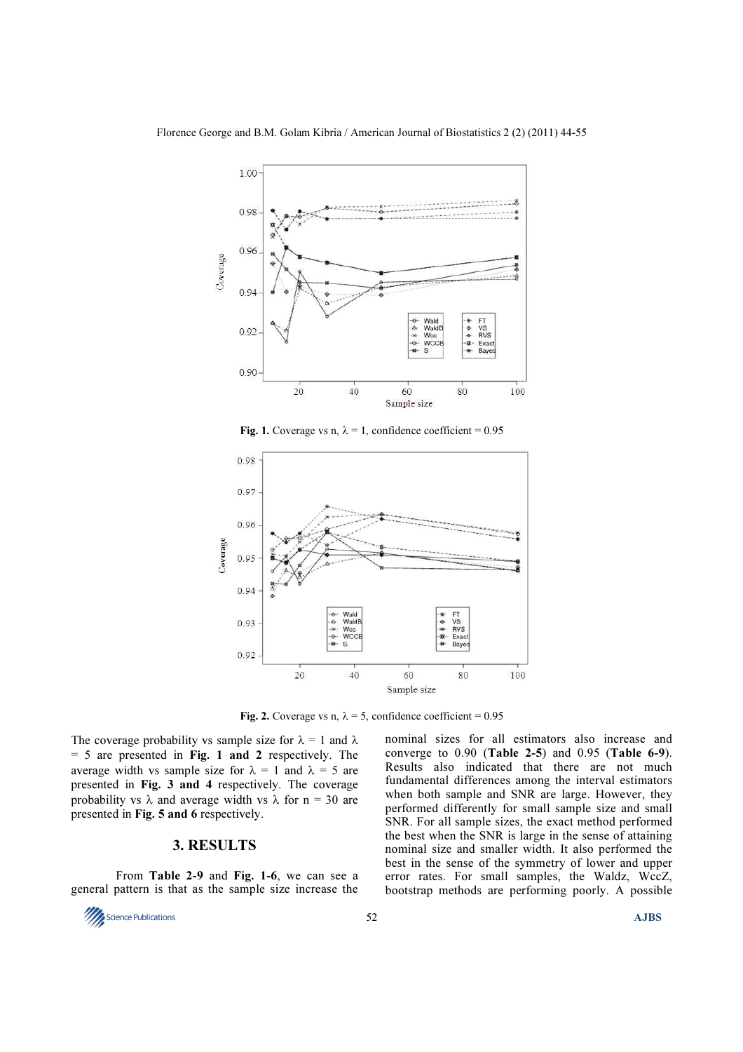

Fig. 1. Coverage vs n,  $\lambda = 1$ , confidence coefficient = 0.95



Fig. 2. Coverage vs n,  $\lambda = 5$ , confidence coefficient = 0.95

The coverage probability vs sample size for  $\lambda = 1$  and  $\lambda$  $= 5$  are presented in Fig. 1 and 2 respectively. The average width vs sample size for  $\lambda = 1$  and  $\lambda = 5$  are presented in Fig. 3 and 4 respectively. The coverage probability vs  $\lambda$  and average width vs  $\lambda$  for n = 30 are presented in Fig. 5 and 6 respectively.

# 3. RESULTS

 From Table 2-9 and Fig. 1-6, we can see a general pattern is that as the sample size increase the



nominal sizes for all estimators also increase and converge to  $0.90$  (Table 2-5) and  $0.95$  (Table 6-9). Results also indicated that there are not much fundamental differences among the interval estimators when both sample and SNR are large. However, they performed differently for small sample size and small SNR. For all sample sizes, the exact method performed the best when the SNR is large in the sense of attaining nominal size and smaller width. It also performed the best in the sense of the symmetry of lower and upper error rates. For small samples, the Waldz, WccZ, bootstrap methods are performing poorly. A possible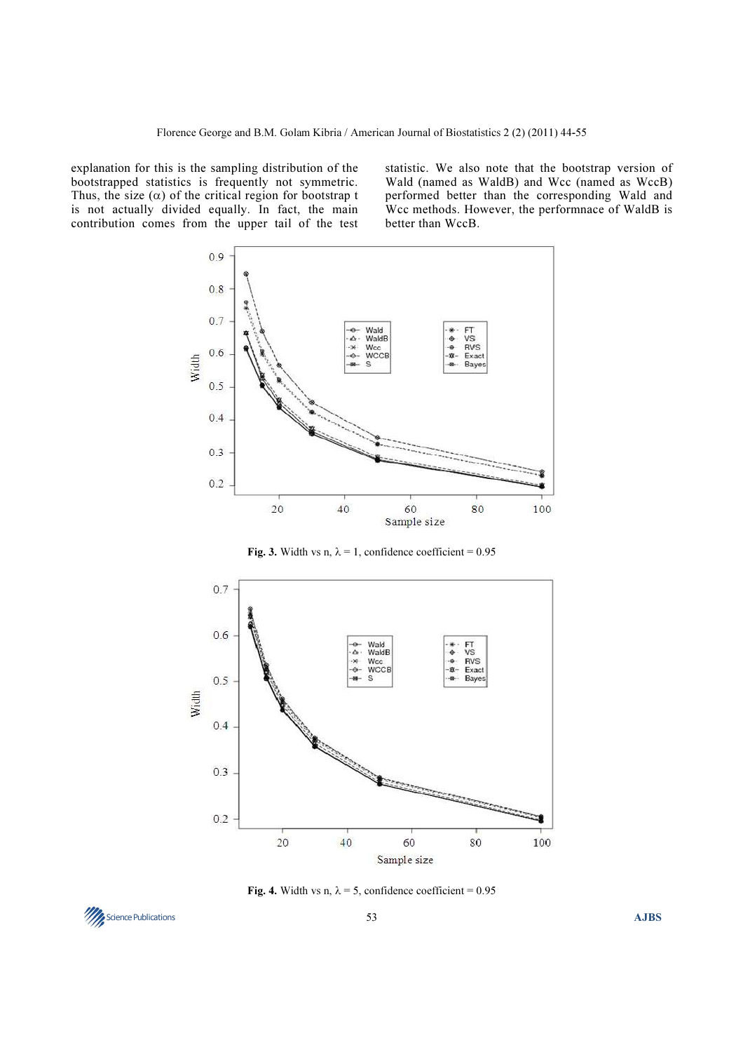explanation for this is the sampling distribution of the bootstrapped statistics is frequently not symmetric. Thus, the size  $(\alpha)$  of the critical region for bootstrap t is not actually divided equally. In fact, the main contribution comes from the upper tail of the test statistic. We also note that the bootstrap version of Wald (named as WaldB) and Wcc (named as WccB) performed better than the corresponding Wald and Wcc methods. However, the performnace of WaldB is better than WccB.



Fig. 3. Width vs n,  $\lambda = 1$ , confidence coefficient = 0.95



Fig. 4. Width vs n,  $\lambda = 5$ , confidence coefficient = 0.95

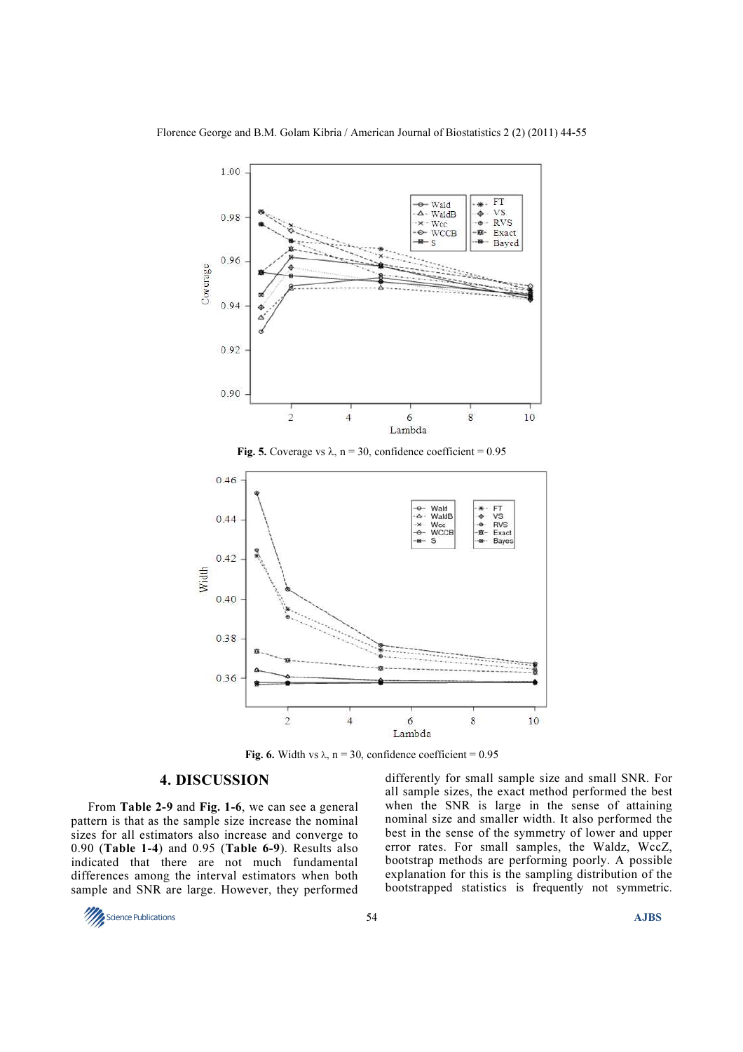





Fig. 6. Width vs  $\lambda$ , n = 30, confidence coefficient = 0.95

# 4. DISCUSSION

From Table 2-9 and Fig. 1-6, we can see a general pattern is that as the sample size increase the nominal sizes for all estimators also increase and converge to 0.90 (Table 1-4) and 0.95 (Table 6-9). Results also indicated that there are not much fundamental differences among the interval estimators when both sample and SNR are large. However, they performed

differently for small sample size and small SNR. For all sample sizes, the exact method performed the best when the SNR is large in the sense of attaining nominal size and smaller width. It also performed the best in the sense of the symmetry of lower and upper error rates. For small samples, the Waldz, WccZ, bootstrap methods are performing poorly. A possible explanation for this is the sampling distribution of the bootstrapped statistics is frequently not symmetric.